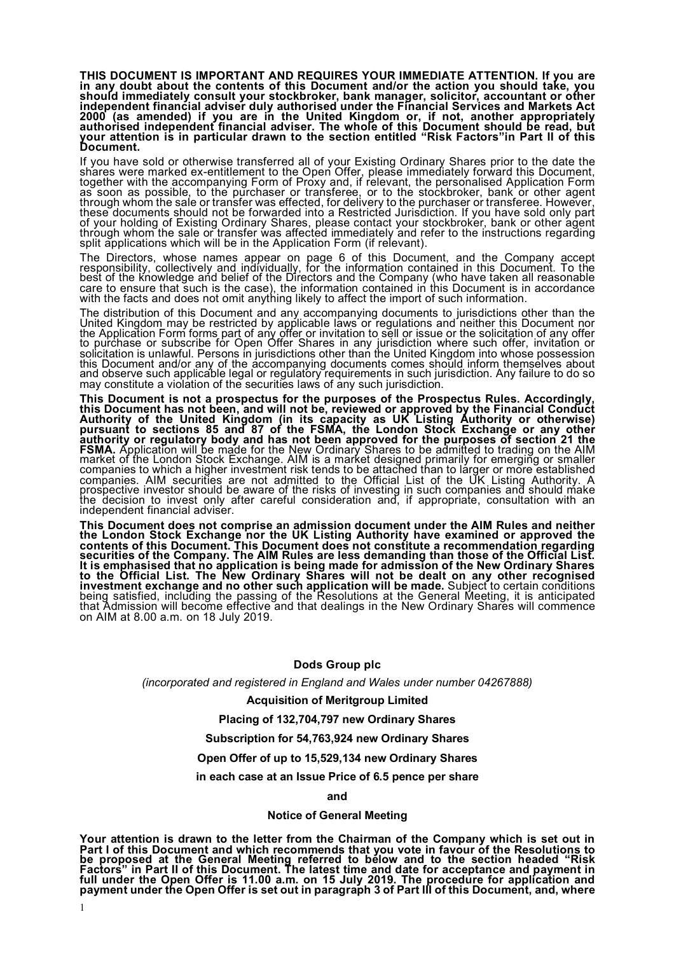**THIS DOCUMENT IS IMPORTANT AND REQUIRES YOUR IMMEDIATE ATTENTION. If you are in any doubt about the contents of this Document and/or the action you should take, you should immediately consult your stockbroker, bank manager, solicitor, accountant or other independent financial adviser duly authorised under the Financial Services and Markets Act 2000 (as amended) if you are in the United Kingdom or, if not, another appropriately**  authorised independent financial adviser. The whole of this Document should be read, but<br>your attention is in particular drawn to the section entitled "Risk Factors"in Part II of this **Document.**

If you have sold or otherwise transferred all of your Existing Ordinary Shares prior to the date the sh´ares were marked ex-entitlement to the Open´ Offer, pleaše immediately forẁard this Document,<br>together with the accompanying Form of Proxy and, if relevant, the personalised Application Form<br>as soon as possible, to the as soon as possible, to the purchaser or transferee, or to the stockbroker, bank or other agent through whom the sale or transfer was effected, for delivery to the purchaser or transferee. However, these documents should n through whom the sale or transfer was affected immediately and refer to the instructions regarding<br>through whom the sale or transfer was affected immediately and refer to the instructions regarding<br>split applications which

The Directors, whose names appear on page 6 of this Document, and the Company accept<br>responsibility, collectively and individually, for the information contained in this Document. To the best of the knowledge and belief of the Directors and the Company (who have taken all reasonable care to ensure that such is the case), the information contained in this Document is in accordance<br>with the facts and does not omit anything likely to affect the import of such information.

The distribution of this Document and any accompanying documents to jurisdictions other than the United Kingdom may be restricted by applicable laws or regulations and neither this Document nor the Application Form forms part of any offer or invitation to sell or issue or the solicitation of any offer to purchase or subscribe for Open Offer Shares in any jurisdiction where such offer, invitation or<br>solicitation is unlawful. Persons in jurisdictions other than the United Kingdom into whose possession this Document and/or any of the accompanying documents comes should inform themselves about and observe such applicable legal or regulatory requirements in such jurisdiction. Any failure to do so may constitute a violation of the securities laws of any such jurisdiction.

**This Document is not a prospectus for the purposes of the Prospectus Rules. Accordingly, this Document has not been, and will not be, reviewed or approved by the Financial Conduct Authority of the United Kingdom (in its capacity as UK Listing Authority or otherwise)**  pursuant to sections 85 and 87 of the FSMA, the London Stock Exchange or any other<br>authority or regulatory body and has not been approved for the purposes of section 21 the **FSMA.** Application will be made for the New Ordinary Shares to be admitted to trading on the AIM<br>market of the London Stock Exchange. AIM is a market designed primarily for emerging or smaller<br>companies to which a higher companies. AIM securities are not admitted to the Official List of the UK Listing Authority. A prospective investor should be aware of the risks of investing in such companies and should make<br>the decision to invest only after careful consideration and, if appropriate, consultation with an independent financial adviser.

**This Document does not comprise an admission document under the AIM Rules and neither the London Stock Exchange nor the UK Listing Authority have examined or approved the contents of this Document. This Document does not constitute a recommendation regarding**  securities of the Company. The AIM Rules are less demanding than those of the Official List.<br>It is emphasised that no application is being made for admission of the New Ordinary Shares **to the Official List. The New Ordinary Shares will not be dealt on any other recognised investment exchange and no other such application will be made.** Subject to certain conditions<br>being satisfied, including the passing of the Resolutions at the General Meeting, it is anticipated that Admission will become effective and that dealings in the New Ordinary Shares will commence on AIM at 8.00 a.m. on 18 July 2019.

#### **Dods Group plc**

*(incorporated and registered in England and Wales under number 04267888)*

**Acquisition of Meritgroup Limited**

#### **Placing of 132,704,797 new Ordinary Shares**

#### **Subscription for 54,763,924 new Ordinary Shares**

#### **Open Offer of up to 15,529,134 new Ordinary Shares**

#### **in each case at an Issue Price of 6.5 pence per share**

**and** 

#### **Notice of General Meeting**

**Your attention is drawn to the letter from the Chairman of the Company which is set out in**  Part I of this Document and which recommends that you vote in favour of the Resolutions to<br><u>b</u>e proposed at the General Meeting referred to below and to the section headed "Risk **Factors" in Part II of this Document. The latest time and date for acceptance and payment in**  full under the Open Offer is 11.00 a.m. on 15 July 2019. The procedure for application and<br>payment under the Open Offer is set out in paragraph 3 of Part III of this Document, and, where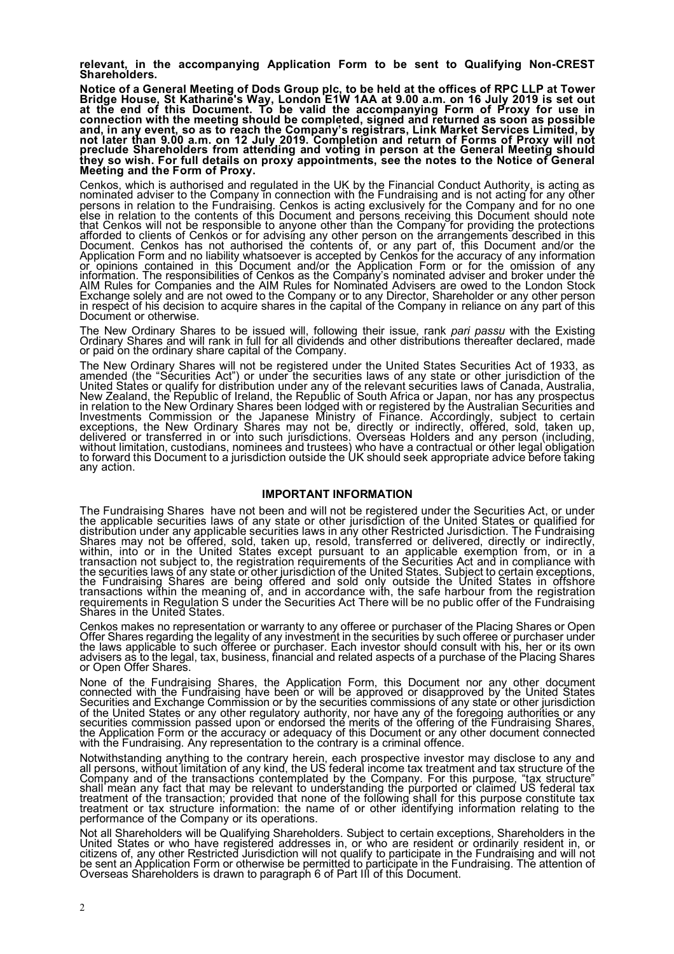**relevant, in the accompanying Application Form to be sent to Qualifying Non-CREST Shareholders.**

**Notice of a General Meeting of Dods Group plc, to be held at the offices of RPC LLP at Tower Bridge House, St Katharine's Way, London E1W 1AA at 9.00 a.m. on 16 July 2019 is set out**  at the end of this Document. To be valid the accompanying Form of Proxy for use in<br>connection with the meeting should be completed, signed and returned as soon as possible and, in any event, so as to reach the Company's registrars, Link Market Services Limited, by<br>not later than 9.00 a.m. on 12 July 2019. Completion and return of Forms of Proxy will not<br>preclude Shareholders from attending a **they so wish. For full details on proxy appointments, see the notes to the Notice of General Meeting and the Form of Proxy.**

Cenkos, which is authorised and regulated in the UK by the Financial Conduct Authority, is acting as nominated adviser to the Company in connection with the Fundraising and is not acting for any other<br>persons in relation to the Fundraising. Cenkos is acting exclusively for the Company and for no one<br>else in relation to th that Cenkos will not be responsible to anyone other than the Company for providing the protections afforded to clients of Cenkos or for advising any other person on the arrangements described in this Document. Cenkos has not authorised the contents of, or any part of, this Document and/or the<br>Application Form and no liability whatsoever is accepted by Cenkos for the accuracy of any information or opinions contained in this Document and/or the Application Form or for the omission of any information. The responsibilities of Cenkos as the Company's nominated adviser and broker under the<br>AIM Rules for Companies and the AIM Rules for Nominated Advisers are owed to the London Stock Exchange solely and are not owed to the Company or to any Director, Shareholder or any other person<br>in respect of his decision to acquire shares in the capital of the Company in reliance on any part of this Document or otherwise.

The New Ordinary Shares to be issued will, following their issue, rank pari passu with the Existing Ordinary Shares and will rank in full for all dividends and other distributions thereafter declared, made or paid on the o

The New Ordinary Shares will not be registered under the United States Securities Act of 1933, as amended (the "Sécurities Act") or under the securities laws of any state or other jurisdiction of the<br>United States or qualify for distribution under any of the relevant securities laws of Canada, Australia, New Zealand, the Republic of Ireland, the Republic of South Africa or Japan, nor has any prospectus<br>in relation to the New Ordinary Shares been lodged with or registered by the Australian Securities and Investments Commission or the Japanese Ministry of Finance. Accordingly, subject to certain exceptions, the New Ordinary Shares may not be, directly or indirectly, offered, sold, taken up,<br>delivered or transferred in or into such jurisdictions. Overseas Holders and any person (including, without limitation, custodians, nominees and trustees) who have a contractual or other legal obligation<br>to forward this Document to a jurisdiction outside the UK should seek appropriate advice before taking any action.

#### **IMPORTANT INFORMATION**

The Fundraising Shares have not been and will not be registered under the Securities Act, or under<br>the applicable securities laws of any state or other jurisdiction of the United States or qualified for distribution under any applicable securities laws in any other Restricted Jurisdiction. The Fundraising<br>Shares may not be offered, sold, taken up, resold, transferred or delivered, directly or indirectly,<br>within, into or i the securities laws of any state or other jurisdiction of the United States. Subject to certain exceptions, the Fundraising Shares are being offered and sold only outside the United States in offshore<br>transactions within the meaning of, and in accordance with, the safe harbour from the registration requirements in Regulation S under the Securities Act There will be no public offer of the Fundraising<br>Shares in the United States.

Cenkos makes no representation or warranty to any offeree or purchaser of the Placing Shares or Open Offer Shares regarding the legality of any investment in the securities by such offeree or purchaser under<br>the laws applicable to such offeree or purchaser. Each investor should consult with his, her or its own the laws applicable to such offeree or purchaser. Each investor should consult with his, her or its own advisers as to the legal, tax, business, financial and related aspects of a purchase of the Placing Shares or Open Off

None of the Fundraising Shares, the Application Form, this Document nor any other document connected with the Fundraising have been or will be approved or disapproved by the United States Securities and Exchange Commission of the United States or any other regulatory authority, nor have any of the foregoing authorities or any securities commission passed upon or endorsed the merits of the offering of the Fundraising Shares,<br>the Application Form or the accuracy or adequacy of this Document or any other document connected with the Fundraising. Any representation to the contrary is a criminal offence.

Notwithstanding anything to the contrary herein, each prospective investor may disclose to any and all persons, without limitation of any kind, the US federal income tax treatment and tax structure of the Company and of the transactions contemplated by the Company. For this purpose, "tax structure" shall mean any fact that may be relevant to understanding the purported or claimed US federal tax treatment of the transaction; provided that none of the following shall for this purpose constitute tax<br>treatment or tax structure information: the name of or other identifying information relating to the performance of the Company or its operations.

Not all Shareholders will be Qualifying Shareholders. Subject to certain exceptions, Shareholders in the<br>United States or who have registered addresses in, or who are resident or ordinarily resident in, or citizens of, any other Restricted Jurisdiction will not qualify to participate in the Fundraising and will not be sent an Application Form or otherwise be permitted to participate in the Fundraising. The attention of Overseas Shareholders is drawn to paragraph 6 of Part III of this Document.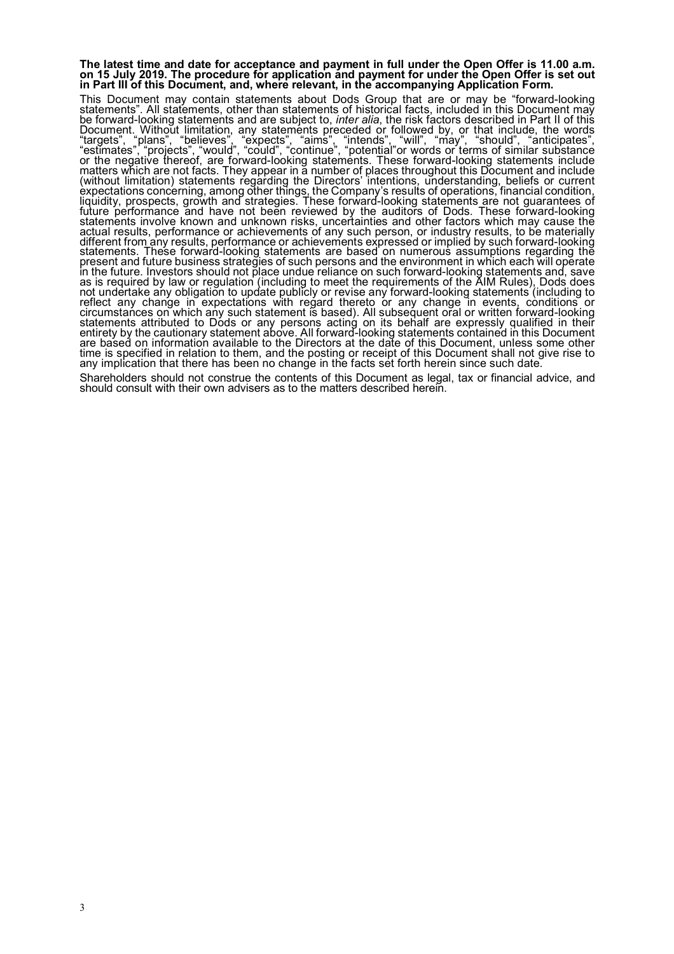# **The latest time and date for acceptance and payment in full under the Open Offer is 11.00 a.m. on 15 July 2019. The procedure for application and payment for under the Open Offer is set out in Part III of this Document, and, where relevant, in the accompanying Application Form.**

This Document may contain statements about Dods Group that are or may be "forward-looking statements, other than statements of historical facts, included in this Document may be forward-looking statements and are subject t be forward-looking statements and are subject to, *inter alia*, the risk factors described in Part II of this Document. Without limitation, any statements preceded or followed by, or that include, the words<br>"targets", "plans", "believes", "expects", "aims", "intends", "will", "may", "should", "anticipates", "estimates", "projects", "would", "could", "continue", "potential"or words or terms of similar substance or the negative thereof, are forward-looking statements. These forward-looking statements include<br>matters which are not facts. They appear in a number of places throughout this Document and include (without limitation) statements regarding the Directors' intentions, understanding, beliefs or current<br>expectations concerning, among other things, the Company's results of operations, financial condition, liquidity, prospects, growth and strategies. These forward-looking statements are not guarantees of<br>future performance and have not been reviewed by the auditors of Dods. These forward-looking<br>statements involve known and actual results, performance or achievements of any such person, or industry results, to be materially<br>different from any results, performance or achievements expressed or implied by such forward-looking<br>statements. These f present and future business strateğies of such persons and the environment in which each will opĕrate in the future. Investors should not place undue reliance on such forward-looking statements and, save<br>as is required by law or regulation (including to meet the requirements of the AIM Rules), Dods does not undertake any obligation to update publicly or revise any forward-looking statements (including to<br>reflect any change in expectations with regard thereto or any change in events, conditions or circumstances on which any such statement is based). All subsequent oral or written forward-looking<br>statements attributed to Dods or any persons acting on its behalf are expressly qualified in their<br>entirety by the caution time is specified in relation to them, and the posting or receipt of this Document shall not give rise to any implication that there has been no change in the facts set forth herein since such date.

Shareholders should not construe the contents of this Document as legal, tax or financial advice, and should consult with their own advisers as to the matters described herein.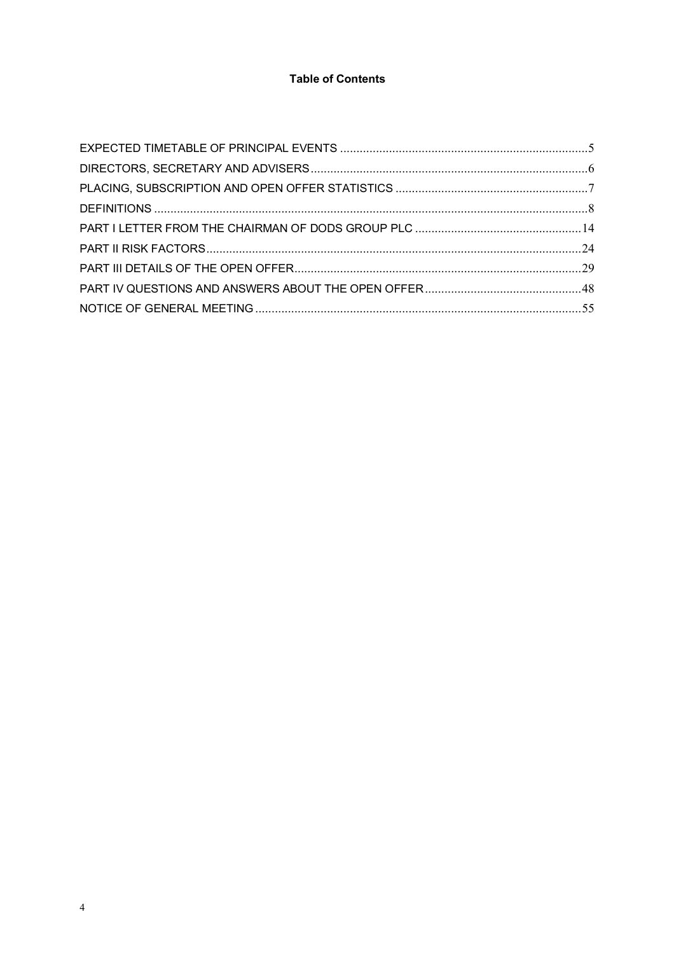## **Table of Contents**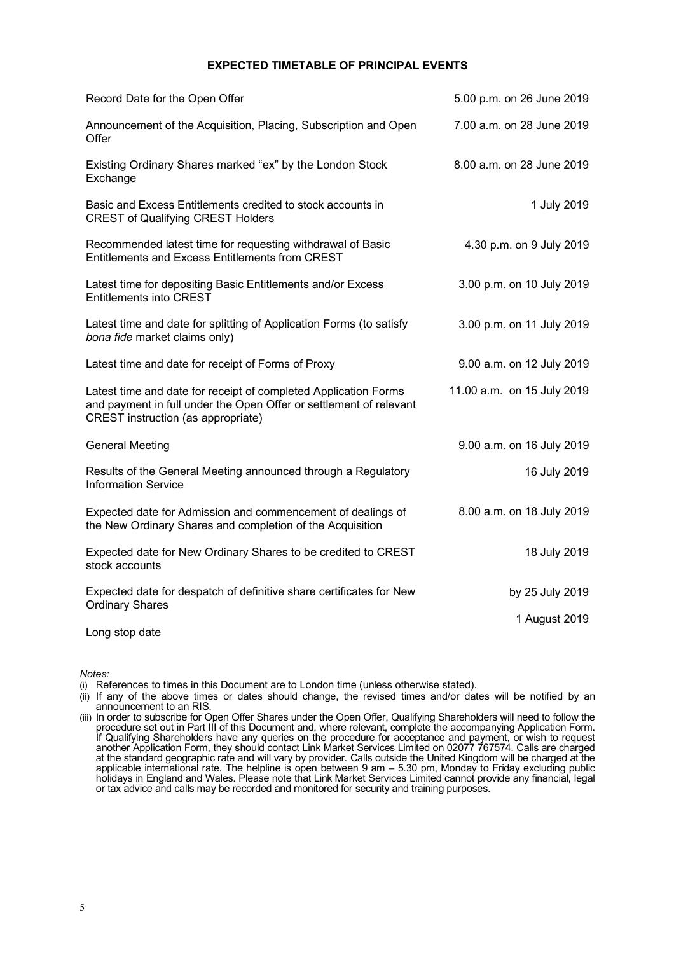#### **EXPECTED TIMETABLE OF PRINCIPAL EVENTS**

| Record Date for the Open Offer                                                                                                                                              | 5.00 p.m. on 26 June 2019  |
|-----------------------------------------------------------------------------------------------------------------------------------------------------------------------------|----------------------------|
| Announcement of the Acquisition, Placing, Subscription and Open<br>Offer                                                                                                    | 7.00 a.m. on 28 June 2019  |
| Existing Ordinary Shares marked "ex" by the London Stock<br>Exchange                                                                                                        | 8.00 a.m. on 28 June 2019  |
| Basic and Excess Entitlements credited to stock accounts in<br><b>CREST of Qualifying CREST Holders</b>                                                                     | 1 July 2019                |
| Recommended latest time for requesting withdrawal of Basic<br>Entitlements and Excess Entitlements from CREST                                                               | 4.30 p.m. on 9 July 2019   |
| Latest time for depositing Basic Entitlements and/or Excess<br><b>Entitlements into CREST</b>                                                                               | 3.00 p.m. on 10 July 2019  |
| Latest time and date for splitting of Application Forms (to satisfy<br>bona fide market claims only)                                                                        | 3.00 p.m. on 11 July 2019  |
| Latest time and date for receipt of Forms of Proxy                                                                                                                          | 9.00 a.m. on 12 July 2019  |
| Latest time and date for receipt of completed Application Forms<br>and payment in full under the Open Offer or settlement of relevant<br>CREST instruction (as appropriate) | 11.00 a.m. on 15 July 2019 |
| <b>General Meeting</b>                                                                                                                                                      | 9.00 a.m. on 16 July 2019  |
| Results of the General Meeting announced through a Regulatory<br><b>Information Service</b>                                                                                 | 16 July 2019               |
| Expected date for Admission and commencement of dealings of<br>the New Ordinary Shares and completion of the Acquisition                                                    | 8.00 a.m. on 18 July 2019  |
| Expected date for New Ordinary Shares to be credited to CREST<br>stock accounts                                                                                             | 18 July 2019               |
| Expected date for despatch of definitive share certificates for New<br><b>Ordinary Shares</b>                                                                               | by 25 July 2019            |
| Long stop date                                                                                                                                                              | 1 August 2019              |

*Notes:*

(i) References to times in this Document are to London time (unless otherwise stated).

(ii) If any of the above times or dates should change, the revised times and/or dates will be notified by an announcement to an RIS.

(iii) In order to subscribe for Open Offer Shares under the Open Offer, Qualifying Shareholders will need to follow the procedure set out in Part III of this Document and, where relevant, complete the accompanying Application Form. If Qualifying Shareholders have any queries on the procedure for acceptance and payment, or wish to request another Application Form, they should contact Link Market Services Limited on 02077 767574. Calls are charged at the standard geographic rate and will vary by provider. Calls outside the United Kingdom will be charged at the applicable international rate. The helpline is open between 9 am – 5.30 pm, Monday to Friday excluding public holidays in England and Wales. Please note that Link Market Services Limited cannot provide any financial, legal or tax advice and calls may be recorded and monitored for security and training purposes.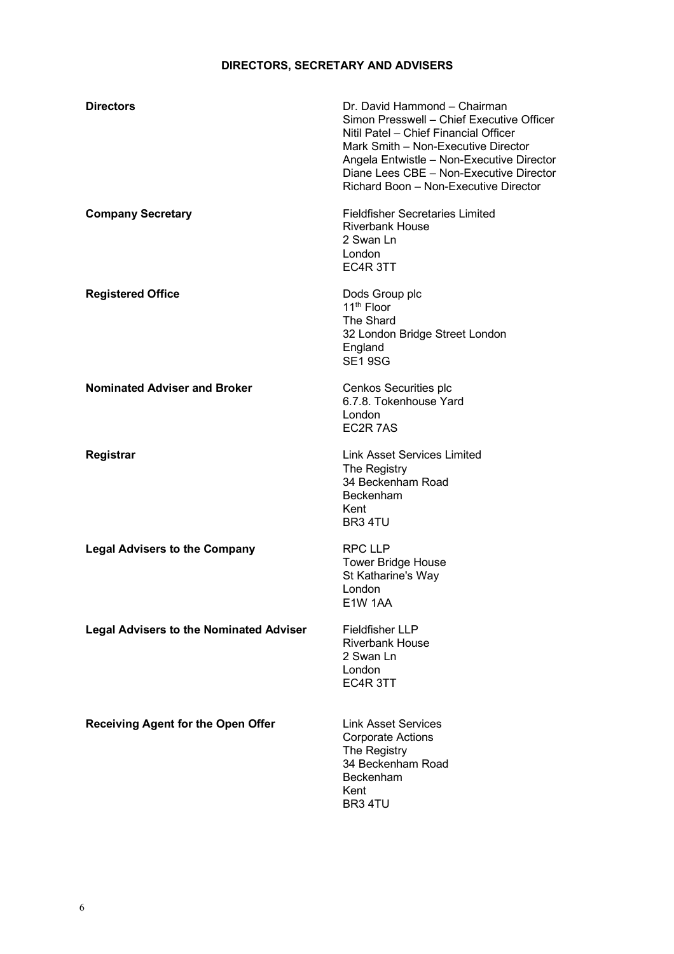# **DIRECTORS, SECRETARY AND ADVISERS**

| <b>Directors</b>                               | Dr. David Hammond - Chairman<br>Simon Presswell - Chief Executive Officer<br>Nitil Patel - Chief Financial Officer<br>Mark Smith - Non-Executive Director<br>Angela Entwistle - Non-Executive Director<br>Diane Lees CBE - Non-Executive Director<br>Richard Boon - Non-Executive Director |
|------------------------------------------------|--------------------------------------------------------------------------------------------------------------------------------------------------------------------------------------------------------------------------------------------------------------------------------------------|
| <b>Company Secretary</b>                       | <b>Fieldfisher Secretaries Limited</b><br><b>Riverbank House</b><br>2 Swan Ln<br>London<br>EC4R 3TT                                                                                                                                                                                        |
| <b>Registered Office</b>                       | Dods Group plc<br>11 <sup>th</sup> Floor<br>The Shard<br>32 London Bridge Street London<br>England<br><b>SE1 9SG</b>                                                                                                                                                                       |
| <b>Nominated Adviser and Broker</b>            | Cenkos Securities plc<br>6.7.8. Tokenhouse Yard<br>London<br>EC2R 7AS                                                                                                                                                                                                                      |
| Registrar                                      | <b>Link Asset Services Limited</b><br>The Registry<br>34 Beckenham Road<br>Beckenham<br>Kent<br>BR <sub>3</sub> 4TU                                                                                                                                                                        |
| <b>Legal Advisers to the Company</b>           | <b>RPC LLP</b><br><b>Tower Bridge House</b><br>St Katharine's Way<br>London<br>E1W 1AA                                                                                                                                                                                                     |
| <b>Legal Advisers to the Nominated Adviser</b> | <b>Fieldfisher LLP</b><br><b>Riverbank House</b><br>2 Swan Ln<br>London<br>EC4R 3TT                                                                                                                                                                                                        |
| <b>Receiving Agent for the Open Offer</b>      | <b>Link Asset Services</b><br><b>Corporate Actions</b><br>The Registry<br>34 Beckenham Road<br>Beckenham<br>Kent<br>BR3 4TU                                                                                                                                                                |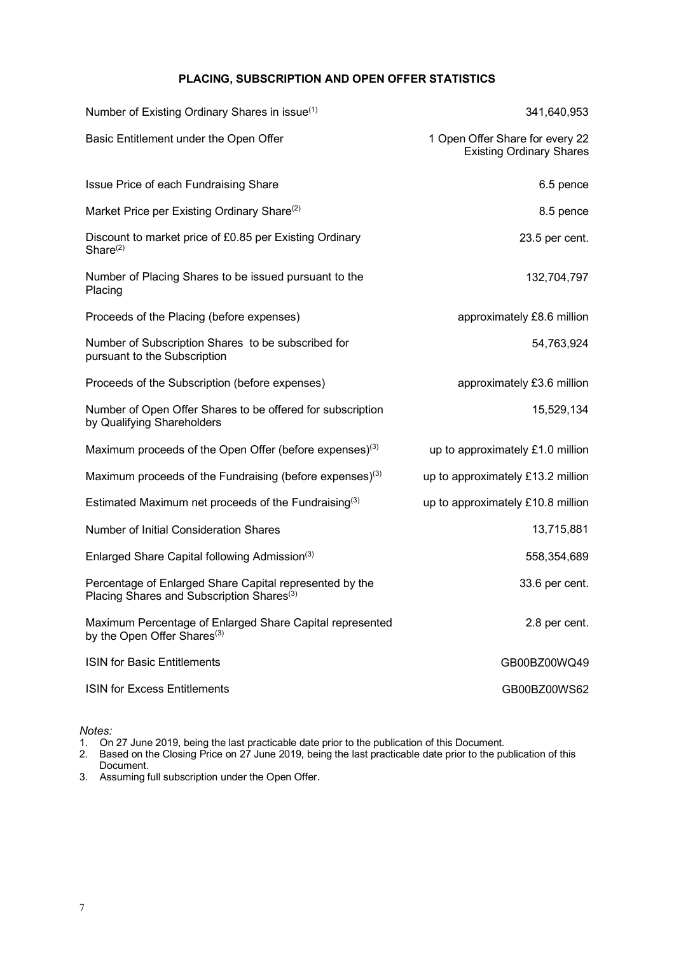## **PLACING, SUBSCRIPTION AND OPEN OFFER STATISTICS**

| Number of Existing Ordinary Shares in issue <sup>(1)</sup>                                                       | 341,640,953                                                        |
|------------------------------------------------------------------------------------------------------------------|--------------------------------------------------------------------|
| Basic Entitlement under the Open Offer                                                                           | 1 Open Offer Share for every 22<br><b>Existing Ordinary Shares</b> |
| Issue Price of each Fundraising Share                                                                            | 6.5 pence                                                          |
| Market Price per Existing Ordinary Share <sup>(2)</sup>                                                          | 8.5 pence                                                          |
| Discount to market price of £0.85 per Existing Ordinary<br>Share $(2)$                                           | 23.5 per cent.                                                     |
| Number of Placing Shares to be issued pursuant to the<br>Placing                                                 | 132,704,797                                                        |
| Proceeds of the Placing (before expenses)                                                                        | approximately £8.6 million                                         |
| Number of Subscription Shares to be subscribed for<br>pursuant to the Subscription                               | 54,763,924                                                         |
| Proceeds of the Subscription (before expenses)                                                                   | approximately £3.6 million                                         |
| Number of Open Offer Shares to be offered for subscription<br>by Qualifying Shareholders                         | 15,529,134                                                         |
| Maximum proceeds of the Open Offer (before expenses) <sup>(3)</sup>                                              | up to approximately £1.0 million                                   |
| Maximum proceeds of the Fundraising (before expenses) <sup>(3)</sup>                                             | up to approximately £13.2 million                                  |
| Estimated Maximum net proceeds of the Fundraising <sup>(3)</sup>                                                 | up to approximately £10.8 million                                  |
| Number of Initial Consideration Shares                                                                           | 13,715,881                                                         |
| Enlarged Share Capital following Admission <sup>(3)</sup>                                                        | 558,354,689                                                        |
| Percentage of Enlarged Share Capital represented by the<br>Placing Shares and Subscription Shares <sup>(3)</sup> | 33.6 per cent.                                                     |
| Maximum Percentage of Enlarged Share Capital represented<br>by the Open Offer Shares <sup>(3)</sup>              | 2.8 per cent.                                                      |
| <b>ISIN for Basic Entitlements</b>                                                                               | GB00BZ00WQ49                                                       |
| <b>ISIN for Excess Entitlements</b>                                                                              | GB00BZ00WS62                                                       |

*Notes:*

1. On 27 June 2019, being the last practicable date prior to the publication of this Document.

2. Based on the Closing Price on 27 June 2019, being the last practicable date prior to the publication of this Document.

3. Assuming full subscription under the Open Offer.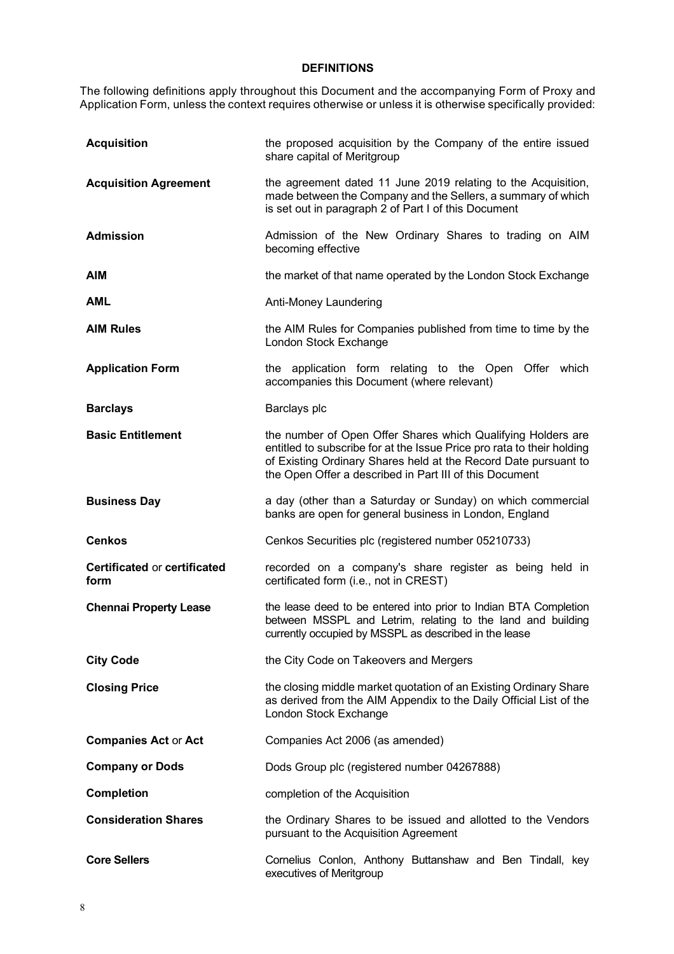### **DEFINITIONS**

The following definitions apply throughout this Document and the accompanying Form of Proxy and Application Form, unless the context requires otherwise or unless it is otherwise specifically provided:

| <b>Acquisition</b>                          | the proposed acquisition by the Company of the entire issued<br>share capital of Meritgroup                                                                                                                                                                          |
|---------------------------------------------|----------------------------------------------------------------------------------------------------------------------------------------------------------------------------------------------------------------------------------------------------------------------|
| <b>Acquisition Agreement</b>                | the agreement dated 11 June 2019 relating to the Acquisition,<br>made between the Company and the Sellers, a summary of which<br>is set out in paragraph 2 of Part I of this Document                                                                                |
| <b>Admission</b>                            | Admission of the New Ordinary Shares to trading on AIM<br>becoming effective                                                                                                                                                                                         |
| <b>AIM</b>                                  | the market of that name operated by the London Stock Exchange                                                                                                                                                                                                        |
| <b>AML</b>                                  | Anti-Money Laundering                                                                                                                                                                                                                                                |
| <b>AIM Rules</b>                            | the AIM Rules for Companies published from time to time by the<br>London Stock Exchange                                                                                                                                                                              |
| <b>Application Form</b>                     | the application form relating to the Open Offer which<br>accompanies this Document (where relevant)                                                                                                                                                                  |
| <b>Barclays</b>                             | Barclays plc                                                                                                                                                                                                                                                         |
| <b>Basic Entitlement</b>                    | the number of Open Offer Shares which Qualifying Holders are<br>entitled to subscribe for at the Issue Price pro rata to their holding<br>of Existing Ordinary Shares held at the Record Date pursuant to<br>the Open Offer a described in Part III of this Document |
| <b>Business Day</b>                         | a day (other than a Saturday or Sunday) on which commercial<br>banks are open for general business in London, England                                                                                                                                                |
| <b>Cenkos</b>                               | Cenkos Securities plc (registered number 05210733)                                                                                                                                                                                                                   |
| <b>Certificated or certificated</b><br>form | recorded on a company's share register as being held in<br>certificated form (i.e., not in CREST)                                                                                                                                                                    |
| <b>Chennai Property Lease</b>               | the lease deed to be entered into prior to Indian BTA Completion<br>between MSSPL and Letrim, relating to the land and building<br>currently occupied by MSSPL as described in the lease                                                                             |
| <b>City Code</b>                            | the City Code on Takeovers and Mergers                                                                                                                                                                                                                               |
| <b>Closing Price</b>                        | the closing middle market quotation of an Existing Ordinary Share<br>as derived from the AIM Appendix to the Daily Official List of the<br>London Stock Exchange                                                                                                     |
| <b>Companies Act or Act</b>                 | Companies Act 2006 (as amended)                                                                                                                                                                                                                                      |
| <b>Company or Dods</b>                      | Dods Group plc (registered number 04267888)                                                                                                                                                                                                                          |
| <b>Completion</b>                           | completion of the Acquisition                                                                                                                                                                                                                                        |
| <b>Consideration Shares</b>                 | the Ordinary Shares to be issued and allotted to the Vendors<br>pursuant to the Acquisition Agreement                                                                                                                                                                |
| <b>Core Sellers</b>                         | Cornelius Conlon, Anthony Buttanshaw and Ben Tindall, key<br>executives of Meritgroup                                                                                                                                                                                |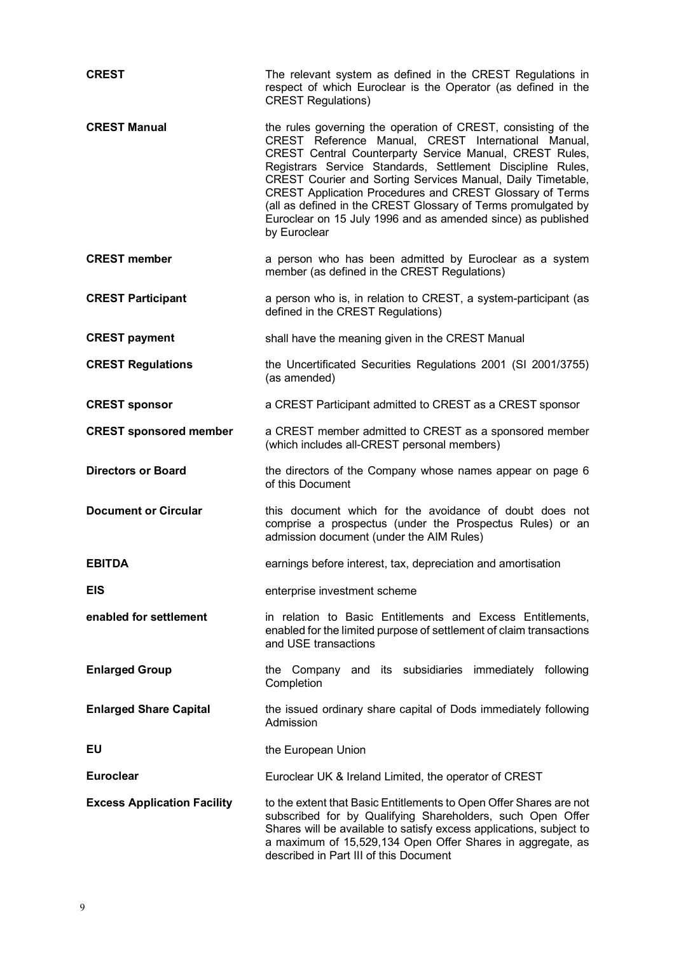| <b>CREST</b>                       | The relevant system as defined in the CREST Regulations in<br>respect of which Euroclear is the Operator (as defined in the<br><b>CREST Regulations)</b>                                                                                                                                                                                                                                                                                                                                                                  |
|------------------------------------|---------------------------------------------------------------------------------------------------------------------------------------------------------------------------------------------------------------------------------------------------------------------------------------------------------------------------------------------------------------------------------------------------------------------------------------------------------------------------------------------------------------------------|
| <b>CREST Manual</b>                | the rules governing the operation of CREST, consisting of the<br>CREST Reference Manual, CREST International Manual,<br>CREST Central Counterparty Service Manual, CREST Rules,<br>Registrars Service Standards, Settlement Discipline Rules,<br>CREST Courier and Sorting Services Manual, Daily Timetable,<br>CREST Application Procedures and CREST Glossary of Terms<br>(all as defined in the CREST Glossary of Terms promulgated by<br>Euroclear on 15 July 1996 and as amended since) as published<br>by Euroclear |
| <b>CREST member</b>                | a person who has been admitted by Euroclear as a system<br>member (as defined in the CREST Regulations)                                                                                                                                                                                                                                                                                                                                                                                                                   |
| <b>CREST Participant</b>           | a person who is, in relation to CREST, a system-participant (as<br>defined in the CREST Regulations)                                                                                                                                                                                                                                                                                                                                                                                                                      |
| <b>CREST payment</b>               | shall have the meaning given in the CREST Manual                                                                                                                                                                                                                                                                                                                                                                                                                                                                          |
| <b>CREST Regulations</b>           | the Uncertificated Securities Regulations 2001 (SI 2001/3755)<br>(as amended)                                                                                                                                                                                                                                                                                                                                                                                                                                             |
| <b>CREST sponsor</b>               | a CREST Participant admitted to CREST as a CREST sponsor                                                                                                                                                                                                                                                                                                                                                                                                                                                                  |
| <b>CREST sponsored member</b>      | a CREST member admitted to CREST as a sponsored member<br>(which includes all-CREST personal members)                                                                                                                                                                                                                                                                                                                                                                                                                     |
| <b>Directors or Board</b>          | the directors of the Company whose names appear on page 6<br>of this Document                                                                                                                                                                                                                                                                                                                                                                                                                                             |
| <b>Document or Circular</b>        | this document which for the avoidance of doubt does not<br>comprise a prospectus (under the Prospectus Rules) or an<br>admission document (under the AIM Rules)                                                                                                                                                                                                                                                                                                                                                           |
| <b>EBITDA</b>                      | earnings before interest, tax, depreciation and amortisation                                                                                                                                                                                                                                                                                                                                                                                                                                                              |
| EIS                                | enterprise investment scheme                                                                                                                                                                                                                                                                                                                                                                                                                                                                                              |
| enabled for settlement             | in relation to Basic Entitlements and Excess Entitlements,<br>enabled for the limited purpose of settlement of claim transactions<br>and USE transactions                                                                                                                                                                                                                                                                                                                                                                 |
| <b>Enlarged Group</b>              | the Company and its subsidiaries immediately following<br>Completion                                                                                                                                                                                                                                                                                                                                                                                                                                                      |
| <b>Enlarged Share Capital</b>      | the issued ordinary share capital of Dods immediately following<br>Admission                                                                                                                                                                                                                                                                                                                                                                                                                                              |
| EU                                 | the European Union                                                                                                                                                                                                                                                                                                                                                                                                                                                                                                        |
| <b>Euroclear</b>                   | Euroclear UK & Ireland Limited, the operator of CREST                                                                                                                                                                                                                                                                                                                                                                                                                                                                     |
| <b>Excess Application Facility</b> | to the extent that Basic Entitlements to Open Offer Shares are not<br>subscribed for by Qualifying Shareholders, such Open Offer<br>Shares will be available to satisfy excess applications, subject to<br>a maximum of 15,529,134 Open Offer Shares in aggregate, as                                                                                                                                                                                                                                                     |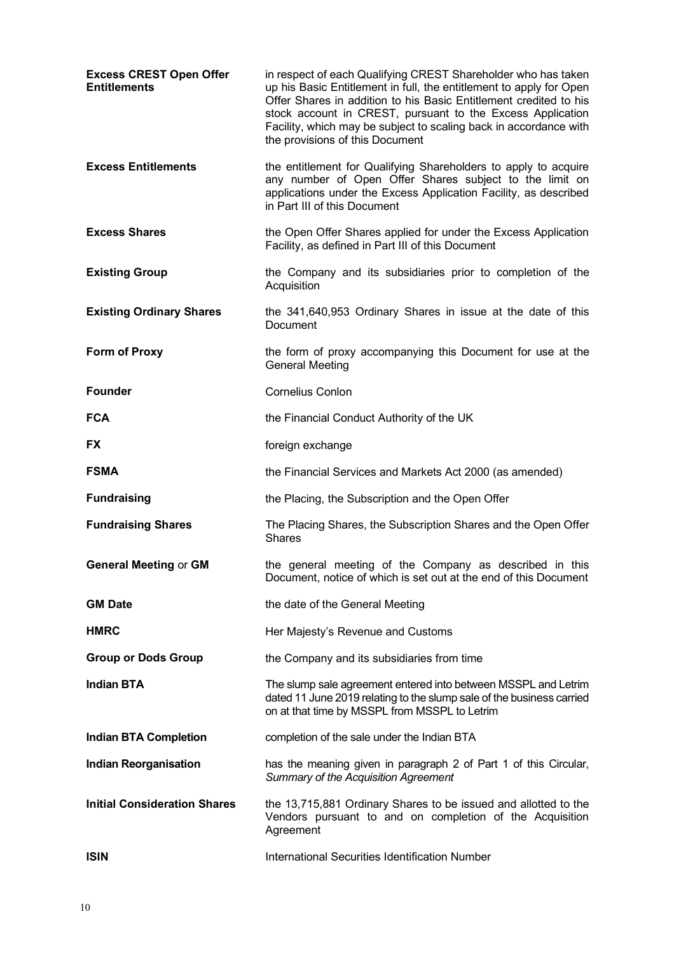| <b>Excess CREST Open Offer</b><br><b>Entitlements</b> | in respect of each Qualifying CREST Shareholder who has taken<br>up his Basic Entitlement in full, the entitlement to apply for Open<br>Offer Shares in addition to his Basic Entitlement credited to his<br>stock account in CREST, pursuant to the Excess Application<br>Facility, which may be subject to scaling back in accordance with<br>the provisions of this Document |
|-------------------------------------------------------|---------------------------------------------------------------------------------------------------------------------------------------------------------------------------------------------------------------------------------------------------------------------------------------------------------------------------------------------------------------------------------|
| <b>Excess Entitlements</b>                            | the entitlement for Qualifying Shareholders to apply to acquire<br>any number of Open Offer Shares subject to the limit on<br>applications under the Excess Application Facility, as described<br>in Part III of this Document                                                                                                                                                  |
| <b>Excess Shares</b>                                  | the Open Offer Shares applied for under the Excess Application<br>Facility, as defined in Part III of this Document                                                                                                                                                                                                                                                             |
| <b>Existing Group</b>                                 | the Company and its subsidiaries prior to completion of the<br>Acquisition                                                                                                                                                                                                                                                                                                      |
| <b>Existing Ordinary Shares</b>                       | the 341,640,953 Ordinary Shares in issue at the date of this<br>Document                                                                                                                                                                                                                                                                                                        |
| <b>Form of Proxy</b>                                  | the form of proxy accompanying this Document for use at the<br><b>General Meeting</b>                                                                                                                                                                                                                                                                                           |
| <b>Founder</b>                                        | <b>Cornelius Conlon</b>                                                                                                                                                                                                                                                                                                                                                         |
| <b>FCA</b>                                            | the Financial Conduct Authority of the UK                                                                                                                                                                                                                                                                                                                                       |
| <b>FX</b>                                             | foreign exchange                                                                                                                                                                                                                                                                                                                                                                |
| <b>FSMA</b>                                           | the Financial Services and Markets Act 2000 (as amended)                                                                                                                                                                                                                                                                                                                        |
| <b>Fundraising</b>                                    | the Placing, the Subscription and the Open Offer                                                                                                                                                                                                                                                                                                                                |
| <b>Fundraising Shares</b>                             | The Placing Shares, the Subscription Shares and the Open Offer<br><b>Shares</b>                                                                                                                                                                                                                                                                                                 |
| <b>General Meeting or GM</b>                          | the general meeting of the Company as described in this<br>Document, notice of which is set out at the end of this Document                                                                                                                                                                                                                                                     |
| <b>GM Date</b>                                        | the date of the General Meeting                                                                                                                                                                                                                                                                                                                                                 |
| <b>HMRC</b>                                           | Her Majesty's Revenue and Customs                                                                                                                                                                                                                                                                                                                                               |
| <b>Group or Dods Group</b>                            | the Company and its subsidiaries from time                                                                                                                                                                                                                                                                                                                                      |
| <b>Indian BTA</b>                                     | The slump sale agreement entered into between MSSPL and Letrim<br>dated 11 June 2019 relating to the slump sale of the business carried<br>on at that time by MSSPL from MSSPL to Letrim                                                                                                                                                                                        |
| <b>Indian BTA Completion</b>                          | completion of the sale under the Indian BTA                                                                                                                                                                                                                                                                                                                                     |
| <b>Indian Reorganisation</b>                          |                                                                                                                                                                                                                                                                                                                                                                                 |
|                                                       | has the meaning given in paragraph 2 of Part 1 of this Circular,<br>Summary of the Acquisition Agreement                                                                                                                                                                                                                                                                        |
| <b>Initial Consideration Shares</b>                   | the 13,715,881 Ordinary Shares to be issued and allotted to the<br>Vendors pursuant to and on completion of the Acquisition<br>Agreement                                                                                                                                                                                                                                        |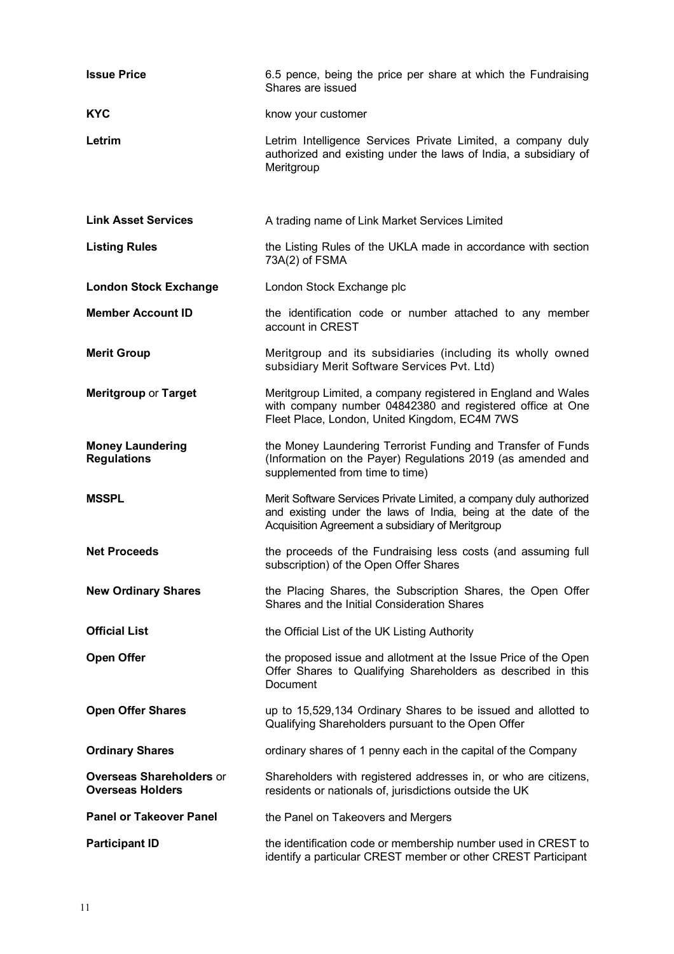| <b>Issue Price</b>                                         | 6.5 pence, being the price per share at which the Fundraising<br>Shares are issued                                                                                                       |
|------------------------------------------------------------|------------------------------------------------------------------------------------------------------------------------------------------------------------------------------------------|
| <b>KYC</b>                                                 | know your customer                                                                                                                                                                       |
| Letrim                                                     | Letrim Intelligence Services Private Limited, a company duly<br>authorized and existing under the laws of India, a subsidiary of<br>Meritgroup                                           |
| <b>Link Asset Services</b>                                 | A trading name of Link Market Services Limited                                                                                                                                           |
| <b>Listing Rules</b>                                       | the Listing Rules of the UKLA made in accordance with section<br>73A(2) of FSMA                                                                                                          |
| <b>London Stock Exchange</b>                               | London Stock Exchange plc                                                                                                                                                                |
| <b>Member Account ID</b>                                   | the identification code or number attached to any member<br>account in CREST                                                                                                             |
| <b>Merit Group</b>                                         | Meritgroup and its subsidiaries (including its wholly owned<br>subsidiary Merit Software Services Pvt. Ltd)                                                                              |
| <b>Meritgroup or Target</b>                                | Meritgroup Limited, a company registered in England and Wales<br>with company number 04842380 and registered office at One<br>Fleet Place, London, United Kingdom, EC4M 7WS              |
| <b>Money Laundering</b><br><b>Regulations</b>              | the Money Laundering Terrorist Funding and Transfer of Funds<br>(Information on the Payer) Regulations 2019 (as amended and<br>supplemented from time to time)                           |
| <b>MSSPL</b>                                               | Merit Software Services Private Limited, a company duly authorized<br>and existing under the laws of India, being at the date of the<br>Acquisition Agreement a subsidiary of Meritgroup |
| <b>Net Proceeds</b>                                        | the proceeds of the Fundraising less costs (and assuming full<br>subscription) of the Open Offer Shares                                                                                  |
| <b>New Ordinary Shares</b>                                 | the Placing Shares, the Subscription Shares, the Open Offer<br>Shares and the Initial Consideration Shares                                                                               |
| <b>Official List</b>                                       | the Official List of the UK Listing Authority                                                                                                                                            |
| <b>Open Offer</b>                                          | the proposed issue and allotment at the Issue Price of the Open<br>Offer Shares to Qualifying Shareholders as described in this<br>Document                                              |
| <b>Open Offer Shares</b>                                   | up to 15,529,134 Ordinary Shares to be issued and allotted to<br>Qualifying Shareholders pursuant to the Open Offer                                                                      |
| <b>Ordinary Shares</b>                                     | ordinary shares of 1 penny each in the capital of the Company                                                                                                                            |
| <b>Overseas Shareholders or</b><br><b>Overseas Holders</b> | Shareholders with registered addresses in, or who are citizens,<br>residents or nationals of, jurisdictions outside the UK                                                               |
| <b>Panel or Takeover Panel</b>                             | the Panel on Takeovers and Mergers                                                                                                                                                       |
| <b>Participant ID</b>                                      | the identification code or membership number used in CREST to<br>identify a particular CREST member or other CREST Participant                                                           |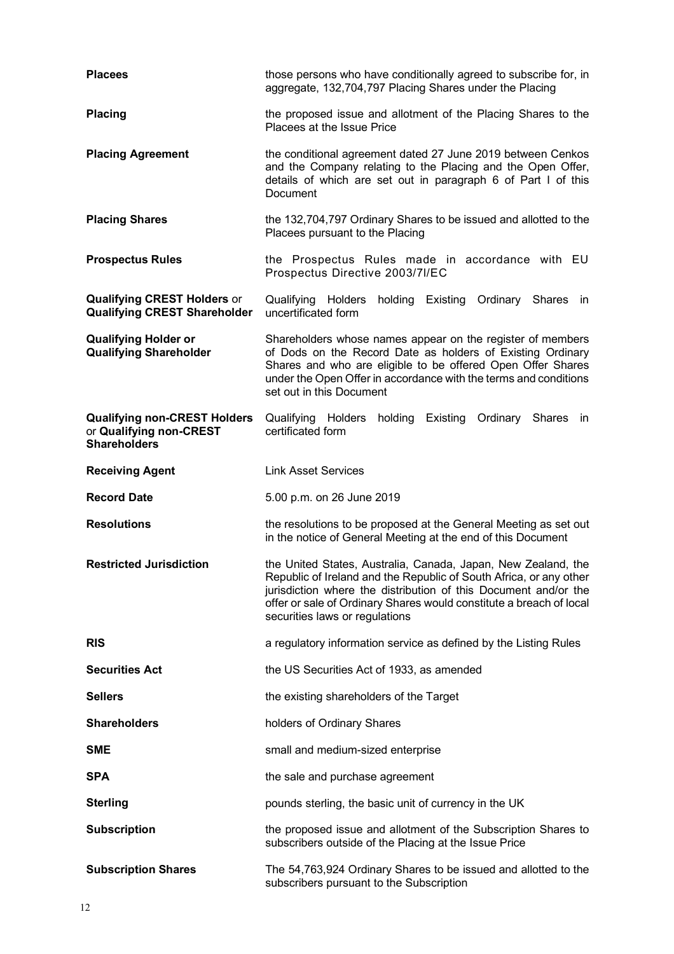| <b>Placees</b>                                                                        | those persons who have conditionally agreed to subscribe for, in<br>aggregate, 132,704,797 Placing Shares under the Placing                                                                                                                                                                                     |  |
|---------------------------------------------------------------------------------------|-----------------------------------------------------------------------------------------------------------------------------------------------------------------------------------------------------------------------------------------------------------------------------------------------------------------|--|
| <b>Placing</b>                                                                        | the proposed issue and allotment of the Placing Shares to the<br>Placees at the Issue Price                                                                                                                                                                                                                     |  |
| <b>Placing Agreement</b>                                                              | the conditional agreement dated 27 June 2019 between Cenkos<br>and the Company relating to the Placing and the Open Offer,<br>details of which are set out in paragraph 6 of Part I of this<br>Document                                                                                                         |  |
| <b>Placing Shares</b>                                                                 | the 132,704,797 Ordinary Shares to be issued and allotted to the<br>Placees pursuant to the Placing                                                                                                                                                                                                             |  |
| <b>Prospectus Rules</b>                                                               | the Prospectus Rules made in accordance with EU<br>Prospectus Directive 2003/7I/EC                                                                                                                                                                                                                              |  |
| <b>Qualifying CREST Holders or</b><br><b>Qualifying CREST Shareholder</b>             | Qualifying Holders holding Existing<br>Ordinary Shares<br>- in<br>uncertificated form                                                                                                                                                                                                                           |  |
| <b>Qualifying Holder or</b><br><b>Qualifying Shareholder</b>                          | Shareholders whose names appear on the register of members<br>of Dods on the Record Date as holders of Existing Ordinary<br>Shares and who are eligible to be offered Open Offer Shares<br>under the Open Offer in accordance with the terms and conditions<br>set out in this Document                         |  |
| <b>Qualifying non-CREST Holders</b><br>or Qualifying non-CREST<br><b>Shareholders</b> | Qualifying Holders<br>holding<br>Existing<br>Ordinary<br><b>Shares</b><br>in<br>certificated form                                                                                                                                                                                                               |  |
| <b>Receiving Agent</b>                                                                | <b>Link Asset Services</b>                                                                                                                                                                                                                                                                                      |  |
| <b>Record Date</b>                                                                    | 5.00 p.m. on 26 June 2019                                                                                                                                                                                                                                                                                       |  |
| <b>Resolutions</b>                                                                    | the resolutions to be proposed at the General Meeting as set out<br>in the notice of General Meeting at the end of this Document                                                                                                                                                                                |  |
| <b>Restricted Jurisdiction</b>                                                        | the United States, Australia, Canada, Japan, New Zealand, the<br>Republic of Ireland and the Republic of South Africa, or any other<br>jurisdiction where the distribution of this Document and/or the<br>offer or sale of Ordinary Shares would constitute a breach of local<br>securities laws or regulations |  |
| <b>RIS</b>                                                                            | a regulatory information service as defined by the Listing Rules                                                                                                                                                                                                                                                |  |
| <b>Securities Act</b>                                                                 | the US Securities Act of 1933, as amended                                                                                                                                                                                                                                                                       |  |
| <b>Sellers</b>                                                                        | the existing shareholders of the Target                                                                                                                                                                                                                                                                         |  |
| <b>Shareholders</b>                                                                   | holders of Ordinary Shares                                                                                                                                                                                                                                                                                      |  |
| <b>SME</b>                                                                            | small and medium-sized enterprise                                                                                                                                                                                                                                                                               |  |
| <b>SPA</b>                                                                            | the sale and purchase agreement                                                                                                                                                                                                                                                                                 |  |
| <b>Sterling</b>                                                                       | pounds sterling, the basic unit of currency in the UK                                                                                                                                                                                                                                                           |  |
| <b>Subscription</b>                                                                   | the proposed issue and allotment of the Subscription Shares to<br>subscribers outside of the Placing at the Issue Price                                                                                                                                                                                         |  |
| <b>Subscription Shares</b>                                                            | The 54,763,924 Ordinary Shares to be issued and allotted to the<br>subscribers pursuant to the Subscription                                                                                                                                                                                                     |  |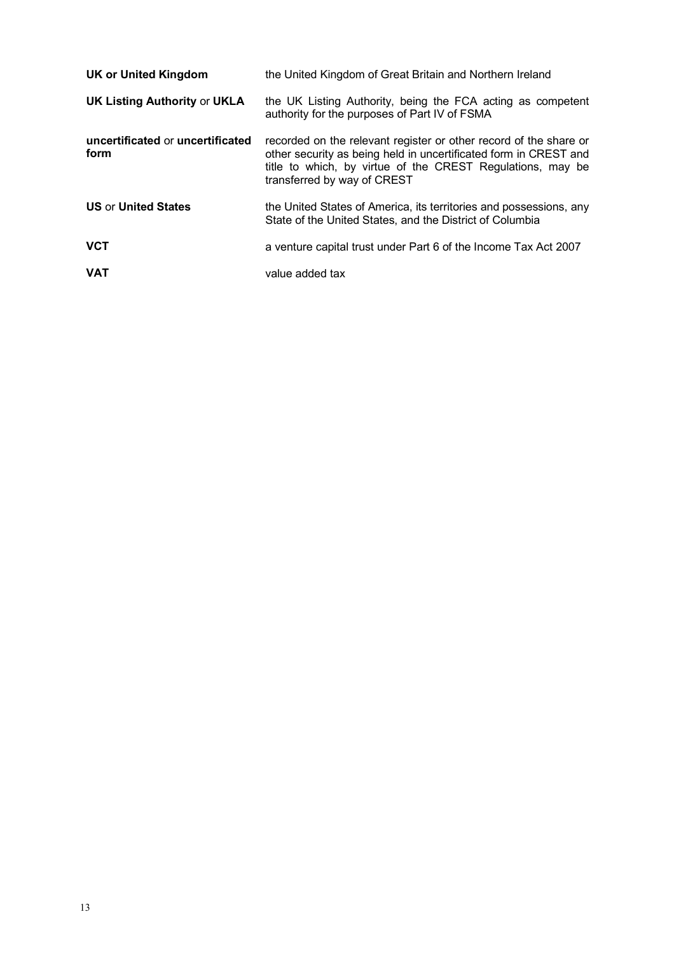| <b>UK or United Kingdom</b>              | the United Kingdom of Great Britain and Northern Ireland                                                                                                                                                                           |
|------------------------------------------|------------------------------------------------------------------------------------------------------------------------------------------------------------------------------------------------------------------------------------|
| <b>UK Listing Authority or UKLA</b>      | the UK Listing Authority, being the FCA acting as competent<br>authority for the purposes of Part IV of FSMA                                                                                                                       |
| uncertificated or uncertificated<br>form | recorded on the relevant register or other record of the share or<br>other security as being held in uncertificated form in CREST and<br>title to which, by virtue of the CREST Regulations, may be<br>transferred by way of CREST |
| <b>US or United States</b>               | the United States of America, its territories and possessions, any<br>State of the United States, and the District of Columbia                                                                                                     |
| <b>VCT</b>                               | a venture capital trust under Part 6 of the Income Tax Act 2007                                                                                                                                                                    |
| <b>VAT</b>                               | value added tax                                                                                                                                                                                                                    |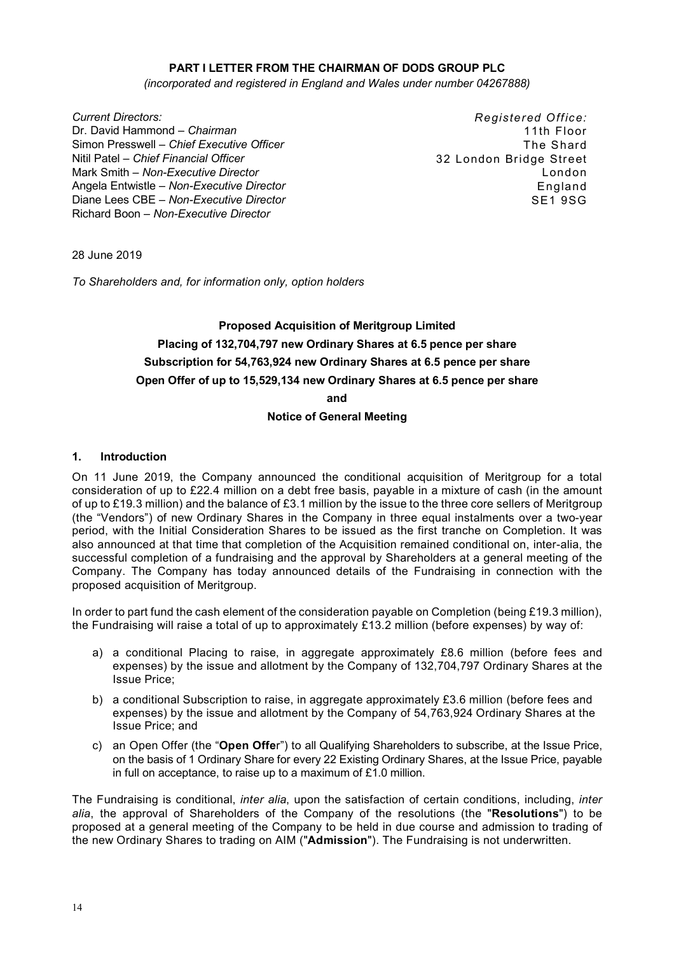### **PART I LETTER FROM THE CHAIRMAN OF DODS GROUP PLC**

*(incorporated and registered in England and Wales under number 04267888)*

*Current Directors:* Dr. David Hammond – *Chairman*  Simon Presswell – *Chief Executive Officer*  Nitil Patel *– Chief Financial Officer* Mark Smith – *Non-Executive Director*  Angela Entwistle – *Non-Executive Director* Diane Lees CBE *– Non-Executive Director* Richard Boon *– Non-Executive Director*

*Registered Office:*  11th Floor The Shard 32 London Bridge Street London England SE1 9SG

28 June 2019

*To Shareholders and, for information only, option holders*

# **Proposed Acquisition of Meritgroup Limited Placing of 132,704,797 new Ordinary Shares at 6.5 pence per share Subscription for 54,763,924 new Ordinary Shares at 6.5 pence per share Open Offer of up to 15,529,134 new Ordinary Shares at 6.5 pence per share and**

**Notice of General Meeting**

#### **1. Introduction**

On 11 June 2019, the Company announced the conditional acquisition of Meritgroup for a total consideration of up to £22.4 million on a debt free basis, payable in a mixture of cash (in the amount of up to £19.3 million) and the balance of £3.1 million by the issue to the three core sellers of Meritgroup (the "Vendors") of new Ordinary Shares in the Company in three equal instalments over a two-year period, with the Initial Consideration Shares to be issued as the first tranche on Completion. It was also announced at that time that completion of the Acquisition remained conditional on, inter-alia, the successful completion of a fundraising and the approval by Shareholders at a general meeting of the Company. The Company has today announced details of the Fundraising in connection with the proposed acquisition of Meritgroup.

In order to part fund the cash element of the consideration payable on Completion (being £19.3 million), the Fundraising will raise a total of up to approximately £13.2 million (before expenses) by way of:

- a) a conditional Placing to raise, in aggregate approximately £8.6 million (before fees and expenses) by the issue and allotment by the Company of 132,704,797 Ordinary Shares at the Issue Price;
- b) a conditional Subscription to raise, in aggregate approximately £3.6 million (before fees and expenses) by the issue and allotment by the Company of 54,763,924 Ordinary Shares at the Issue Price; and
- c) an Open Offer (the "**Open Offe**r") to all Qualifying Shareholders to subscribe, at the Issue Price, on the basis of 1 Ordinary Share for every 22 Existing Ordinary Shares, at the Issue Price, payable in full on acceptance, to raise up to a maximum of £1.0 million.

The Fundraising is conditional, *inter alia*, upon the satisfaction of certain conditions, including, *inter alia*, the approval of Shareholders of the Company of the resolutions (the "**Resolutions**") to be proposed at a general meeting of the Company to be held in due course and admission to trading of the new Ordinary Shares to trading on AIM ("**Admission**"). The Fundraising is not underwritten.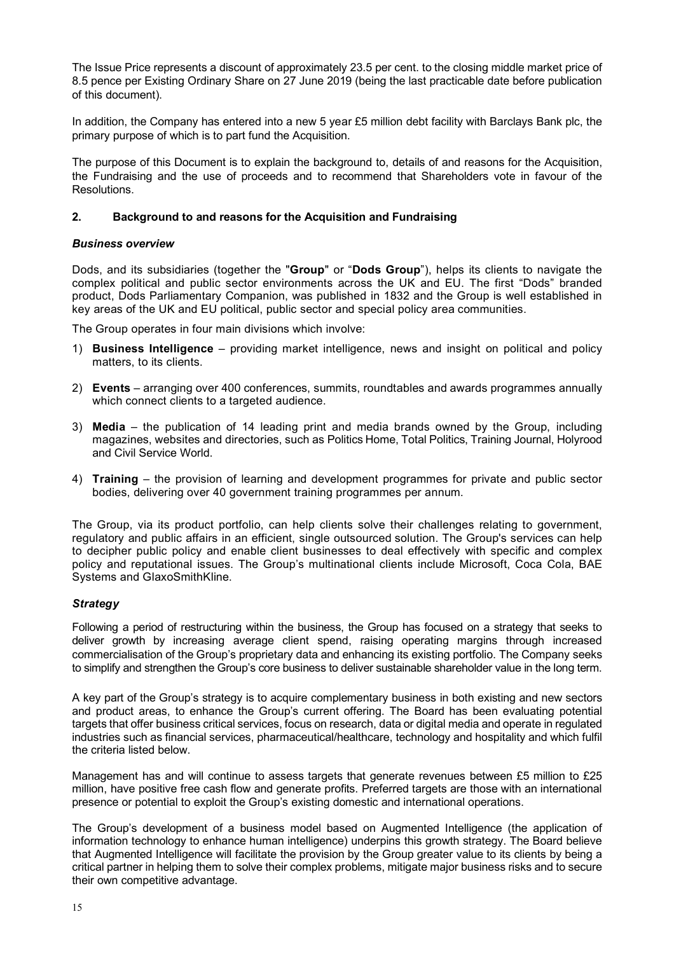The Issue Price represents a discount of approximately 23.5 per cent. to the closing middle market price of 8.5 pence per Existing Ordinary Share on 27 June 2019 (being the last practicable date before publication of this document).

In addition, the Company has entered into a new 5 year £5 million debt facility with Barclays Bank plc, the primary purpose of which is to part fund the Acquisition.

The purpose of this Document is to explain the background to, details of and reasons for the Acquisition, the Fundraising and the use of proceeds and to recommend that Shareholders vote in favour of the Resolutions.

### **2. Background to and reasons for the Acquisition and Fundraising**

### *Business overview*

Dods, and its subsidiaries (together the "**Group**" or "**Dods Group**"), helps its clients to navigate the complex political and public sector environments across the UK and EU. The first "Dods" branded product, Dods Parliamentary Companion, was published in 1832 and the Group is well established in key areas of the UK and EU political, public sector and special policy area communities.

The Group operates in four main divisions which involve:

- 1) **Business Intelligence** providing market intelligence, news and insight on political and policy matters, to its clients.
- 2) **Events** arranging over 400 conferences, summits, roundtables and awards programmes annually which connect clients to a targeted audience.
- 3) **Media** the publication of 14 leading print and media brands owned by the Group, including magazines, websites and directories, such as Politics Home, Total Politics, Training Journal, Holyrood and Civil Service World.
- 4) **Training** the provision of learning and development programmes for private and public sector bodies, delivering over 40 government training programmes per annum.

The Group, via its product portfolio, can help clients solve their challenges relating to government, regulatory and public affairs in an efficient, single outsourced solution. The Group's services can help to decipher public policy and enable client businesses to deal effectively with specific and complex policy and reputational issues. The Group's multinational clients include Microsoft, Coca Cola, BAE Systems and GlaxoSmithKline.

### *Strategy*

Following a period of restructuring within the business, the Group has focused on a strategy that seeks to deliver growth by increasing average client spend, raising operating margins through increased commercialisation of the Group's proprietary data and enhancing its existing portfolio. The Company seeks to simplify and strengthen the Group's core business to deliver sustainable shareholder value in the long term.

A key part of the Group's strategy is to acquire complementary business in both existing and new sectors and product areas, to enhance the Group's current offering. The Board has been evaluating potential targets that offer business critical services, focus on research, data or digital media and operate in regulated industries such as financial services, pharmaceutical/healthcare, technology and hospitality and which fulfil the criteria listed below.

Management has and will continue to assess targets that generate revenues between £5 million to £25 million, have positive free cash flow and generate profits. Preferred targets are those with an international presence or potential to exploit the Group's existing domestic and international operations.

The Group's development of a business model based on Augmented Intelligence (the application of information technology to enhance human intelligence) underpins this growth strategy. The Board believe that Augmented Intelligence will facilitate the provision by the Group greater value to its clients by being a critical partner in helping them to solve their complex problems, mitigate major business risks and to secure their own competitive advantage.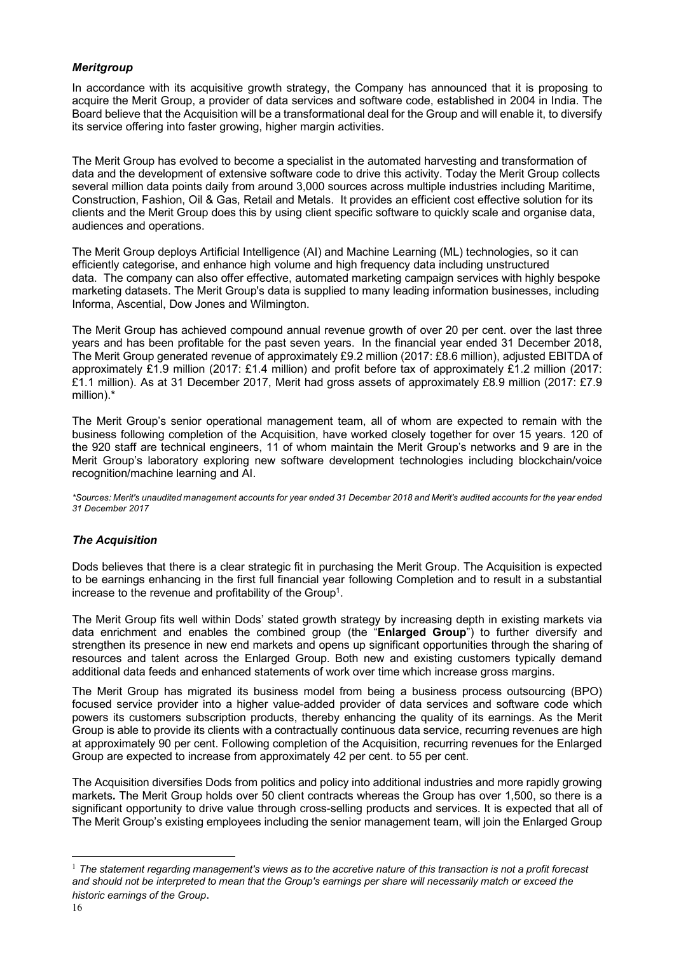## *Meritgroup*

In accordance with its acquisitive growth strategy, the Company has announced that it is proposing to acquire the Merit Group, a provider of data services and software code, established in 2004 in India. The Board believe that the Acquisition will be a transformational deal for the Group and will enable it, to diversify its service offering into faster growing, higher margin activities.

The Merit Group has evolved to become a specialist in the automated harvesting and transformation of data and the development of extensive software code to drive this activity. Today the Merit Group collects several million data points daily from around 3,000 sources across multiple industries including Maritime, Construction, Fashion, Oil & Gas, Retail and Metals. It provides an efficient cost effective solution for its clients and the Merit Group does this by using client specific software to quickly scale and organise data, audiences and operations.

The Merit Group deploys Artificial Intelligence (AI) and Machine Learning (ML) technologies, so it can efficiently categorise, and enhance high volume and high frequency data including unstructured data. The company can also offer effective, automated marketing campaign services with highly bespoke marketing datasets. The Merit Group's data is supplied to many leading information businesses, including Informa, Ascential, Dow Jones and Wilmington.

The Merit Group has achieved compound annual revenue growth of over 20 per cent. over the last three years and has been profitable for the past seven years. In the financial year ended 31 December 2018, The Merit Group generated revenue of approximately £9.2 million (2017: £8.6 million), adjusted EBITDA of approximately £1.9 million (2017: £1.4 million) and profit before tax of approximately £1.2 million (2017: £1.1 million). As at 31 December 2017, Merit had gross assets of approximately £8.9 million (2017: £7.9 million).\*

The Merit Group's senior operational management team, all of whom are expected to remain with the business following completion of the Acquisition, have worked closely together for over 15 years. 120 of the 920 staff are technical engineers, 11 of whom maintain the Merit Group's networks and 9 are in the Merit Group's laboratory exploring new software development technologies including blockchain/voice recognition/machine learning and AI.

*\*Sources: Merit's unaudited management accounts for year ended 31 December 2018 and Merit's audited accounts for the year ended 31 December 2017*

### *The Acquisition*

Dods believes that there is a clear strategic fit in purchasing the Merit Group. The Acquisition is expected to be earnings enhancing in the first full financial year following Completion and to result in a substantial increase to the revenue and profitability of the Group<sup>1</sup>.

The Merit Group fits well within Dods' stated growth strategy by increasing depth in existing markets via data enrichment and enables the combined group (the "**Enlarged Group**") to further diversify and strengthen its presence in new end markets and opens up significant opportunities through the sharing of resources and talent across the Enlarged Group. Both new and existing customers typically demand additional data feeds and enhanced statements of work over time which increase gross margins.

The Merit Group has migrated its business model from being a business process outsourcing (BPO) focused service provider into a higher value-added provider of data services and software code which powers its customers subscription products, thereby enhancing the quality of its earnings. As the Merit Group is able to provide its clients with a contractually continuous data service, recurring revenues are high at approximately 90 per cent. Following completion of the Acquisition, recurring revenues for the Enlarged Group are expected to increase from approximately 42 per cent. to 55 per cent.

The Acquisition diversifies Dods from politics and policy into additional industries and more rapidly growing markets*.* The Merit Group holds over 50 client contracts whereas the Group has over 1,500, so there is a significant opportunity to drive value through cross-selling products and services. It is expected that all of The Merit Group's existing employees including the senior management team, will join the Enlarged Group

<sup>&</sup>lt;sup>1</sup> The statement regarding management's views as to the accretive nature of this transaction is not a profit forecast *and should not be interpreted to mean that the Group's earnings per share will necessarily match or exceed the historic earnings of the Group*.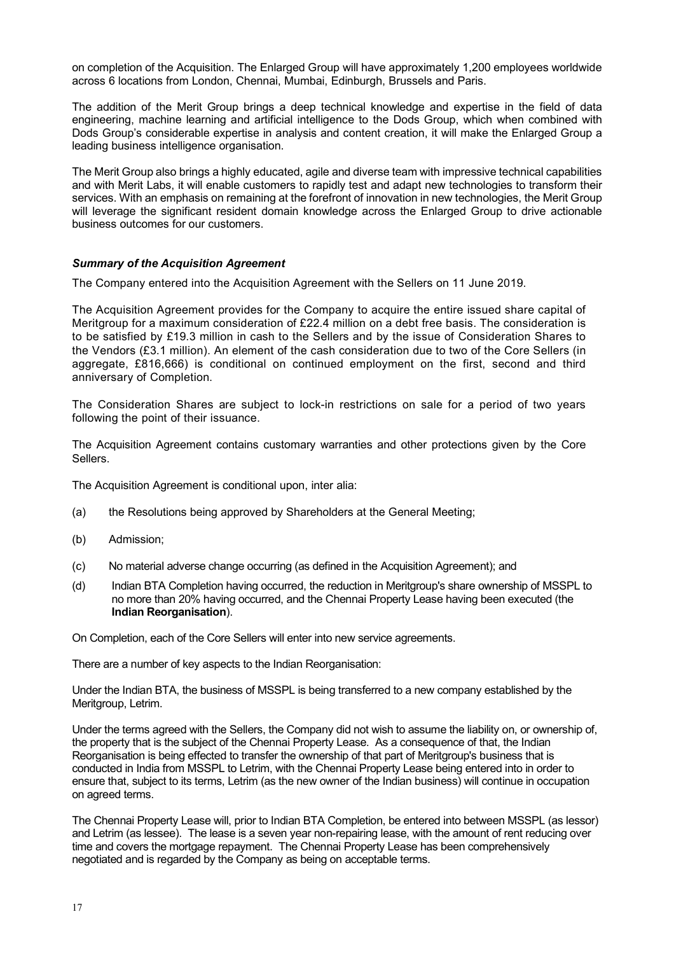on completion of the Acquisition. The Enlarged Group will have approximately 1,200 employees worldwide across 6 locations from London, Chennai, Mumbai, Edinburgh, Brussels and Paris.

The addition of the Merit Group brings a deep technical knowledge and expertise in the field of data engineering, machine learning and artificial intelligence to the Dods Group, which when combined with Dods Group's considerable expertise in analysis and content creation, it will make the Enlarged Group a leading business intelligence organisation.

The Merit Group also brings a highly educated, agile and diverse team with impressive technical capabilities and with Merit Labs, it will enable customers to rapidly test and adapt new technologies to transform their services. With an emphasis on remaining at the forefront of innovation in new technologies, the Merit Group will leverage the significant resident domain knowledge across the Enlarged Group to drive actionable business outcomes for our customers.

#### *Summary of the Acquisition Agreement*

The Company entered into the Acquisition Agreement with the Sellers on 11 June 2019.

The Acquisition Agreement provides for the Company to acquire the entire issued share capital of Meritgroup for a maximum consideration of £22.4 million on a debt free basis. The consideration is to be satisfied by £19.3 million in cash to the Sellers and by the issue of Consideration Shares to the Vendors (£3.1 million). An element of the cash consideration due to two of the Core Sellers (in aggregate, £816,666) is conditional on continued employment on the first, second and third anniversary of Completion.

The Consideration Shares are subject to lock-in restrictions on sale for a period of two years following the point of their issuance.

The Acquisition Agreement contains customary warranties and other protections given by the Core Sellers.

The Acquisition Agreement is conditional upon, inter alia:

- (a) the Resolutions being approved by Shareholders at the General Meeting;
- (b) Admission;
- (c) No material adverse change occurring (as defined in the Acquisition Agreement); and
- (d) Indian BTA Completion having occurred, the reduction in Meritgroup's share ownership of MSSPL to no more than 20% having occurred, and the Chennai Property Lease having been executed (the **Indian Reorganisation**).

On Completion, each of the Core Sellers will enter into new service agreements.

There are a number of key aspects to the Indian Reorganisation:

Under the Indian BTA, the business of MSSPL is being transferred to a new company established by the Meritgroup, Letrim.

Under the terms agreed with the Sellers, the Company did not wish to assume the liability on, or ownership of, the property that is the subject of the Chennai Property Lease. As a consequence of that, the Indian Reorganisation is being effected to transfer the ownership of that part of Meritgroup's business that is conducted in India from MSSPL to Letrim, with the Chennai Property Lease being entered into in order to ensure that, subject to its terms, Letrim (as the new owner of the Indian business) will continue in occupation on agreed terms.

The Chennai Property Lease will, prior to Indian BTA Completion, be entered into between MSSPL (as lessor) and Letrim (as lessee). The lease is a seven year non-repairing lease, with the amount of rent reducing over time and covers the mortgage repayment. The Chennai Property Lease has been comprehensively negotiated and is regarded by the Company as being on acceptable terms.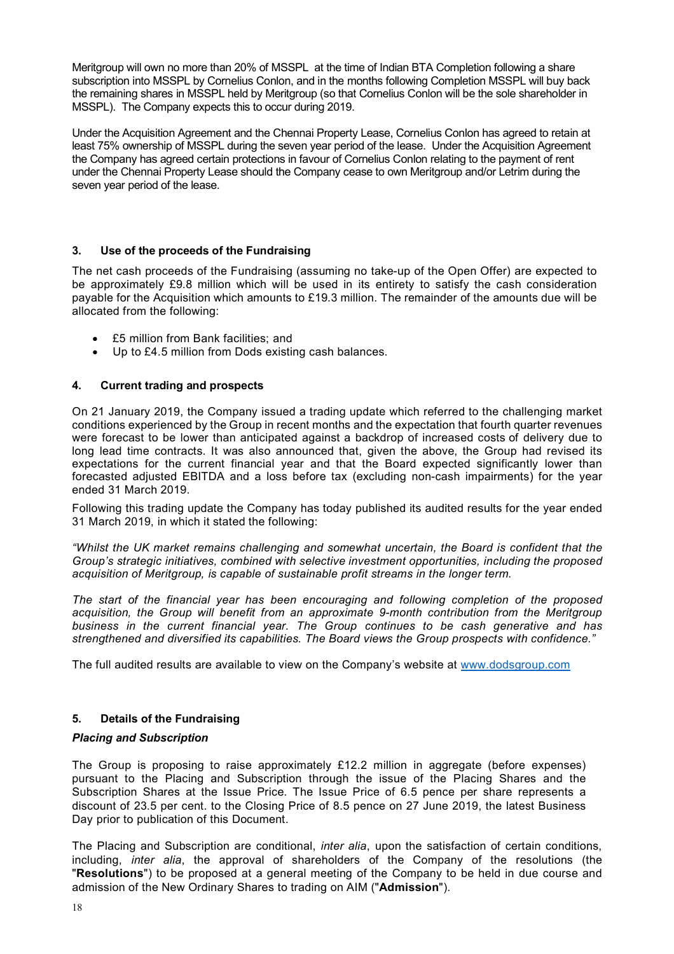Meritgroup will own no more than 20% of MSSPL at the time of Indian BTA Completion following a share subscription into MSSPL by Cornelius Conlon, and in the months following Completion MSSPL will buy back the remaining shares in MSSPL held by Meritgroup (so that Cornelius Conlon will be the sole shareholder in MSSPL). The Company expects this to occur during 2019.

Under the Acquisition Agreement and the Chennai Property Lease, Cornelius Conlon has agreed to retain at least 75% ownership of MSSPL during the seven year period of the lease. Under the Acquisition Agreement the Company has agreed certain protections in favour of Cornelius Conlon relating to the payment of rent under the Chennai Property Lease should the Company cease to own Meritgroup and/or Letrim during the seven year period of the lease.

### **3. Use of the proceeds of the Fundraising**

The net cash proceeds of the Fundraising (assuming no take-up of the Open Offer) are expected to be approximately £9.8 million which will be used in its entirety to satisfy the cash consideration payable for the Acquisition which amounts to £19.3 million. The remainder of the amounts due will be allocated from the following:

- £5 million from Bank facilities; and
- Up to £4.5 million from Dods existing cash balances.

## **4. Current trading and prospects**

On 21 January 2019, the Company issued a trading update which referred to the challenging market conditions experienced by the Group in recent months and the expectation that fourth quarter revenues were forecast to be lower than anticipated against a backdrop of increased costs of delivery due to long lead time contracts. It was also announced that, given the above, the Group had revised its expectations for the current financial year and that the Board expected significantly lower than forecasted adjusted EBITDA and a loss before tax (excluding non-cash impairments) for the year ended 31 March 2019.

Following this trading update the Company has today published its audited results for the year ended 31 March 2019, in which it stated the following:

*"Whilst the UK market remains challenging and somewhat uncertain, the Board is confident that the Group's strategic initiatives, combined with selective investment opportunities, including the proposed acquisition of Meritgroup, is capable of sustainable profit streams in the longer term.* 

*The start of the financial year has been encouraging and following completion of the proposed acquisition, the Group will benefit from an approximate 9-month contribution from the Meritgroup business in the current financial year. The Group continues to be cash generative and has strengthened and diversified its capabilities. The Board views the Group prospects with confidence."*

The full audited results are available to view on the Company's website at www.dodsgroup.com

### **5. Details of the Fundraising**

### *Placing and Subscription*

The Group is proposing to raise approximately  $£12.2$  million in aggregate (before expenses) pursuant to the Placing and Subscription through the issue of the Placing Shares and the Subscription Shares at the Issue Price. The Issue Price of 6.5 pence per share represents a discount of 23.5 per cent. to the Closing Price of 8.5 pence on 27 June 2019, the latest Business Day prior to publication of this Document.

The Placing and Subscription are conditional, *inter alia*, upon the satisfaction of certain conditions, including, *inter alia*, the approval of shareholders of the Company of the resolutions (the "**Resolutions**") to be proposed at a general meeting of the Company to be held in due course and admission of the New Ordinary Shares to trading on AIM ("**Admission**").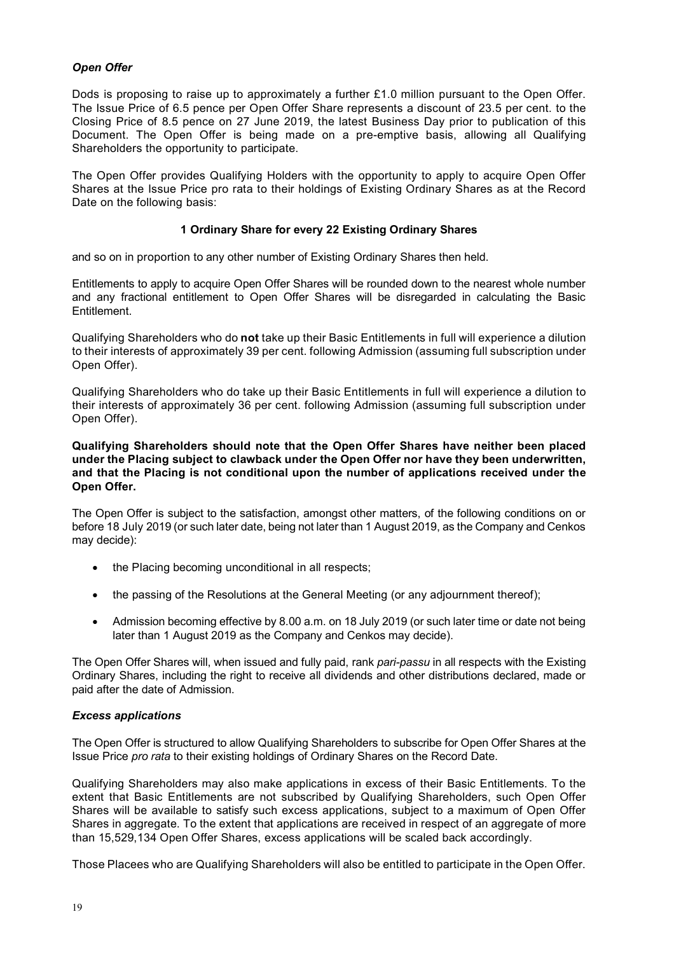### *Open Offer*

Dods is proposing to raise up to approximately a further £1.0 million pursuant to the Open Offer. The Issue Price of 6.5 pence per Open Offer Share represents a discount of 23.5 per cent. to the Closing Price of 8.5 pence on 27 June 2019, the latest Business Day prior to publication of this Document. The Open Offer is being made on a pre-emptive basis, allowing all Qualifying Shareholders the opportunity to participate.

The Open Offer provides Qualifying Holders with the opportunity to apply to acquire Open Offer Shares at the Issue Price pro rata to their holdings of Existing Ordinary Shares as at the Record Date on the following basis:

#### **1 Ordinary Share for every 22 Existing Ordinary Shares**

and so on in proportion to any other number of Existing Ordinary Shares then held.

Entitlements to apply to acquire Open Offer Shares will be rounded down to the nearest whole number and any fractional entitlement to Open Offer Shares will be disregarded in calculating the Basic Entitlement.

Qualifying Shareholders who do **not** take up their Basic Entitlements in full will experience a dilution to their interests of approximately 39 per cent. following Admission (assuming full subscription under Open Offer).

Qualifying Shareholders who do take up their Basic Entitlements in full will experience a dilution to their interests of approximately 36 per cent. following Admission (assuming full subscription under Open Offer).

#### **Qualifying Shareholders should note that the Open Offer Shares have neither been placed under the Placing subject to clawback under the Open Offer nor have they been underwritten, and that the Placing is not conditional upon the number of applications received under the Open Offer.**

The Open Offer is subject to the satisfaction, amongst other matters, of the following conditions on or before 18 July 2019 (or such later date, being not later than 1 August 2019, as the Company and Cenkos may decide):

- the Placing becoming unconditional in all respects;
- the passing of the Resolutions at the General Meeting (or any adjournment thereof);
- Admission becoming effective by 8.00 a.m. on 18 July 2019 (or such later time or date not being later than 1 August 2019 as the Company and Cenkos may decide).

The Open Offer Shares will, when issued and fully paid, rank *pari-passu* in all respects with the Existing Ordinary Shares, including the right to receive all dividends and other distributions declared, made or paid after the date of Admission.

### *Excess applications*

The Open Offer is structured to allow Qualifying Shareholders to subscribe for Open Offer Shares at the Issue Price *pro rata* to their existing holdings of Ordinary Shares on the Record Date.

Qualifying Shareholders may also make applications in excess of their Basic Entitlements. To the extent that Basic Entitlements are not subscribed by Qualifying Shareholders, such Open Offer Shares will be available to satisfy such excess applications, subject to a maximum of Open Offer Shares in aggregate. To the extent that applications are received in respect of an aggregate of more than 15,529,134 Open Offer Shares, excess applications will be scaled back accordingly.

Those Placees who are Qualifying Shareholders will also be entitled to participate in the Open Offer.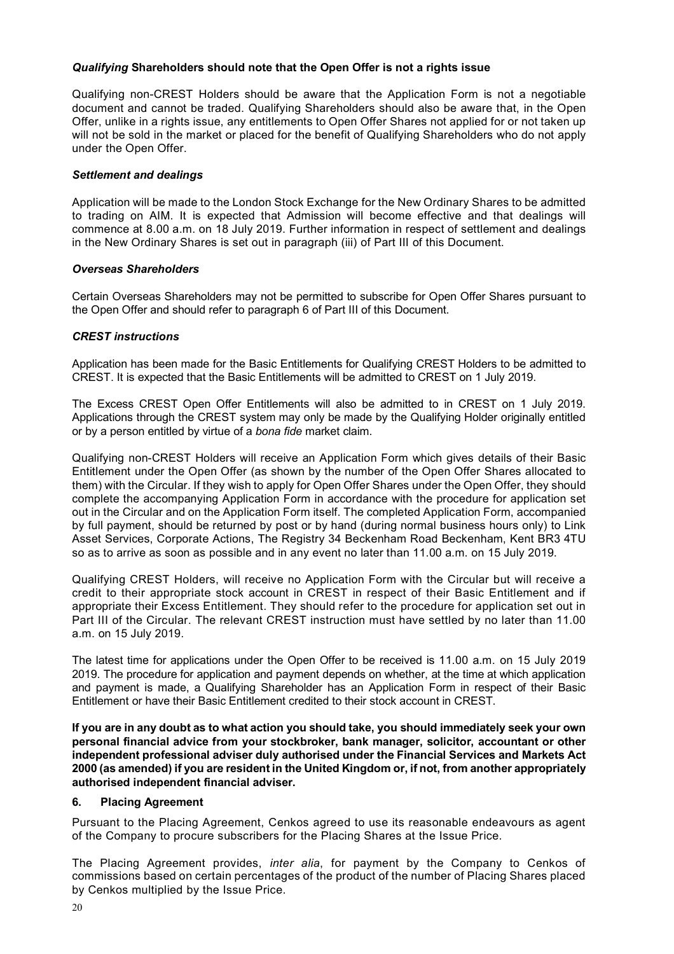### *Qualifying* **Shareholders should note that the Open Offer is not a rights issue**

Qualifying non-CREST Holders should be aware that the Application Form is not a negotiable document and cannot be traded. Qualifying Shareholders should also be aware that, in the Open Offer, unlike in a rights issue, any entitlements to Open Offer Shares not applied for or not taken up will not be sold in the market or placed for the benefit of Qualifying Shareholders who do not apply under the Open Offer.

## *Settlement and dealings*

Application will be made to the London Stock Exchange for the New Ordinary Shares to be admitted to trading on AIM. It is expected that Admission will become effective and that dealings will commence at 8.00 a.m. on 18 July 2019. Further information in respect of settlement and dealings in the New Ordinary Shares is set out in paragraph (iii) of Part III of this Document.

### *Overseas Shareholders*

Certain Overseas Shareholders may not be permitted to subscribe for Open Offer Shares pursuant to the Open Offer and should refer to paragraph 6 of Part III of this Document.

## *CREST instructions*

Application has been made for the Basic Entitlements for Qualifying CREST Holders to be admitted to CREST. It is expected that the Basic Entitlements will be admitted to CREST on 1 July 2019.

The Excess CREST Open Offer Entitlements will also be admitted to in CREST on 1 July 2019. Applications through the CREST system may only be made by the Qualifying Holder originally entitled or by a person entitled by virtue of a *bona fide* market claim.

Qualifying non-CREST Holders will receive an Application Form which gives details of their Basic Entitlement under the Open Offer (as shown by the number of the Open Offer Shares allocated to them) with the Circular. If they wish to apply for Open Offer Shares under the Open Offer, they should complete the accompanying Application Form in accordance with the procedure for application set out in the Circular and on the Application Form itself. The completed Application Form, accompanied by full payment, should be returned by post or by hand (during normal business hours only) to Link Asset Services, Corporate Actions, The Registry 34 Beckenham Road Beckenham, Kent BR3 4TU so as to arrive as soon as possible and in any event no later than 11.00 a.m. on 15 July 2019.

Qualifying CREST Holders, will receive no Application Form with the Circular but will receive a credit to their appropriate stock account in CREST in respect of their Basic Entitlement and if appropriate their Excess Entitlement. They should refer to the procedure for application set out in Part III of the Circular. The relevant CREST instruction must have settled by no later than 11.00 a.m. on 15 July 2019.

The latest time for applications under the Open Offer to be received is 11.00 a.m. on 15 July 2019 2019. The procedure for application and payment depends on whether, at the time at which application and payment is made, a Qualifying Shareholder has an Application Form in respect of their Basic Entitlement or have their Basic Entitlement credited to their stock account in CREST.

**If you are in any doubt as to what action you should take, you should immediately seek your own personal financial advice from your stockbroker, bank manager, solicitor, accountant or other independent professional adviser duly authorised under the Financial Services and Markets Act 2000 (as amended) if you are resident in the United Kingdom or, if not, from another appropriately authorised independent financial adviser.**

### **6. Placing Agreement**

Pursuant to the Placing Agreement, Cenkos agreed to use its reasonable endeavours as agent of the Company to procure subscribers for the Placing Shares at the Issue Price.

The Placing Agreement provides, *inter alia*, for payment by the Company to Cenkos of commissions based on certain percentages of the product of the number of Placing Shares placed by Cenkos multiplied by the Issue Price.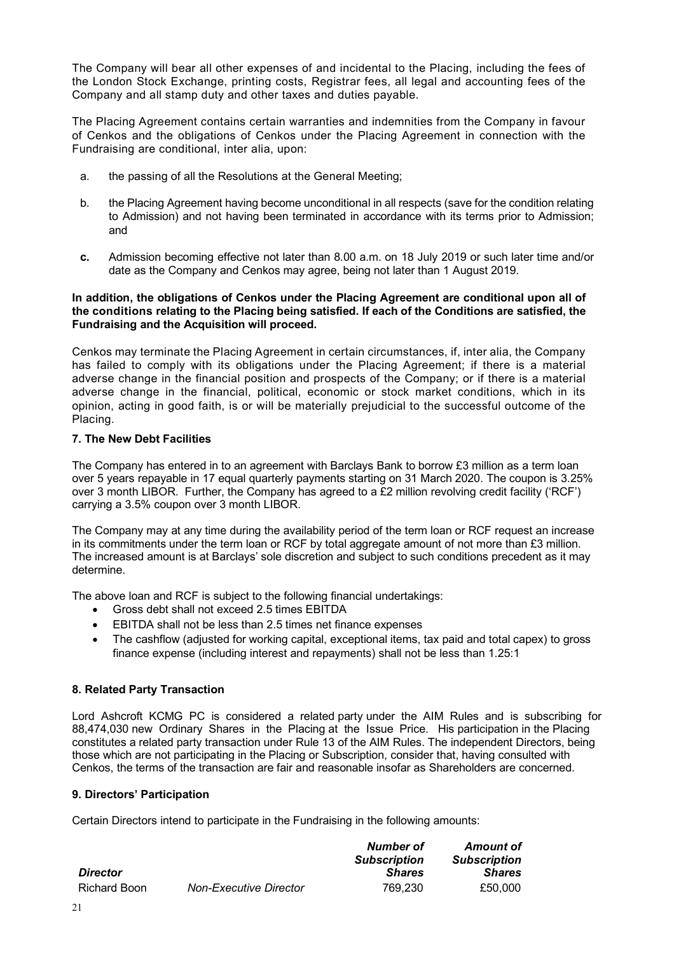The Company will bear all other expenses of and incidental to the Placing, including the fees of the London Stock Exchange, printing costs, Registrar fees, all legal and accounting fees of the Company and all stamp duty and other taxes and duties payable.

The Placing Agreement contains certain warranties and indemnities from the Company in favour of Cenkos and the obligations of Cenkos under the Placing Agreement in connection with the Fundraising are conditional, inter alia, upon:

- a. the passing of all the Resolutions at the General Meeting;
- b. the Placing Agreement having become unconditional in all respects (save for the condition relating to Admission) and not having been terminated in accordance with its terms prior to Admission; and
- **c.** Admission becoming effective not later than 8.00 a.m. on 18 July 2019 or such later time and/or date as the Company and Cenkos may agree, being not later than 1 August 2019.

### **In addition, the obligations of Cenkos under the Placing Agreement are conditional upon all of the conditions relating to the Placing being satisfied. If each of the Conditions are satisfied, the Fundraising and the Acquisition will proceed.**

Cenkos may terminate the Placing Agreement in certain circumstances, if, inter alia, the Company has failed to comply with its obligations under the Placing Agreement; if there is a material adverse change in the financial position and prospects of the Company; or if there is a material adverse change in the financial, political, economic or stock market conditions, which in its opinion, acting in good faith, is or will be materially prejudicial to the successful outcome of the Placing.

## **7. The New Debt Facilities**

The Company has entered in to an agreement with Barclays Bank to borrow £3 million as a term loan over 5 years repayable in 17 equal quarterly payments starting on 31 March 2020. The coupon is 3.25% over 3 month LIBOR. Further, the Company has agreed to a £2 million revolving credit facility ('RCF') carrying a 3.5% coupon over 3 month LIBOR.

The Company may at any time during the availability period of the term loan or RCF request an increase in its commitments under the term loan or RCF by total aggregate amount of not more than £3 million. The increased amount is at Barclays' sole discretion and subject to such conditions precedent as it may determine.

The above loan and RCF is subject to the following financial undertakings:

- Gross debt shall not exceed 2.5 times EBITDA
- EBITDA shall not be less than 2.5 times net finance expenses
- The cashflow (adjusted for working capital, exceptional items, tax paid and total capex) to gross finance expense (including interest and repayments) shall not be less than 1.25:1

## **8. Related Party Transaction**

Lord Ashcroft KCMG PC is considered a related party under the AIM Rules and is subscribing for 88,474,030 new Ordinary Shares in the Placing at the Issue Price. His participation in the Placing constitutes a related party transaction under Rule 13 of the AIM Rules. The independent Directors, being those which are not participating in the Placing or Subscription, consider that, having consulted with Cenkos, the terms of the transaction are fair and reasonable insofar as Shareholders are concerned.

### **9. Directors' Participation**

Certain Directors intend to participate in the Fundraising in the following amounts:

|                 |                               | Number of           | <b>Amount of</b>    |
|-----------------|-------------------------------|---------------------|---------------------|
|                 |                               | <b>Subscription</b> | <b>Subscription</b> |
| <b>Director</b> |                               | <b>Shares</b>       | <b>Shares</b>       |
| Richard Boon    | <b>Non-Executive Director</b> | 769.230             | £50,000             |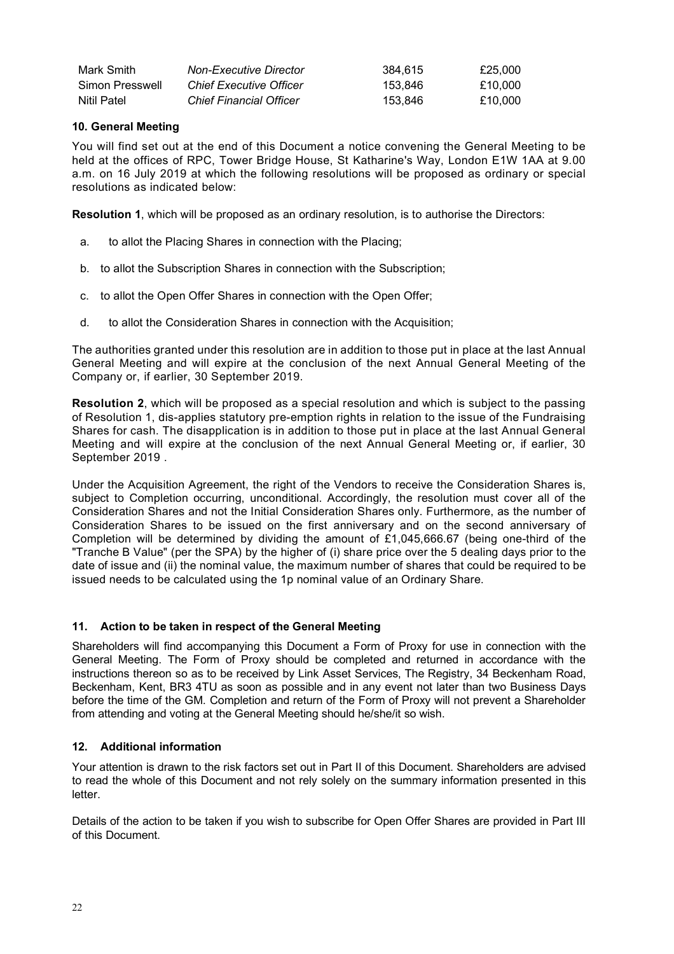| Mark Smith      | Non-Executive Director         | 384.615 | £25.000 |
|-----------------|--------------------------------|---------|---------|
| Simon Presswell | <b>Chief Executive Officer</b> | 153.846 | £10.000 |
| Nitil Patel     | <b>Chief Financial Officer</b> | 153.846 | £10.000 |

## **10. General Meeting**

You will find set out at the end of this Document a notice convening the General Meeting to be held at the offices of RPC, Tower Bridge House, St Katharine's Way, London E1W 1AA at 9.00 a.m. on 16 July 2019 at which the following resolutions will be proposed as ordinary or special resolutions as indicated below:

**Resolution 1**, which will be proposed as an ordinary resolution, is to authorise the Directors:

- a. to allot the Placing Shares in connection with the Placing;
- b. to allot the Subscription Shares in connection with the Subscription;
- c. to allot the Open Offer Shares in connection with the Open Offer;
- d. to allot the Consideration Shares in connection with the Acquisition;

The authorities granted under this resolution are in addition to those put in place at the last Annual General Meeting and will expire at the conclusion of the next Annual General Meeting of the Company or, if earlier, 30 September 2019.

**Resolution 2**, which will be proposed as a special resolution and which is subject to the passing of Resolution 1, dis-applies statutory pre-emption rights in relation to the issue of the Fundraising Shares for cash. The disapplication is in addition to those put in place at the last Annual General Meeting and will expire at the conclusion of the next Annual General Meeting or, if earlier, 30 September 2019 .

Under the Acquisition Agreement, the right of the Vendors to receive the Consideration Shares is, subject to Completion occurring, unconditional. Accordingly, the resolution must cover all of the Consideration Shares and not the Initial Consideration Shares only. Furthermore, as the number of Consideration Shares to be issued on the first anniversary and on the second anniversary of Completion will be determined by dividing the amount of £1,045,666.67 (being one-third of the "Tranche B Value" (per the SPA) by the higher of (i) share price over the 5 dealing days prior to the date of issue and (ii) the nominal value, the maximum number of shares that could be required to be issued needs to be calculated using the 1p nominal value of an Ordinary Share.

### **11. Action to be taken in respect of the General Meeting**

Shareholders will find accompanying this Document a Form of Proxy for use in connection with the General Meeting. The Form of Proxy should be completed and returned in accordance with the instructions thereon so as to be received by Link Asset Services, The Registry, 34 Beckenham Road, Beckenham, Kent, BR3 4TU as soon as possible and in any event not later than two Business Days before the time of the GM. Completion and return of the Form of Proxy will not prevent a Shareholder from attending and voting at the General Meeting should he/she/it so wish.

## **12. Additional information**

Your attention is drawn to the risk factors set out in Part II of this Document. Shareholders are advised to read the whole of this Document and not rely solely on the summary information presented in this letter.

Details of the action to be taken if you wish to subscribe for Open Offer Shares are provided in Part III of this Document.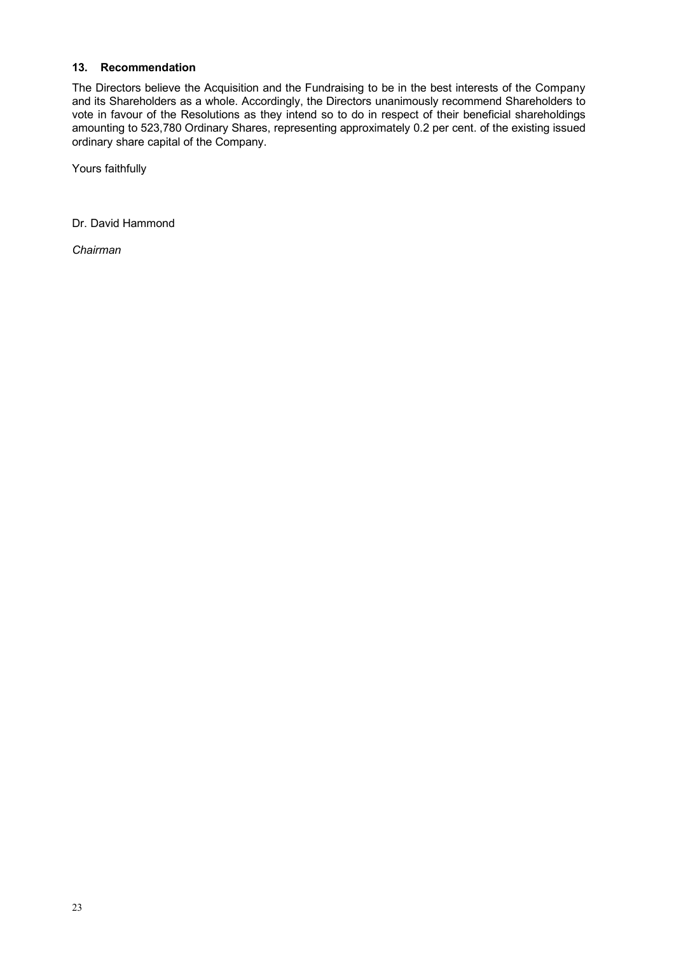## **13. Recommendation**

The Directors believe the Acquisition and the Fundraising to be in the best interests of the Company and its Shareholders as a whole. Accordingly, the Directors unanimously recommend Shareholders to vote in favour of the Resolutions as they intend so to do in respect of their beneficial shareholdings amounting to 523,780 Ordinary Shares, representing approximately 0.2 per cent. of the existing issued ordinary share capital of the Company.

Yours faithfully

Dr. David Hammond

*Chairman*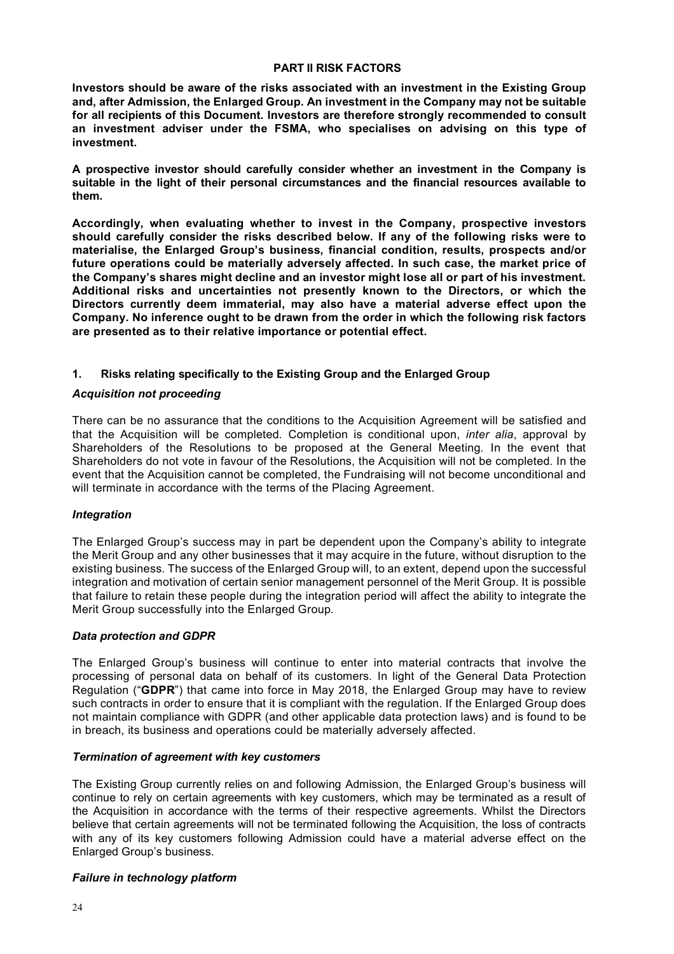#### **PART II RISK FACTORS**

**Investors should be aware of the risks associated with an investment in the Existing Group and, after Admission, the Enlarged Group. An investment in the Company may not be suitable for all recipients of this Document. Investors are therefore strongly recommended to consult an investment adviser under the FSMA, who specialises on advising on this type of investment.**

**A prospective investor should carefully consider whether an investment in the Company is suitable in the light of their personal circumstances and the financial resources available to them.**

**Accordingly, when evaluating whether to invest in the Company, prospective investors should carefully consider the risks described below. If any of the following risks were to materialise, the Enlarged Group's business, financial condition, results, prospects and/or future operations could be materially adversely affected. In such case, the market price of the Company's shares might decline and an investor might lose all or part of his investment. Additional risks and uncertainties not presently known to the Directors, or which the Directors currently deem immaterial, may also have a material adverse effect upon the Company. No inference ought to be drawn from the order in which the following risk factors are presented as to their relative importance or potential effect.**

## **1. Risks relating specifically to the Existing Group and the Enlarged Group**

#### *Acquisition not proceeding*

There can be no assurance that the conditions to the Acquisition Agreement will be satisfied and that the Acquisition will be completed. Completion is conditional upon, *inter alia*, approval by Shareholders of the Resolutions to be proposed at the General Meeting. In the event that Shareholders do not vote in favour of the Resolutions, the Acquisition will not be completed. In the event that the Acquisition cannot be completed, the Fundraising will not become unconditional and will terminate in accordance with the terms of the Placing Agreement.

### *Integration*

The Enlarged Group's success may in part be dependent upon the Company's ability to integrate the Merit Group and any other businesses that it may acquire in the future, without disruption to the existing business. The success of the Enlarged Group will, to an extent, depend upon the successful integration and motivation of certain senior management personnel of the Merit Group. It is possible that failure to retain these people during the integration period will affect the ability to integrate the Merit Group successfully into the Enlarged Group.

#### *Data protection and GDPR*

The Enlarged Group's business will continue to enter into material contracts that involve the processing of personal data on behalf of its customers. In light of the General Data Protection Regulation ("**GDPR**") that came into force in May 2018, the Enlarged Group may have to review such contracts in order to ensure that it is compliant with the regulation. If the Enlarged Group does not maintain compliance with GDPR (and other applicable data protection laws) and is found to be in breach, its business and operations could be materially adversely affected.

### *Termination of agreement with key customers*

The Existing Group currently relies on and following Admission, the Enlarged Group's business will continue to rely on certain agreements with key customers, which may be terminated as a result of the Acquisition in accordance with the terms of their respective agreements. Whilst the Directors believe that certain agreements will not be terminated following the Acquisition, the loss of contracts with any of its key customers following Admission could have a material adverse effect on the Enlarged Group's business.

### *Failure in technology platform*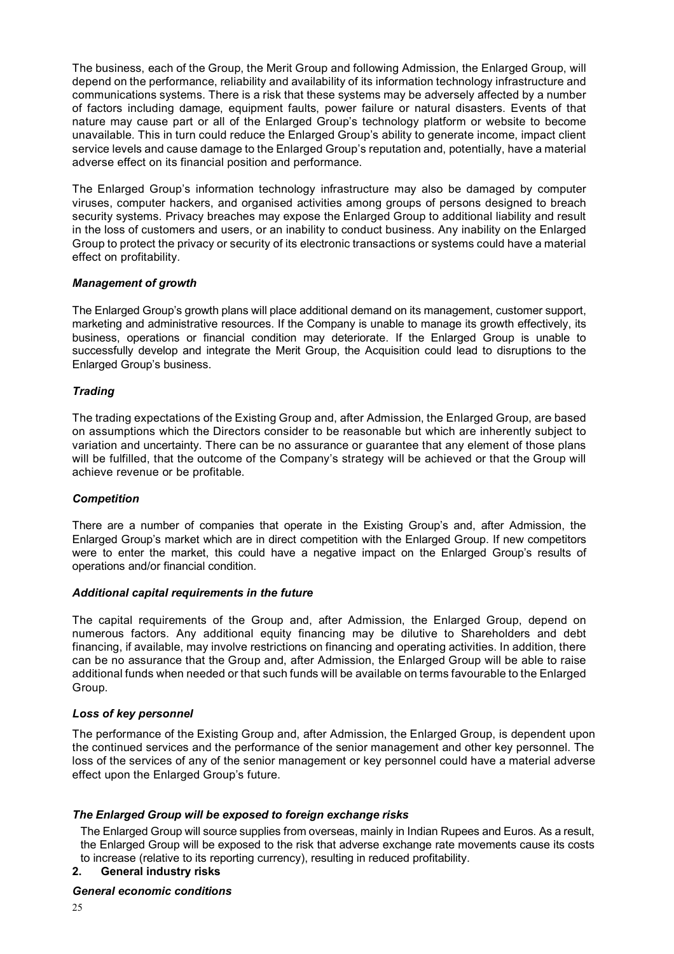The business, each of the Group, the Merit Group and following Admission, the Enlarged Group, will depend on the performance, reliability and availability of its information technology infrastructure and communications systems. There is a risk that these systems may be adversely affected by a number of factors including damage, equipment faults, power failure or natural disasters. Events of that nature may cause part or all of the Enlarged Group's technology platform or website to become unavailable. This in turn could reduce the Enlarged Group's ability to generate income, impact client service levels and cause damage to the Enlarged Group's reputation and, potentially, have a material adverse effect on its financial position and performance.

The Enlarged Group's information technology infrastructure may also be damaged by computer viruses, computer hackers, and organised activities among groups of persons designed to breach security systems. Privacy breaches may expose the Enlarged Group to additional liability and result in the loss of customers and users, or an inability to conduct business. Any inability on the Enlarged Group to protect the privacy or security of its electronic transactions or systems could have a material effect on profitability.

### *Management of growth*

The Enlarged Group's growth plans will place additional demand on its management, customer support, marketing and administrative resources. If the Company is unable to manage its growth effectively, its business, operations or financial condition may deteriorate. If the Enlarged Group is unable to successfully develop and integrate the Merit Group, the Acquisition could lead to disruptions to the Enlarged Group's business.

### *Trading*

The trading expectations of the Existing Group and, after Admission, the Enlarged Group, are based on assumptions which the Directors consider to be reasonable but which are inherently subject to variation and uncertainty. There can be no assurance or guarantee that any element of those plans will be fulfilled, that the outcome of the Company's strategy will be achieved or that the Group will achieve revenue or be profitable.

#### *Competition*

There are a number of companies that operate in the Existing Group's and, after Admission, the Enlarged Group's market which are in direct competition with the Enlarged Group. If new competitors were to enter the market, this could have a negative impact on the Enlarged Group's results of operations and/or financial condition.

#### *Additional capital requirements in the future*

The capital requirements of the Group and, after Admission, the Enlarged Group, depend on numerous factors. Any additional equity financing may be dilutive to Shareholders and debt financing, if available, may involve restrictions on financing and operating activities. In addition, there can be no assurance that the Group and, after Admission, the Enlarged Group will be able to raise additional funds when needed or that such funds will be available on terms favourable to the Enlarged Group.

### *Loss of key personnel*

The performance of the Existing Group and, after Admission, the Enlarged Group, is dependent upon the continued services and the performance of the senior management and other key personnel. The loss of the services of any of the senior management or key personnel could have a material adverse effect upon the Enlarged Group's future.

#### *The Enlarged Group will be exposed to foreign exchange risks*

The Enlarged Group will source supplies from overseas, mainly in Indian Rupees and Euros. As a result, the Enlarged Group will be exposed to the risk that adverse exchange rate movements cause its costs to increase (relative to its reporting currency), resulting in reduced profitability.

### **2. General industry risks**

### *General economic conditions*

25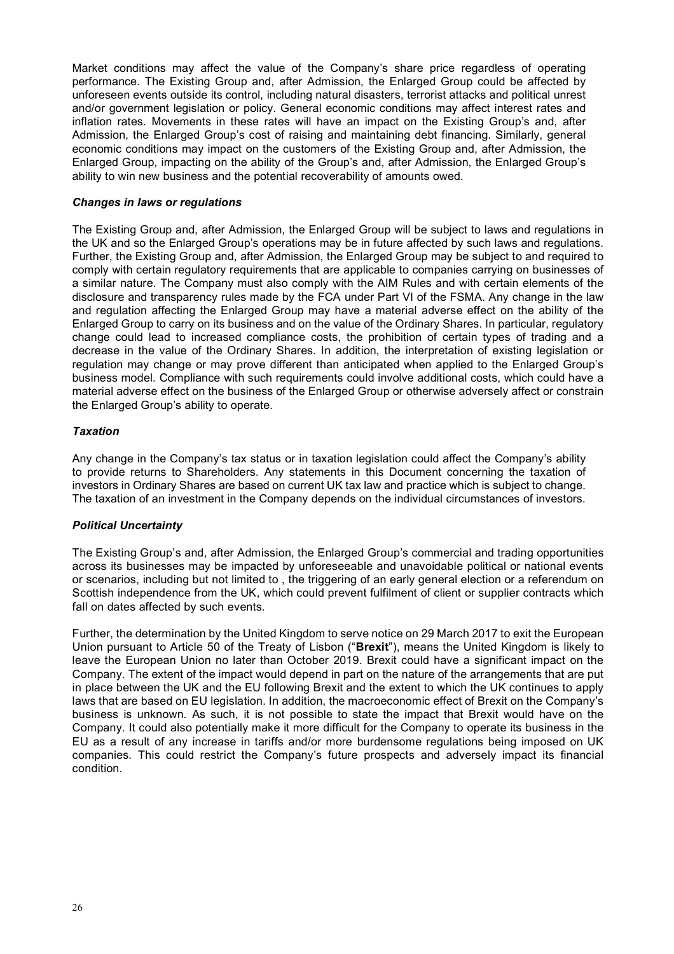Market conditions may affect the value of the Company's share price regardless of operating performance. The Existing Group and, after Admission, the Enlarged Group could be affected by unforeseen events outside its control, including natural disasters, terrorist attacks and political unrest and/or government legislation or policy. General economic conditions may affect interest rates and inflation rates. Movements in these rates will have an impact on the Existing Group's and, after Admission, the Enlarged Group's cost of raising and maintaining debt financing. Similarly, general economic conditions may impact on the customers of the Existing Group and, after Admission, the Enlarged Group, impacting on the ability of the Group's and, after Admission, the Enlarged Group's ability to win new business and the potential recoverability of amounts owed.

#### *Changes in laws or regulations*

The Existing Group and, after Admission, the Enlarged Group will be subject to laws and regulations in the UK and so the Enlarged Group's operations may be in future affected by such laws and regulations. Further, the Existing Group and, after Admission, the Enlarged Group may be subject to and required to comply with certain regulatory requirements that are applicable to companies carrying on businesses of a similar nature. The Company must also comply with the AIM Rules and with certain elements of the disclosure and transparency rules made by the FCA under Part VI of the FSMA. Any change in the law and regulation affecting the Enlarged Group may have a material adverse effect on the ability of the Enlarged Group to carry on its business and on the value of the Ordinary Shares. In particular, regulatory change could lead to increased compliance costs, the prohibition of certain types of trading and a decrease in the value of the Ordinary Shares. In addition, the interpretation of existing legislation or regulation may change or may prove different than anticipated when applied to the Enlarged Group's business model. Compliance with such requirements could involve additional costs, which could have a material adverse effect on the business of the Enlarged Group or otherwise adversely affect or constrain the Enlarged Group's ability to operate.

#### *Taxation*

Any change in the Company's tax status or in taxation legislation could affect the Company's ability to provide returns to Shareholders. Any statements in this Document concerning the taxation of investors in Ordinary Shares are based on current UK tax law and practice which is subject to change. The taxation of an investment in the Company depends on the individual circumstances of investors.

#### *Political Uncertainty*

The Existing Group's and, after Admission, the Enlarged Group's commercial and trading opportunities across its businesses may be impacted by unforeseeable and unavoidable political or national events or scenarios, including but not limited to , the triggering of an early general election or a referendum on Scottish independence from the UK, which could prevent fulfilment of client or supplier contracts which fall on dates affected by such events.

Further, the determination by the United Kingdom to serve notice on 29 March 2017 to exit the European Union pursuant to Article 50 of the Treaty of Lisbon ("**Brexit**"), means the United Kingdom is likely to leave the European Union no later than October 2019. Brexit could have a significant impact on the Company. The extent of the impact would depend in part on the nature of the arrangements that are put in place between the UK and the EU following Brexit and the extent to which the UK continues to apply laws that are based on EU legislation. In addition, the macroeconomic effect of Brexit on the Company's business is unknown. As such, it is not possible to state the impact that Brexit would have on the Company. It could also potentially make it more difficult for the Company to operate its business in the EU as a result of any increase in tariffs and/or more burdensome regulations being imposed on UK companies. This could restrict the Company's future prospects and adversely impact its financial condition.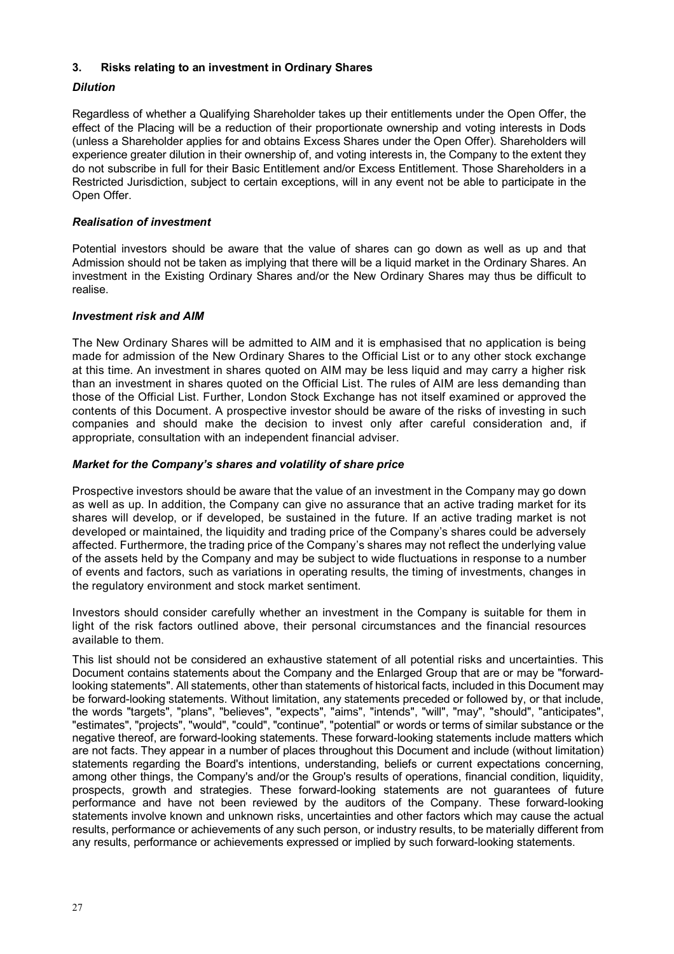### **3. Risks relating to an investment in Ordinary Shares**

## *Dilution*

Regardless of whether a Qualifying Shareholder takes up their entitlements under the Open Offer, the effect of the Placing will be a reduction of their proportionate ownership and voting interests in Dods (unless a Shareholder applies for and obtains Excess Shares under the Open Offer). Shareholders will experience greater dilution in their ownership of, and voting interests in, the Company to the extent they do not subscribe in full for their Basic Entitlement and/or Excess Entitlement. Those Shareholders in a Restricted Jurisdiction, subject to certain exceptions, will in any event not be able to participate in the Open Offer.

### *Realisation of investment*

Potential investors should be aware that the value of shares can go down as well as up and that Admission should not be taken as implying that there will be a liquid market in the Ordinary Shares. An investment in the Existing Ordinary Shares and/or the New Ordinary Shares may thus be difficult to realise.

### *Investment risk and AIM*

The New Ordinary Shares will be admitted to AIM and it is emphasised that no application is being made for admission of the New Ordinary Shares to the Official List or to any other stock exchange at this time. An investment in shares quoted on AIM may be less liquid and may carry a higher risk than an investment in shares quoted on the Official List. The rules of AIM are less demanding than those of the Official List. Further, London Stock Exchange has not itself examined or approved the contents of this Document. A prospective investor should be aware of the risks of investing in such companies and should make the decision to invest only after careful consideration and, if appropriate, consultation with an independent financial adviser.

## *Market for the Company's shares and volatility of share price*

Prospective investors should be aware that the value of an investment in the Company may go down as well as up. In addition, the Company can give no assurance that an active trading market for its shares will develop, or if developed, be sustained in the future. If an active trading market is not developed or maintained, the liquidity and trading price of the Company's shares could be adversely affected. Furthermore, the trading price of the Company's shares may not reflect the underlying value of the assets held by the Company and may be subject to wide fluctuations in response to a number of events and factors, such as variations in operating results, the timing of investments, changes in the regulatory environment and stock market sentiment.

Investors should consider carefully whether an investment in the Company is suitable for them in light of the risk factors outlined above, their personal circumstances and the financial resources available to them.

This list should not be considered an exhaustive statement of all potential risks and uncertainties. This Document contains statements about the Company and the Enlarged Group that are or may be "forwardlooking statements". All statements, other than statements of historical facts, included in this Document may be forward-looking statements. Without limitation, any statements preceded or followed by, or that include, the words "targets", "plans", "believes", "expects", "aims", "intends", "will", "may", "should", "anticipates", "estimates", "projects", "would", "could", "continue", "potential" or words or terms of similar substance or the negative thereof, are forward-looking statements. These forward-looking statements include matters which are not facts. They appear in a number of places throughout this Document and include (without limitation) statements regarding the Board's intentions, understanding, beliefs or current expectations concerning, among other things, the Company's and/or the Group's results of operations, financial condition, liquidity, prospects, growth and strategies. These forward-looking statements are not guarantees of future performance and have not been reviewed by the auditors of the Company. These forward-looking statements involve known and unknown risks, uncertainties and other factors which may cause the actual results, performance or achievements of any such person, or industry results, to be materially different from any results, performance or achievements expressed or implied by such forward-looking statements.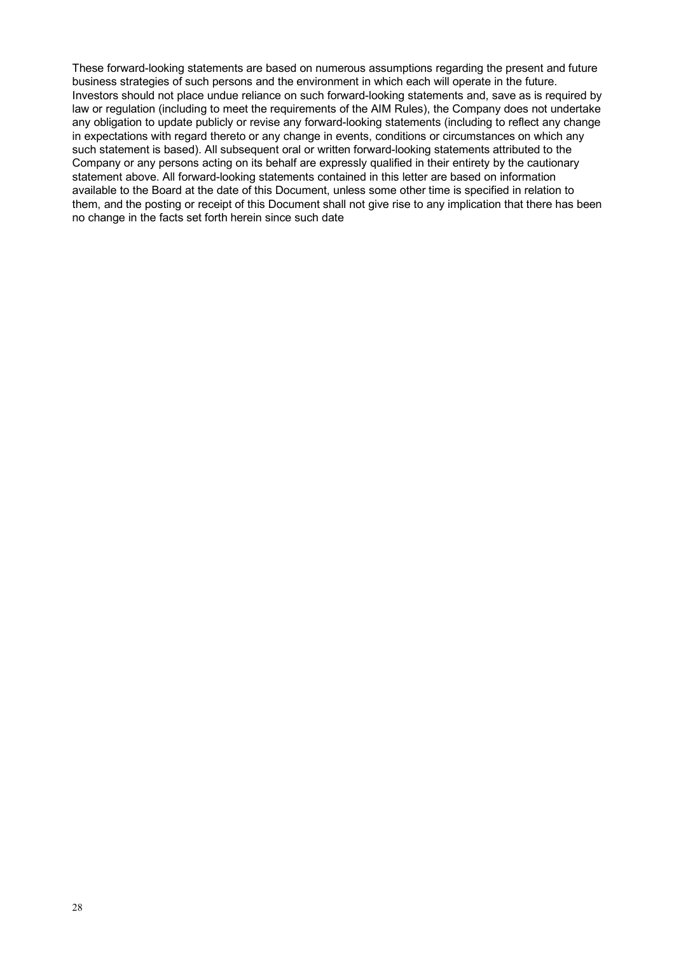These forward-looking statements are based on numerous assumptions regarding the present and future business strategies of such persons and the environment in which each will operate in the future. Investors should not place undue reliance on such forward-looking statements and, save as is required by law or regulation (including to meet the requirements of the AIM Rules), the Company does not undertake any obligation to update publicly or revise any forward-looking statements (including to reflect any change in expectations with regard thereto or any change in events, conditions or circumstances on which any such statement is based). All subsequent oral or written forward-looking statements attributed to the Company or any persons acting on its behalf are expressly qualified in their entirety by the cautionary statement above. All forward-looking statements contained in this letter are based on information available to the Board at the date of this Document, unless some other time is specified in relation to them, and the posting or receipt of this Document shall not give rise to any implication that there has been no change in the facts set forth herein since such date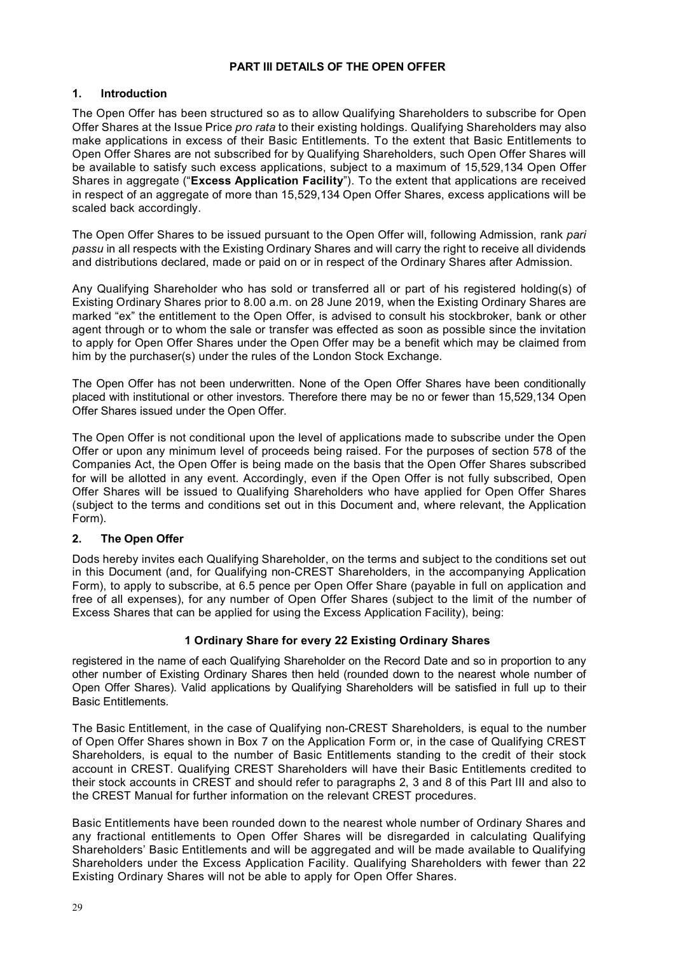### **PART III DETAILS OF THE OPEN OFFER**

## **1. Introduction**

The Open Offer has been structured so as to allow Qualifying Shareholders to subscribe for Open Offer Shares at the Issue Price *pro rata* to their existing holdings. Qualifying Shareholders may also make applications in excess of their Basic Entitlements. To the extent that Basic Entitlements to Open Offer Shares are not subscribed for by Qualifying Shareholders, such Open Offer Shares will be available to satisfy such excess applications, subject to a maximum of 15,529,134 Open Offer Shares in aggregate ("**Excess Application Facility**"). To the extent that applications are received in respect of an aggregate of more than 15,529,134 Open Offer Shares, excess applications will be scaled back accordingly.

The Open Offer Shares to be issued pursuant to the Open Offer will, following Admission, rank *pari passu* in all respects with the Existing Ordinary Shares and will carry the right to receive all dividends and distributions declared, made or paid on or in respect of the Ordinary Shares after Admission.

Any Qualifying Shareholder who has sold or transferred all or part of his registered holding(s) of Existing Ordinary Shares prior to 8.00 a.m. on 28 June 2019, when the Existing Ordinary Shares are marked "ex" the entitlement to the Open Offer, is advised to consult his stockbroker, bank or other agent through or to whom the sale or transfer was effected as soon as possible since the invitation to apply for Open Offer Shares under the Open Offer may be a benefit which may be claimed from him by the purchaser(s) under the rules of the London Stock Exchange.

The Open Offer has not been underwritten. None of the Open Offer Shares have been conditionally placed with institutional or other investors. Therefore there may be no or fewer than 15,529,134 Open Offer Shares issued under the Open Offer.

The Open Offer is not conditional upon the level of applications made to subscribe under the Open Offer or upon any minimum level of proceeds being raised. For the purposes of section 578 of the Companies Act, the Open Offer is being made on the basis that the Open Offer Shares subscribed for will be allotted in any event. Accordingly, even if the Open Offer is not fully subscribed, Open Offer Shares will be issued to Qualifying Shareholders who have applied for Open Offer Shares (subject to the terms and conditions set out in this Document and, where relevant, the Application Form).

## **2. The Open Offer**

Dods hereby invites each Qualifying Shareholder, on the terms and subject to the conditions set out in this Document (and, for Qualifying non-CREST Shareholders, in the accompanying Application Form), to apply to subscribe, at 6.5 pence per Open Offer Share (payable in full on application and free of all expenses), for any number of Open Offer Shares (subject to the limit of the number of Excess Shares that can be applied for using the Excess Application Facility), being:

### **1 Ordinary Share for every 22 Existing Ordinary Shares**

registered in the name of each Qualifying Shareholder on the Record Date and so in proportion to any other number of Existing Ordinary Shares then held (rounded down to the nearest whole number of Open Offer Shares). Valid applications by Qualifying Shareholders will be satisfied in full up to their Basic Entitlements.

The Basic Entitlement, in the case of Qualifying non-CREST Shareholders, is equal to the number of Open Offer Shares shown in Box 7 on the Application Form or, in the case of Qualifying CREST Shareholders, is equal to the number of Basic Entitlements standing to the credit of their stock account in CREST. Qualifying CREST Shareholders will have their Basic Entitlements credited to their stock accounts in CREST and should refer to paragraphs 2, 3 and 8 of this Part III and also to the CREST Manual for further information on the relevant CREST procedures.

Basic Entitlements have been rounded down to the nearest whole number of Ordinary Shares and any fractional entitlements to Open Offer Shares will be disregarded in calculating Qualifying Shareholders' Basic Entitlements and will be aggregated and will be made available to Qualifying Shareholders under the Excess Application Facility. Qualifying Shareholders with fewer than 22 Existing Ordinary Shares will not be able to apply for Open Offer Shares.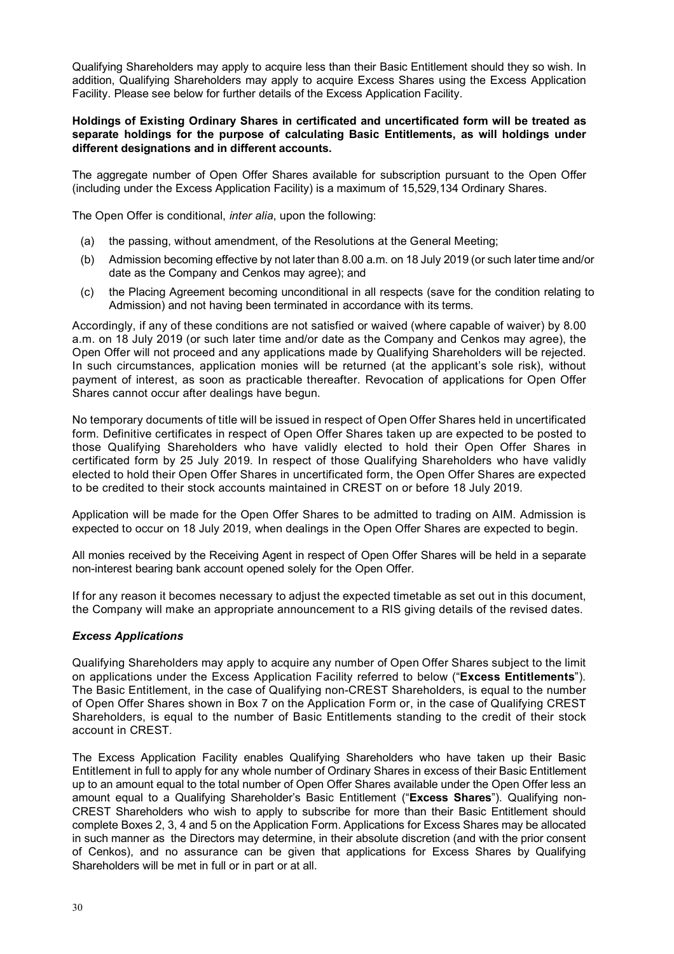Qualifying Shareholders may apply to acquire less than their Basic Entitlement should they so wish. In addition, Qualifying Shareholders may apply to acquire Excess Shares using the Excess Application Facility. Please see below for further details of the Excess Application Facility.

#### **Holdings of Existing Ordinary Shares in certificated and uncertificated form will be treated as separate holdings for the purpose of calculating Basic Entitlements, as will holdings under different designations and in different accounts.**

The aggregate number of Open Offer Shares available for subscription pursuant to the Open Offer (including under the Excess Application Facility) is a maximum of 15,529,134 Ordinary Shares.

The Open Offer is conditional, *inter alia*, upon the following:

- (a) the passing, without amendment, of the Resolutions at the General Meeting;
- (b) Admission becoming effective by not later than 8.00 a.m. on 18 July 2019 (or such later time and/or date as the Company and Cenkos may agree); and
- (c) the Placing Agreement becoming unconditional in all respects (save for the condition relating to Admission) and not having been terminated in accordance with its terms.

Accordingly, if any of these conditions are not satisfied or waived (where capable of waiver) by 8.00 a.m. on 18 July 2019 (or such later time and/or date as the Company and Cenkos may agree), the Open Offer will not proceed and any applications made by Qualifying Shareholders will be rejected. In such circumstances, application monies will be returned (at the applicant's sole risk), without payment of interest, as soon as practicable thereafter. Revocation of applications for Open Offer Shares cannot occur after dealings have begun.

No temporary documents of title will be issued in respect of Open Offer Shares held in uncertificated form. Definitive certificates in respect of Open Offer Shares taken up are expected to be posted to those Qualifying Shareholders who have validly elected to hold their Open Offer Shares in certificated form by 25 July 2019. In respect of those Qualifying Shareholders who have validly elected to hold their Open Offer Shares in uncertificated form, the Open Offer Shares are expected to be credited to their stock accounts maintained in CREST on or before 18 July 2019.

Application will be made for the Open Offer Shares to be admitted to trading on AIM. Admission is expected to occur on 18 July 2019, when dealings in the Open Offer Shares are expected to begin.

All monies received by the Receiving Agent in respect of Open Offer Shares will be held in a separate non-interest bearing bank account opened solely for the Open Offer.

If for any reason it becomes necessary to adjust the expected timetable as set out in this document, the Company will make an appropriate announcement to a RIS giving details of the revised dates.

### *Excess Applications*

Qualifying Shareholders may apply to acquire any number of Open Offer Shares subject to the limit on applications under the Excess Application Facility referred to below ("**Excess Entitlements**"). The Basic Entitlement, in the case of Qualifying non-CREST Shareholders, is equal to the number of Open Offer Shares shown in Box 7 on the Application Form or, in the case of Qualifying CREST Shareholders, is equal to the number of Basic Entitlements standing to the credit of their stock account in CREST.

The Excess Application Facility enables Qualifying Shareholders who have taken up their Basic Entitlement in full to apply for any whole number of Ordinary Shares in excess of their Basic Entitlement up to an amount equal to the total number of Open Offer Shares available under the Open Offer less an amount equal to a Qualifying Shareholder's Basic Entitlement ("**Excess Shares**"). Qualifying non-CREST Shareholders who wish to apply to subscribe for more than their Basic Entitlement should complete Boxes 2, 3, 4 and 5 on the Application Form. Applications for Excess Shares may be allocated in such manner as the Directors may determine, in their absolute discretion (and with the prior consent of Cenkos), and no assurance can be given that applications for Excess Shares by Qualifying Shareholders will be met in full or in part or at all.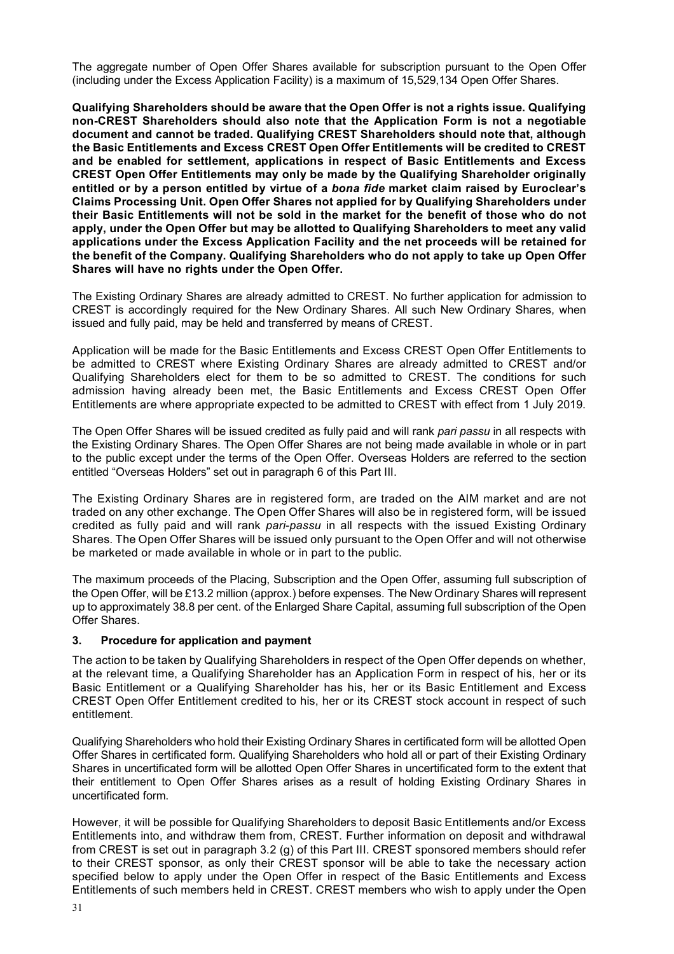The aggregate number of Open Offer Shares available for subscription pursuant to the Open Offer (including under the Excess Application Facility) is a maximum of 15,529,134 Open Offer Shares.

**Qualifying Shareholders should be aware that the Open Offer is not a rights issue. Qualifying non-CREST Shareholders should also note that the Application Form is not a negotiable document and cannot be traded. Qualifying CREST Shareholders should note that, although the Basic Entitlements and Excess CREST Open Offer Entitlements will be credited to CREST and be enabled for settlement, applications in respect of Basic Entitlements and Excess CREST Open Offer Entitlements may only be made by the Qualifying Shareholder originally entitled or by a person entitled by virtue of a** *bona fide* **market claim raised by Euroclear's Claims Processing Unit. Open Offer Shares not applied for by Qualifying Shareholders under their Basic Entitlements will not be sold in the market for the benefit of those who do not apply, under the Open Offer but may be allotted to Qualifying Shareholders to meet any valid applications under the Excess Application Facility and the net proceeds will be retained for the benefit of the Company. Qualifying Shareholders who do not apply to take up Open Offer Shares will have no rights under the Open Offer.**

The Existing Ordinary Shares are already admitted to CREST. No further application for admission to CREST is accordingly required for the New Ordinary Shares. All such New Ordinary Shares, when issued and fully paid, may be held and transferred by means of CREST.

Application will be made for the Basic Entitlements and Excess CREST Open Offer Entitlements to be admitted to CREST where Existing Ordinary Shares are already admitted to CREST and/or Qualifying Shareholders elect for them to be so admitted to CREST. The conditions for such admission having already been met, the Basic Entitlements and Excess CREST Open Offer Entitlements are where appropriate expected to be admitted to CREST with effect from 1 July 2019.

The Open Offer Shares will be issued credited as fully paid and will rank *pari passu* in all respects with the Existing Ordinary Shares. The Open Offer Shares are not being made available in whole or in part to the public except under the terms of the Open Offer. Overseas Holders are referred to the section entitled "Overseas Holders" set out in paragraph 6 of this Part III.

The Existing Ordinary Shares are in registered form, are traded on the AIM market and are not traded on any other exchange. The Open Offer Shares will also be in registered form, will be issued credited as fully paid and will rank *pari-passu* in all respects with the issued Existing Ordinary Shares. The Open Offer Shares will be issued only pursuant to the Open Offer and will not otherwise be marketed or made available in whole or in part to the public.

The maximum proceeds of the Placing, Subscription and the Open Offer, assuming full subscription of the Open Offer, will be £13.2 million (approx.) before expenses. The New Ordinary Shares will represent up to approximately 38.8 per cent. of the Enlarged Share Capital, assuming full subscription of the Open Offer Shares.

### **3. Procedure for application and payment**

The action to be taken by Qualifying Shareholders in respect of the Open Offer depends on whether, at the relevant time, a Qualifying Shareholder has an Application Form in respect of his, her or its Basic Entitlement or a Qualifying Shareholder has his, her or its Basic Entitlement and Excess CREST Open Offer Entitlement credited to his, her or its CREST stock account in respect of such entitlement.

Qualifying Shareholders who hold their Existing Ordinary Shares in certificated form will be allotted Open Offer Shares in certificated form. Qualifying Shareholders who hold all or part of their Existing Ordinary Shares in uncertificated form will be allotted Open Offer Shares in uncertificated form to the extent that their entitlement to Open Offer Shares arises as a result of holding Existing Ordinary Shares in uncertificated form.

However, it will be possible for Qualifying Shareholders to deposit Basic Entitlements and/or Excess Entitlements into, and withdraw them from, CREST. Further information on deposit and withdrawal from CREST is set out in paragraph 3.2 (g) of this Part III. CREST sponsored members should refer to their CREST sponsor, as only their CREST sponsor will be able to take the necessary action specified below to apply under the Open Offer in respect of the Basic Entitlements and Excess Entitlements of such members held in CREST. CREST members who wish to apply under the Open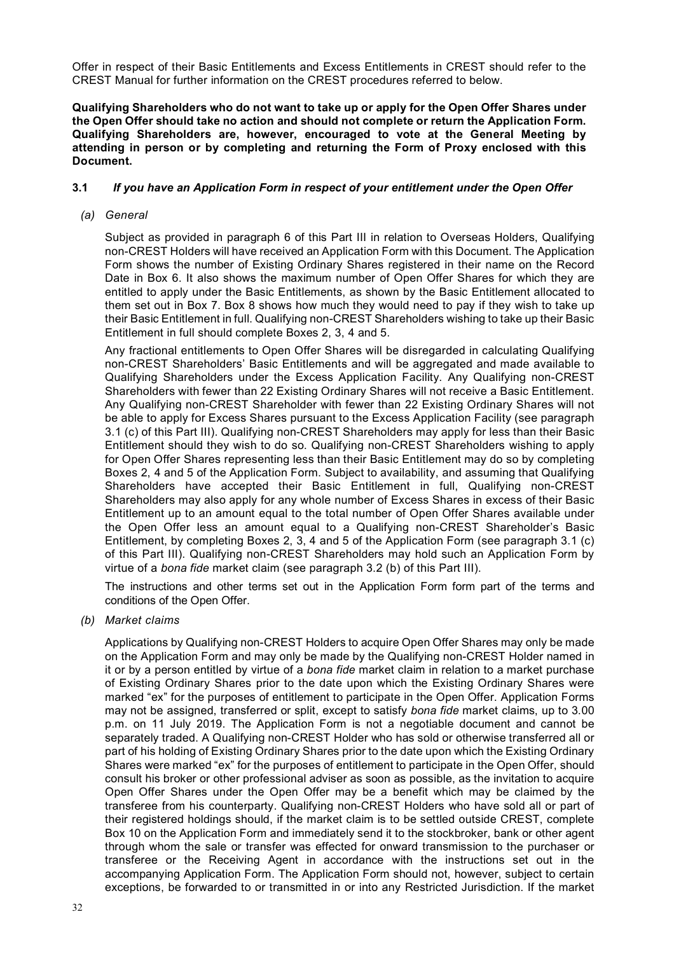Offer in respect of their Basic Entitlements and Excess Entitlements in CREST should refer to the CREST Manual for further information on the CREST procedures referred to below.

**Qualifying Shareholders who do not want to take up or apply for the Open Offer Shares under the Open Offer should take no action and should not complete or return the Application Form. Qualifying Shareholders are, however, encouraged to vote at the General Meeting by attending in person or by completing and returning the Form of Proxy enclosed with this Document.**

### **3.1** *If you have an Application Form in respect of your entitlement under the Open Offer*

#### *(a) General*

Subject as provided in paragraph 6 of this Part III in relation to Overseas Holders, Qualifying non-CREST Holders will have received an Application Form with this Document. The Application Form shows the number of Existing Ordinary Shares registered in their name on the Record Date in Box 6. It also shows the maximum number of Open Offer Shares for which they are entitled to apply under the Basic Entitlements, as shown by the Basic Entitlement allocated to them set out in Box 7. Box 8 shows how much they would need to pay if they wish to take up their Basic Entitlement in full. Qualifying non-CREST Shareholders wishing to take up their Basic Entitlement in full should complete Boxes 2, 3, 4 and 5.

Any fractional entitlements to Open Offer Shares will be disregarded in calculating Qualifying non-CREST Shareholders' Basic Entitlements and will be aggregated and made available to Qualifying Shareholders under the Excess Application Facility. Any Qualifying non-CREST Shareholders with fewer than 22 Existing Ordinary Shares will not receive a Basic Entitlement. Any Qualifying non-CREST Shareholder with fewer than 22 Existing Ordinary Shares will not be able to apply for Excess Shares pursuant to the Excess Application Facility (see paragraph 3.1 (c) of this Part III). Qualifying non-CREST Shareholders may apply for less than their Basic Entitlement should they wish to do so. Qualifying non-CREST Shareholders wishing to apply for Open Offer Shares representing less than their Basic Entitlement may do so by completing Boxes 2, 4 and 5 of the Application Form. Subject to availability, and assuming that Qualifying Shareholders have accepted their Basic Entitlement in full, Qualifying non-CREST Shareholders may also apply for any whole number of Excess Shares in excess of their Basic Entitlement up to an amount equal to the total number of Open Offer Shares available under the Open Offer less an amount equal to a Qualifying non-CREST Shareholder's Basic Entitlement, by completing Boxes 2, 3, 4 and 5 of the Application Form (see paragraph 3.1 (c) of this Part III). Qualifying non-CREST Shareholders may hold such an Application Form by virtue of a *bona fide* market claim (see paragraph 3.2 (b) of this Part III).

The instructions and other terms set out in the Application Form form part of the terms and conditions of the Open Offer.

*(b) Market claims*

Applications by Qualifying non-CREST Holders to acquire Open Offer Shares may only be made on the Application Form and may only be made by the Qualifying non-CREST Holder named in it or by a person entitled by virtue of a *bona fide* market claim in relation to a market purchase of Existing Ordinary Shares prior to the date upon which the Existing Ordinary Shares were marked "ex" for the purposes of entitlement to participate in the Open Offer. Application Forms may not be assigned, transferred or split, except to satisfy *bona fide* market claims, up to 3.00 p.m. on 11 July 2019. The Application Form is not a negotiable document and cannot be separately traded. A Qualifying non-CREST Holder who has sold or otherwise transferred all or part of his holding of Existing Ordinary Shares prior to the date upon which the Existing Ordinary Shares were marked "ex" for the purposes of entitlement to participate in the Open Offer, should consult his broker or other professional adviser as soon as possible, as the invitation to acquire Open Offer Shares under the Open Offer may be a benefit which may be claimed by the transferee from his counterparty. Qualifying non-CREST Holders who have sold all or part of their registered holdings should, if the market claim is to be settled outside CREST, complete Box 10 on the Application Form and immediately send it to the stockbroker, bank or other agent through whom the sale or transfer was effected for onward transmission to the purchaser or transferee or the Receiving Agent in accordance with the instructions set out in the accompanying Application Form. The Application Form should not, however, subject to certain exceptions, be forwarded to or transmitted in or into any Restricted Jurisdiction. If the market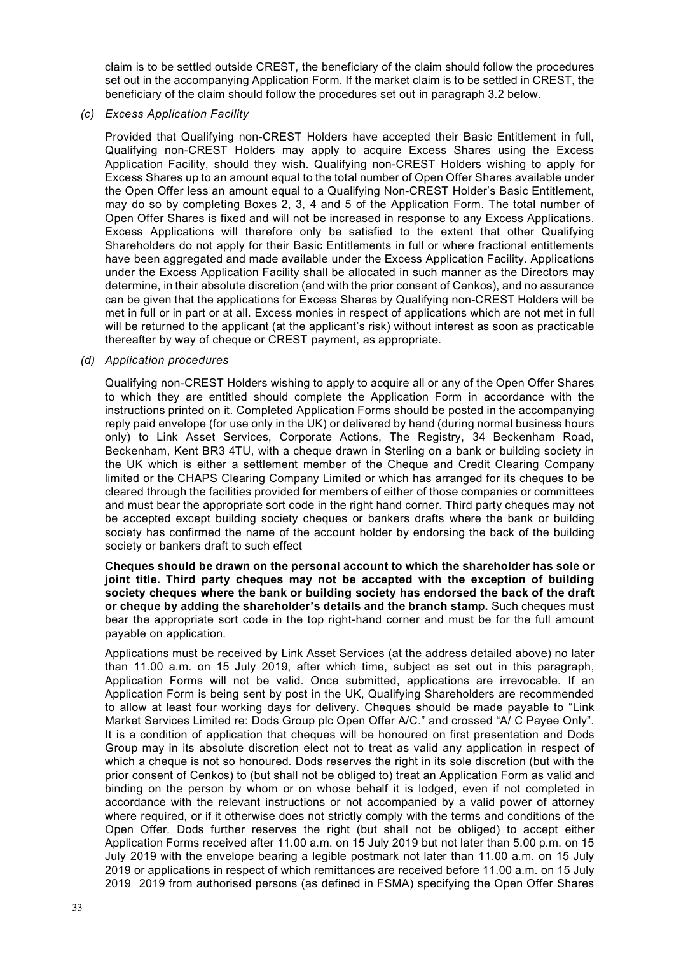claim is to be settled outside CREST, the beneficiary of the claim should follow the procedures set out in the accompanying Application Form. If the market claim is to be settled in CREST, the beneficiary of the claim should follow the procedures set out in paragraph 3.2 below.

#### *(c) Excess Application Facility*

Provided that Qualifying non-CREST Holders have accepted their Basic Entitlement in full, Qualifying non-CREST Holders may apply to acquire Excess Shares using the Excess Application Facility, should they wish. Qualifying non-CREST Holders wishing to apply for Excess Shares up to an amount equal to the total number of Open Offer Shares available under the Open Offer less an amount equal to a Qualifying Non-CREST Holder's Basic Entitlement, may do so by completing Boxes 2, 3, 4 and 5 of the Application Form. The total number of Open Offer Shares is fixed and will not be increased in response to any Excess Applications. Excess Applications will therefore only be satisfied to the extent that other Qualifying Shareholders do not apply for their Basic Entitlements in full or where fractional entitlements have been aggregated and made available under the Excess Application Facility. Applications under the Excess Application Facility shall be allocated in such manner as the Directors may determine, in their absolute discretion (and with the prior consent of Cenkos), and no assurance can be given that the applications for Excess Shares by Qualifying non-CREST Holders will be met in full or in part or at all. Excess monies in respect of applications which are not met in full will be returned to the applicant (at the applicant's risk) without interest as soon as practicable thereafter by way of cheque or CREST payment, as appropriate.

#### *(d) Application procedures*

Qualifying non-CREST Holders wishing to apply to acquire all or any of the Open Offer Shares to which they are entitled should complete the Application Form in accordance with the instructions printed on it. Completed Application Forms should be posted in the accompanying reply paid envelope (for use only in the UK) or delivered by hand (during normal business hours only) to Link Asset Services, Corporate Actions, The Registry, 34 Beckenham Road, Beckenham, Kent BR3 4TU, with a cheque drawn in Sterling on a bank or building society in the UK which is either a settlement member of the Cheque and Credit Clearing Company limited or the CHAPS Clearing Company Limited or which has arranged for its cheques to be cleared through the facilities provided for members of either of those companies or committees and must bear the appropriate sort code in the right hand corner. Third party cheques may not be accepted except building society cheques or bankers drafts where the bank or building society has confirmed the name of the account holder by endorsing the back of the building society or bankers draft to such effect

#### **Cheques should be drawn on the personal account to which the shareholder has sole or joint title. Third party cheques may not be accepted with the exception of building society cheques where the bank or building society has endorsed the back of the draft or cheque by adding the shareholder's details and the branch stamp.** Such cheques must bear the appropriate sort code in the top right-hand corner and must be for the full amount payable on application.

Applications must be received by Link Asset Services (at the address detailed above) no later than 11.00 a.m. on 15 July 2019, after which time, subject as set out in this paragraph, Application Forms will not be valid. Once submitted, applications are irrevocable. If an Application Form is being sent by post in the UK, Qualifying Shareholders are recommended to allow at least four working days for delivery. Cheques should be made payable to "Link Market Services Limited re: Dods Group plc Open Offer A/C." and crossed "A/ C Payee Only". It is a condition of application that cheques will be honoured on first presentation and Dods Group may in its absolute discretion elect not to treat as valid any application in respect of which a cheque is not so honoured. Dods reserves the right in its sole discretion (but with the prior consent of Cenkos) to (but shall not be obliged to) treat an Application Form as valid and binding on the person by whom or on whose behalf it is lodged, even if not completed in accordance with the relevant instructions or not accompanied by a valid power of attorney where required, or if it otherwise does not strictly comply with the terms and conditions of the Open Offer. Dods further reserves the right (but shall not be obliged) to accept either Application Forms received after 11.00 a.m. on 15 July 2019 but not later than 5.00 p.m. on 15 July 2019 with the envelope bearing a legible postmark not later than 11.00 a.m. on 15 July 2019 or applications in respect of which remittances are received before 11.00 a.m. on 15 July 2019 2019 from authorised persons (as defined in FSMA) specifying the Open Offer Shares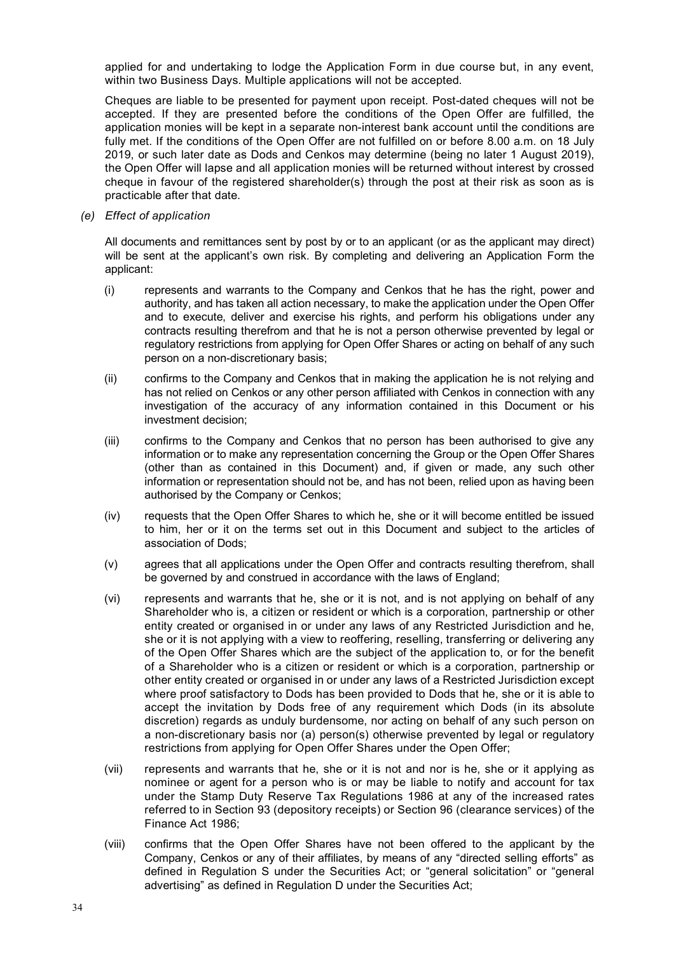applied for and undertaking to lodge the Application Form in due course but, in any event, within two Business Days. Multiple applications will not be accepted.

Cheques are liable to be presented for payment upon receipt. Post-dated cheques will not be accepted. If they are presented before the conditions of the Open Offer are fulfilled, the application monies will be kept in a separate non-interest bank account until the conditions are fully met. If the conditions of the Open Offer are not fulfilled on or before 8.00 a.m. on 18 July 2019, or such later date as Dods and Cenkos may determine (being no later 1 August 2019), the Open Offer will lapse and all application monies will be returned without interest by crossed cheque in favour of the registered shareholder(s) through the post at their risk as soon as is practicable after that date.

*(e) Effect of application*

All documents and remittances sent by post by or to an applicant (or as the applicant may direct) will be sent at the applicant's own risk. By completing and delivering an Application Form the applicant:

- (i) represents and warrants to the Company and Cenkos that he has the right, power and authority, and has taken all action necessary, to make the application under the Open Offer and to execute, deliver and exercise his rights, and perform his obligations under any contracts resulting therefrom and that he is not a person otherwise prevented by legal or regulatory restrictions from applying for Open Offer Shares or acting on behalf of any such person on a non-discretionary basis;
- (ii) confirms to the Company and Cenkos that in making the application he is not relying and has not relied on Cenkos or any other person affiliated with Cenkos in connection with any investigation of the accuracy of any information contained in this Document or his investment decision;
- (iii) confirms to the Company and Cenkos that no person has been authorised to give any information or to make any representation concerning the Group or the Open Offer Shares (other than as contained in this Document) and, if given or made, any such other information or representation should not be, and has not been, relied upon as having been authorised by the Company or Cenkos;
- (iv) requests that the Open Offer Shares to which he, she or it will become entitled be issued to him, her or it on the terms set out in this Document and subject to the articles of association of Dods;
- (v) agrees that all applications under the Open Offer and contracts resulting therefrom, shall be governed by and construed in accordance with the laws of England;
- (vi) represents and warrants that he, she or it is not, and is not applying on behalf of any Shareholder who is, a citizen or resident or which is a corporation, partnership or other entity created or organised in or under any laws of any Restricted Jurisdiction and he, she or it is not applying with a view to reoffering, reselling, transferring or delivering any of the Open Offer Shares which are the subject of the application to, or for the benefit of a Shareholder who is a citizen or resident or which is a corporation, partnership or other entity created or organised in or under any laws of a Restricted Jurisdiction except where proof satisfactory to Dods has been provided to Dods that he, she or it is able to accept the invitation by Dods free of any requirement which Dods (in its absolute discretion) regards as unduly burdensome, nor acting on behalf of any such person on a non-discretionary basis nor (a) person(s) otherwise prevented by legal or regulatory restrictions from applying for Open Offer Shares under the Open Offer;
- (vii) represents and warrants that he, she or it is not and nor is he, she or it applying as nominee or agent for a person who is or may be liable to notify and account for tax under the Stamp Duty Reserve Tax Regulations 1986 at any of the increased rates referred to in Section 93 (depository receipts) or Section 96 (clearance services) of the Finance Act 1986;
- (viii) confirms that the Open Offer Shares have not been offered to the applicant by the Company, Cenkos or any of their affiliates, by means of any "directed selling efforts" as defined in Regulation S under the Securities Act; or "general solicitation" or "general advertising" as defined in Regulation D under the Securities Act;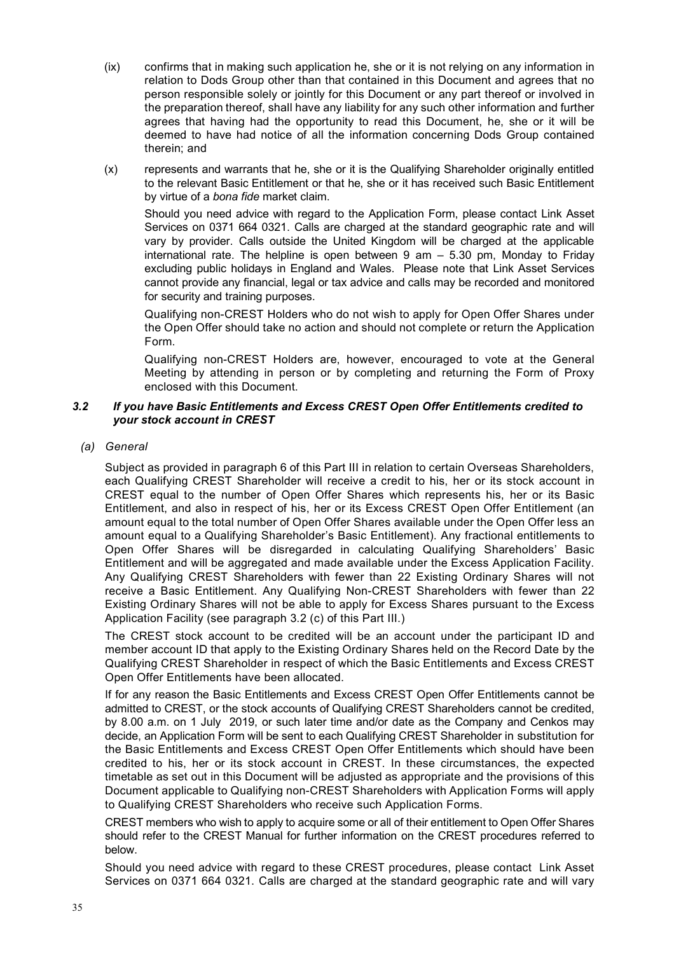- (ix) confirms that in making such application he, she or it is not relying on any information in relation to Dods Group other than that contained in this Document and agrees that no person responsible solely or jointly for this Document or any part thereof or involved in the preparation thereof, shall have any liability for any such other information and further agrees that having had the opportunity to read this Document, he, she or it will be deemed to have had notice of all the information concerning Dods Group contained therein; and
- (x) represents and warrants that he, she or it is the Qualifying Shareholder originally entitled to the relevant Basic Entitlement or that he, she or it has received such Basic Entitlement by virtue of a *bona fide* market claim.

Should you need advice with regard to the Application Form, please contact Link Asset Services on 0371 664 0321. Calls are charged at the standard geographic rate and will vary by provider. Calls outside the United Kingdom will be charged at the applicable international rate. The helpline is open between 9 am – 5.30 pm, Monday to Friday excluding public holidays in England and Wales. Please note that Link Asset Services cannot provide any financial, legal or tax advice and calls may be recorded and monitored for security and training purposes.

Qualifying non-CREST Holders who do not wish to apply for Open Offer Shares under the Open Offer should take no action and should not complete or return the Application Form.

Qualifying non-CREST Holders are, however, encouraged to vote at the General Meeting by attending in person or by completing and returning the Form of Proxy enclosed with this Document.

#### *3.2 If you have Basic Entitlements and Excess CREST Open Offer Entitlements credited to your stock account in CREST*

*(a) General*

Subject as provided in paragraph 6 of this Part III in relation to certain Overseas Shareholders, each Qualifying CREST Shareholder will receive a credit to his, her or its stock account in CREST equal to the number of Open Offer Shares which represents his, her or its Basic Entitlement, and also in respect of his, her or its Excess CREST Open Offer Entitlement (an amount equal to the total number of Open Offer Shares available under the Open Offer less an amount equal to a Qualifying Shareholder's Basic Entitlement). Any fractional entitlements to Open Offer Shares will be disregarded in calculating Qualifying Shareholders' Basic Entitlement and will be aggregated and made available under the Excess Application Facility. Any Qualifying CREST Shareholders with fewer than 22 Existing Ordinary Shares will not receive a Basic Entitlement. Any Qualifying Non-CREST Shareholders with fewer than 22 Existing Ordinary Shares will not be able to apply for Excess Shares pursuant to the Excess Application Facility (see paragraph 3.2 (c) of this Part III.)

The CREST stock account to be credited will be an account under the participant ID and member account ID that apply to the Existing Ordinary Shares held on the Record Date by the Qualifying CREST Shareholder in respect of which the Basic Entitlements and Excess CREST Open Offer Entitlements have been allocated.

If for any reason the Basic Entitlements and Excess CREST Open Offer Entitlements cannot be admitted to CREST, or the stock accounts of Qualifying CREST Shareholders cannot be credited, by 8.00 a.m. on 1 July 2019, or such later time and/or date as the Company and Cenkos may decide, an Application Form will be sent to each Qualifying CREST Shareholder in substitution for the Basic Entitlements and Excess CREST Open Offer Entitlements which should have been credited to his, her or its stock account in CREST. In these circumstances, the expected timetable as set out in this Document will be adjusted as appropriate and the provisions of this Document applicable to Qualifying non-CREST Shareholders with Application Forms will apply to Qualifying CREST Shareholders who receive such Application Forms.

CREST members who wish to apply to acquire some or all of their entitlement to Open Offer Shares should refer to the CREST Manual for further information on the CREST procedures referred to below.

Should you need advice with regard to these CREST procedures, please contact Link Asset Services on 0371 664 0321. Calls are charged at the standard geographic rate and will vary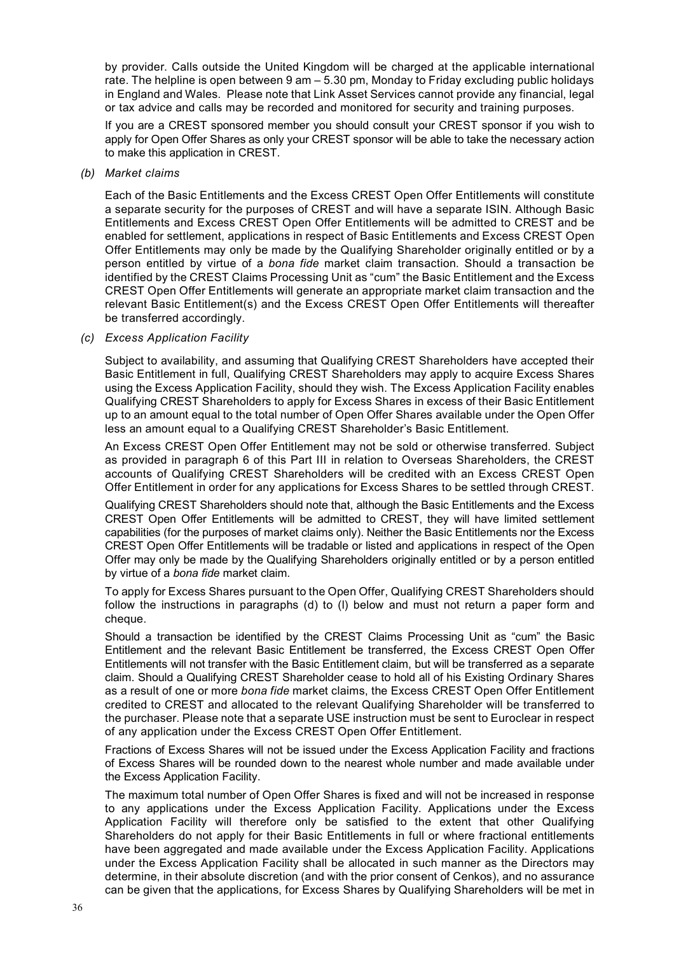by provider. Calls outside the United Kingdom will be charged at the applicable international rate. The helpline is open between 9 am – 5.30 pm, Monday to Friday excluding public holidays in England and Wales. Please note that Link Asset Services cannot provide any financial, legal or tax advice and calls may be recorded and monitored for security and training purposes.

If you are a CREST sponsored member you should consult your CREST sponsor if you wish to apply for Open Offer Shares as only your CREST sponsor will be able to take the necessary action to make this application in CREST.

#### *(b) Market claims*

Each of the Basic Entitlements and the Excess CREST Open Offer Entitlements will constitute a separate security for the purposes of CREST and will have a separate ISIN. Although Basic Entitlements and Excess CREST Open Offer Entitlements will be admitted to CREST and be enabled for settlement, applications in respect of Basic Entitlements and Excess CREST Open Offer Entitlements may only be made by the Qualifying Shareholder originally entitled or by a person entitled by virtue of a *bona fide* market claim transaction. Should a transaction be identified by the CREST Claims Processing Unit as "cum" the Basic Entitlement and the Excess CREST Open Offer Entitlements will generate an appropriate market claim transaction and the relevant Basic Entitlement(s) and the Excess CREST Open Offer Entitlements will thereafter be transferred accordingly.

#### *(c) Excess Application Facility*

Subject to availability, and assuming that Qualifying CREST Shareholders have accepted their Basic Entitlement in full, Qualifying CREST Shareholders may apply to acquire Excess Shares using the Excess Application Facility, should they wish. The Excess Application Facility enables Qualifying CREST Shareholders to apply for Excess Shares in excess of their Basic Entitlement up to an amount equal to the total number of Open Offer Shares available under the Open Offer less an amount equal to a Qualifying CREST Shareholder's Basic Entitlement.

An Excess CREST Open Offer Entitlement may not be sold or otherwise transferred. Subject as provided in paragraph 6 of this Part III in relation to Overseas Shareholders, the CREST accounts of Qualifying CREST Shareholders will be credited with an Excess CREST Open Offer Entitlement in order for any applications for Excess Shares to be settled through CREST.

Qualifying CREST Shareholders should note that, although the Basic Entitlements and the Excess CREST Open Offer Entitlements will be admitted to CREST, they will have limited settlement capabilities (for the purposes of market claims only). Neither the Basic Entitlements nor the Excess CREST Open Offer Entitlements will be tradable or listed and applications in respect of the Open Offer may only be made by the Qualifying Shareholders originally entitled or by a person entitled by virtue of a *bona fide* market claim.

To apply for Excess Shares pursuant to the Open Offer, Qualifying CREST Shareholders should follow the instructions in paragraphs (d) to (l) below and must not return a paper form and cheque.

Should a transaction be identified by the CREST Claims Processing Unit as "cum" the Basic Entitlement and the relevant Basic Entitlement be transferred, the Excess CREST Open Offer Entitlements will not transfer with the Basic Entitlement claim, but will be transferred as a separate claim. Should a Qualifying CREST Shareholder cease to hold all of his Existing Ordinary Shares as a result of one or more *bona fide* market claims, the Excess CREST Open Offer Entitlement credited to CREST and allocated to the relevant Qualifying Shareholder will be transferred to the purchaser. Please note that a separate USE instruction must be sent to Euroclear in respect of any application under the Excess CREST Open Offer Entitlement.

Fractions of Excess Shares will not be issued under the Excess Application Facility and fractions of Excess Shares will be rounded down to the nearest whole number and made available under the Excess Application Facility.

The maximum total number of Open Offer Shares is fixed and will not be increased in response to any applications under the Excess Application Facility. Applications under the Excess Application Facility will therefore only be satisfied to the extent that other Qualifying Shareholders do not apply for their Basic Entitlements in full or where fractional entitlements have been aggregated and made available under the Excess Application Facility. Applications under the Excess Application Facility shall be allocated in such manner as the Directors may determine, in their absolute discretion (and with the prior consent of Cenkos), and no assurance can be given that the applications, for Excess Shares by Qualifying Shareholders will be met in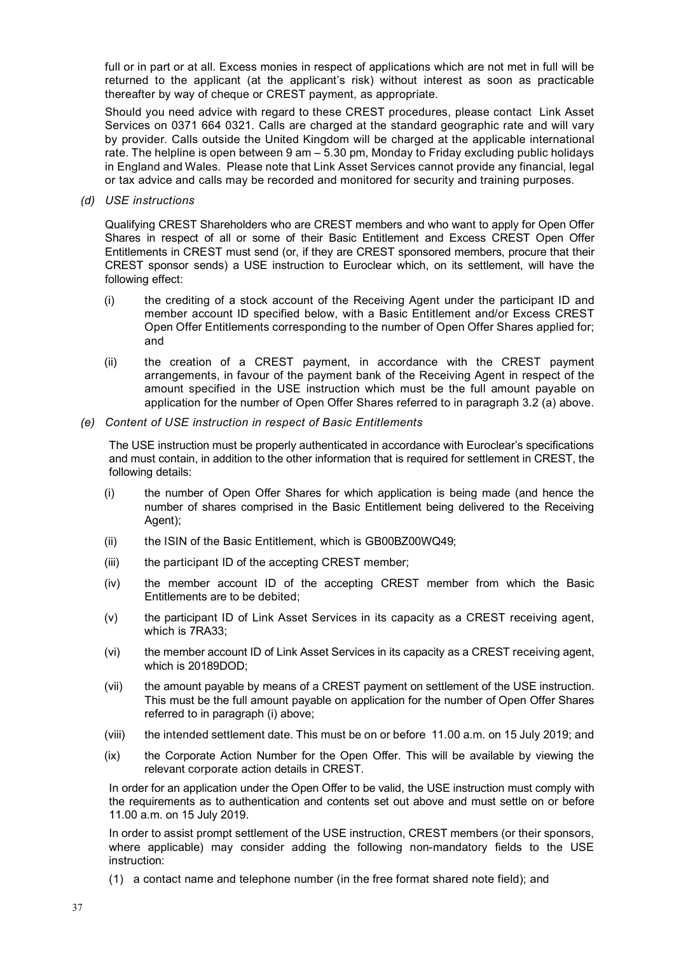full or in part or at all. Excess monies in respect of applications which are not met in full will be returned to the applicant (at the applicant's risk) without interest as soon as practicable thereafter by way of cheque or CREST payment, as appropriate.

Should you need advice with regard to these CREST procedures, please contact Link Asset Services on 0371 664 0321. Calls are charged at the standard geographic rate and will vary by provider. Calls outside the United Kingdom will be charged at the applicable international rate. The helpline is open between 9 am – 5.30 pm, Monday to Friday excluding public holidays in England and Wales. Please note that Link Asset Services cannot provide any financial, legal or tax advice and calls may be recorded and monitored for security and training purposes.

*(d) USE instructions*

Qualifying CREST Shareholders who are CREST members and who want to apply for Open Offer Shares in respect of all or some of their Basic Entitlement and Excess CREST Open Offer Entitlements in CREST must send (or, if they are CREST sponsored members, procure that their CREST sponsor sends) a USE instruction to Euroclear which, on its settlement, will have the following effect:

- (i) the crediting of a stock account of the Receiving Agent under the participant ID and member account ID specified below, with a Basic Entitlement and/or Excess CREST Open Offer Entitlements corresponding to the number of Open Offer Shares applied for; and
- (ii) the creation of a CREST payment, in accordance with the CREST payment arrangements, in favour of the payment bank of the Receiving Agent in respect of the amount specified in the USE instruction which must be the full amount payable on application for the number of Open Offer Shares referred to in paragraph 3.2 (a) above.
- *(e) Content of USE instruction in respect of Basic Entitlements*

The USE instruction must be properly authenticated in accordance with Euroclear's specifications and must contain, in addition to the other information that is required for settlement in CREST, the following details:

- (i) the number of Open Offer Shares for which application is being made (and hence the number of shares comprised in the Basic Entitlement being delivered to the Receiving Agent);
- (ii) the ISIN of the Basic Entitlement, which is GB00BZ00WQ49;
- (iii) the participant ID of the accepting CREST member;
- (iv) the member account ID of the accepting CREST member from which the Basic Entitlements are to be debited;
- (v) the participant ID of Link Asset Services in its capacity as a CREST receiving agent, which is 7RA33;
- (vi) the member account ID of Link Asset Services in its capacity as a CREST receiving agent, which is 20189DOD;
- (vii) the amount payable by means of a CREST payment on settlement of the USE instruction. This must be the full amount payable on application for the number of Open Offer Shares referred to in paragraph (i) above;
- (viii) the intended settlement date. This must be on or before 11.00 a.m. on 15 July 2019; and
- (ix) the Corporate Action Number for the Open Offer. This will be available by viewing the relevant corporate action details in CREST.

In order for an application under the Open Offer to be valid, the USE instruction must comply with the requirements as to authentication and contents set out above and must settle on or before 11.00 a.m. on 15 July 2019.

In order to assist prompt settlement of the USE instruction, CREST members (or their sponsors, where applicable) may consider adding the following non-mandatory fields to the USE instruction:

(1) a contact name and telephone number (in the free format shared note field); and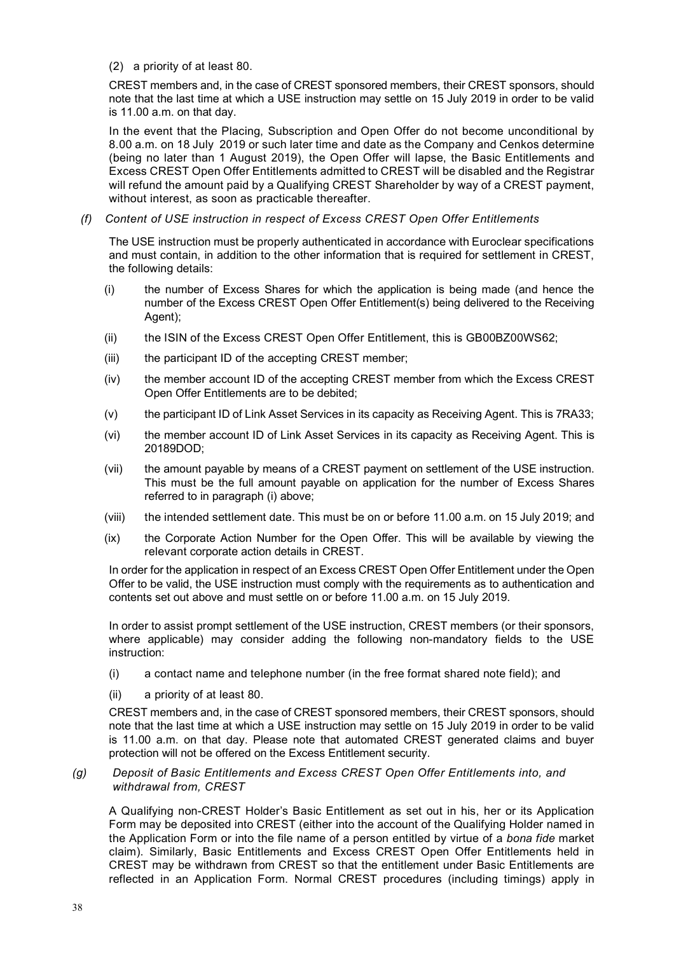(2) a priority of at least 80.

CREST members and, in the case of CREST sponsored members, their CREST sponsors, should note that the last time at which a USE instruction may settle on 15 July 2019 in order to be valid is 11.00 a.m. on that day.

In the event that the Placing, Subscription and Open Offer do not become unconditional by 8.00 a.m. on 18 July 2019 or such later time and date as the Company and Cenkos determine (being no later than 1 August 2019), the Open Offer will lapse, the Basic Entitlements and Excess CREST Open Offer Entitlements admitted to CREST will be disabled and the Registrar will refund the amount paid by a Qualifying CREST Shareholder by way of a CREST payment, without interest, as soon as practicable thereafter.

*(f) Content of USE instruction in respect of Excess CREST Open Offer Entitlements*

The USE instruction must be properly authenticated in accordance with Euroclear specifications and must contain, in addition to the other information that is required for settlement in CREST, the following details:

- (i) the number of Excess Shares for which the application is being made (and hence the number of the Excess CREST Open Offer Entitlement(s) being delivered to the Receiving Agent);
- (ii) the ISIN of the Excess CREST Open Offer Entitlement, this is GB00BZ00WS62;
- (iii) the participant ID of the accepting CREST member;
- (iv) the member account ID of the accepting CREST member from which the Excess CREST Open Offer Entitlements are to be debited;
- (v) the participant ID of Link Asset Services in its capacity as Receiving Agent. This is 7RA33;
- (vi) the member account ID of Link Asset Services in its capacity as Receiving Agent. This is 20189DOD;
- (vii) the amount payable by means of a CREST payment on settlement of the USE instruction. This must be the full amount payable on application for the number of Excess Shares referred to in paragraph (i) above;
- (viii) the intended settlement date. This must be on or before 11.00 a.m. on 15 July 2019; and
- (ix) the Corporate Action Number for the Open Offer. This will be available by viewing the relevant corporate action details in CREST.

In order for the application in respect of an Excess CREST Open Offer Entitlement under the Open Offer to be valid, the USE instruction must comply with the requirements as to authentication and contents set out above and must settle on or before 11.00 a.m. on 15 July 2019.

In order to assist prompt settlement of the USE instruction, CREST members (or their sponsors, where applicable) may consider adding the following non-mandatory fields to the USE instruction:

- (i) a contact name and telephone number (in the free format shared note field); and
- (ii) a priority of at least 80.

CREST members and, in the case of CREST sponsored members, their CREST sponsors, should note that the last time at which a USE instruction may settle on 15 July 2019 in order to be valid is 11.00 a.m. on that day. Please note that automated CREST generated claims and buyer protection will not be offered on the Excess Entitlement security.

*(g) Deposit of Basic Entitlements and Excess CREST Open Offer Entitlements into, and withdrawal from, CREST*

A Qualifying non-CREST Holder's Basic Entitlement as set out in his, her or its Application Form may be deposited into CREST (either into the account of the Qualifying Holder named in the Application Form or into the file name of a person entitled by virtue of a *bona fide* market claim). Similarly, Basic Entitlements and Excess CREST Open Offer Entitlements held in CREST may be withdrawn from CREST so that the entitlement under Basic Entitlements are reflected in an Application Form. Normal CREST procedures (including timings) apply in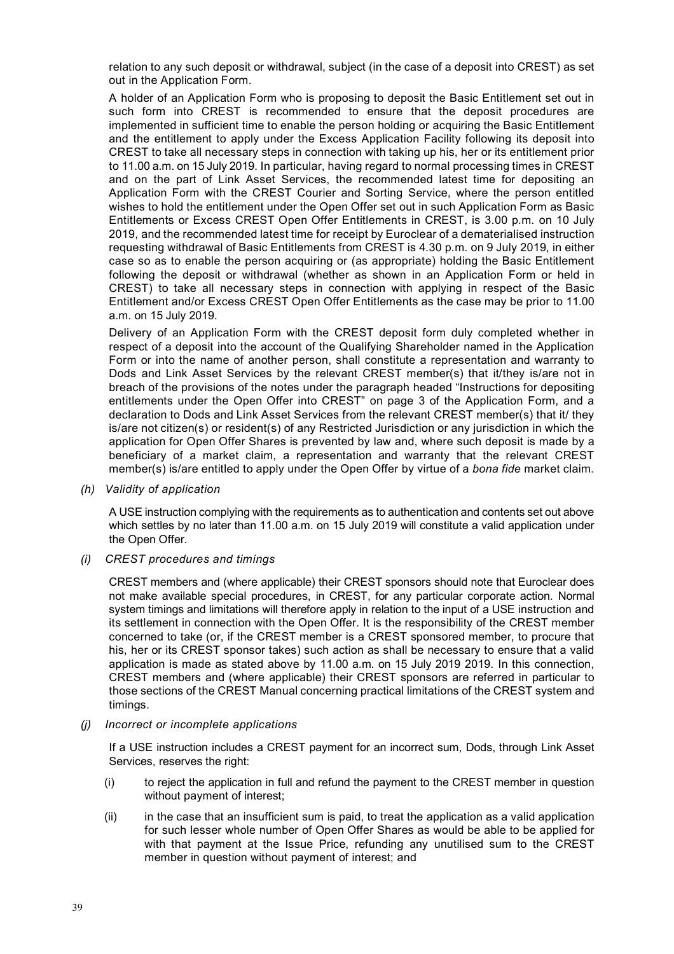relation to any such deposit or withdrawal, subject (in the case of a deposit into CREST) as set out in the Application Form.

A holder of an Application Form who is proposing to deposit the Basic Entitlement set out in such form into CREST is recommended to ensure that the deposit procedures are implemented in sufficient time to enable the person holding or acquiring the Basic Entitlement and the entitlement to apply under the Excess Application Facility following its deposit into CREST to take all necessary steps in connection with taking up his, her or its entitlement prior to 11.00 a.m. on 15 July 2019. In particular, having regard to normal processing times in CREST and on the part of Link Asset Services, the recommended latest time for depositing an Application Form with the CREST Courier and Sorting Service, where the person entitled wishes to hold the entitlement under the Open Offer set out in such Application Form as Basic Entitlements or Excess CREST Open Offer Entitlements in CREST, is 3.00 p.m. on 10 July 2019, and the recommended latest time for receipt by Euroclear of a dematerialised instruction requesting withdrawal of Basic Entitlements from CREST is 4.30 p.m. on 9 July 2019, in either case so as to enable the person acquiring or (as appropriate) holding the Basic Entitlement following the deposit or withdrawal (whether as shown in an Application Form or held in CREST) to take all necessary steps in connection with applying in respect of the Basic Entitlement and/or Excess CREST Open Offer Entitlements as the case may be prior to 11.00 a.m. on 15 July 2019.

Delivery of an Application Form with the CREST deposit form duly completed whether in respect of a deposit into the account of the Qualifying Shareholder named in the Application Form or into the name of another person, shall constitute a representation and warranty to Dods and Link Asset Services by the relevant CREST member(s) that it/they is/are not in breach of the provisions of the notes under the paragraph headed "Instructions for depositing entitlements under the Open Offer into CREST" on page 3 of the Application Form, and a declaration to Dods and Link Asset Services from the relevant CREST member(s) that it/ they is/are not citizen(s) or resident(s) of any Restricted Jurisdiction or any jurisdiction in which the application for Open Offer Shares is prevented by law and, where such deposit is made by a beneficiary of a market claim, a representation and warranty that the relevant CREST member(s) is/are entitled to apply under the Open Offer by virtue of a *bona fide* market claim.

*(h) Validity of application*

A USE instruction complying with the requirements as to authentication and contents set out above which settles by no later than 11.00 a.m. on 15 July 2019 will constitute a valid application under the Open Offer.

*(i) CREST procedures and timings*

CREST members and (where applicable) their CREST sponsors should note that Euroclear does not make available special procedures, in CREST, for any particular corporate action. Normal system timings and limitations will therefore apply in relation to the input of a USE instruction and its settlement in connection with the Open Offer. It is the responsibility of the CREST member concerned to take (or, if the CREST member is a CREST sponsored member, to procure that his, her or its CREST sponsor takes) such action as shall be necessary to ensure that a valid application is made as stated above by 11.00 a.m. on 15 July 2019 2019. In this connection, CREST members and (where applicable) their CREST sponsors are referred in particular to those sections of the CREST Manual concerning practical limitations of the CREST system and timings.

*(j) Incorrect or incomplete applications*

If a USE instruction includes a CREST payment for an incorrect sum, Dods, through Link Asset Services, reserves the right:

- (i) to reject the application in full and refund the payment to the CREST member in question without payment of interest;
- (ii) in the case that an insufficient sum is paid, to treat the application as a valid application for such lesser whole number of Open Offer Shares as would be able to be applied for with that payment at the Issue Price, refunding any unutilised sum to the CREST member in question without payment of interest; and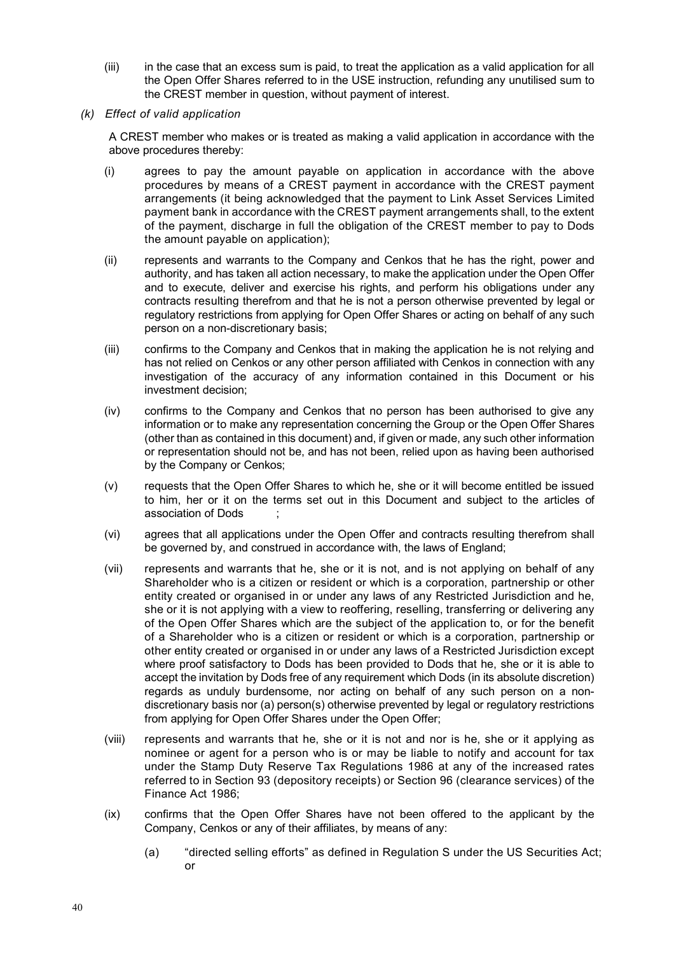- (iii) in the case that an excess sum is paid, to treat the application as a valid application for all the Open Offer Shares referred to in the USE instruction, refunding any unutilised sum to the CREST member in question, without payment of interest.
- *(k) Effect of valid application*

A CREST member who makes or is treated as making a valid application in accordance with the above procedures thereby:

- (i) agrees to pay the amount payable on application in accordance with the above procedures by means of a CREST payment in accordance with the CREST payment arrangements (it being acknowledged that the payment to Link Asset Services Limited payment bank in accordance with the CREST payment arrangements shall, to the extent of the payment, discharge in full the obligation of the CREST member to pay to Dods the amount payable on application);
- (ii) represents and warrants to the Company and Cenkos that he has the right, power and authority, and has taken all action necessary, to make the application under the Open Offer and to execute, deliver and exercise his rights, and perform his obligations under any contracts resulting therefrom and that he is not a person otherwise prevented by legal or regulatory restrictions from applying for Open Offer Shares or acting on behalf of any such person on a non-discretionary basis;
- (iii) confirms to the Company and Cenkos that in making the application he is not relying and has not relied on Cenkos or any other person affiliated with Cenkos in connection with any investigation of the accuracy of any information contained in this Document or his investment decision;
- (iv) confirms to the Company and Cenkos that no person has been authorised to give any information or to make any representation concerning the Group or the Open Offer Shares (other than as contained in this document) and, if given or made, any such other information or representation should not be, and has not been, relied upon as having been authorised by the Company or Cenkos;
- (v) requests that the Open Offer Shares to which he, she or it will become entitled be issued to him, her or it on the terms set out in this Document and subject to the articles of association of Dods ;
- (vi) agrees that all applications under the Open Offer and contracts resulting therefrom shall be governed by, and construed in accordance with, the laws of England;
- (vii) represents and warrants that he, she or it is not, and is not applying on behalf of any Shareholder who is a citizen or resident or which is a corporation, partnership or other entity created or organised in or under any laws of any Restricted Jurisdiction and he, she or it is not applying with a view to reoffering, reselling, transferring or delivering any of the Open Offer Shares which are the subject of the application to, or for the benefit of a Shareholder who is a citizen or resident or which is a corporation, partnership or other entity created or organised in or under any laws of a Restricted Jurisdiction except where proof satisfactory to Dods has been provided to Dods that he, she or it is able to accept the invitation by Dods free of any requirement which Dods (in its absolute discretion) regards as unduly burdensome, nor acting on behalf of any such person on a nondiscretionary basis nor (a) person(s) otherwise prevented by legal or regulatory restrictions from applying for Open Offer Shares under the Open Offer;
- (viii) represents and warrants that he, she or it is not and nor is he, she or it applying as nominee or agent for a person who is or may be liable to notify and account for tax under the Stamp Duty Reserve Tax Regulations 1986 at any of the increased rates referred to in Section 93 (depository receipts) or Section 96 (clearance services) of the Finance Act 1986;
- (ix) confirms that the Open Offer Shares have not been offered to the applicant by the Company, Cenkos or any of their affiliates, by means of any:
	- (a) "directed selling efforts" as defined in Regulation S under the US Securities Act; or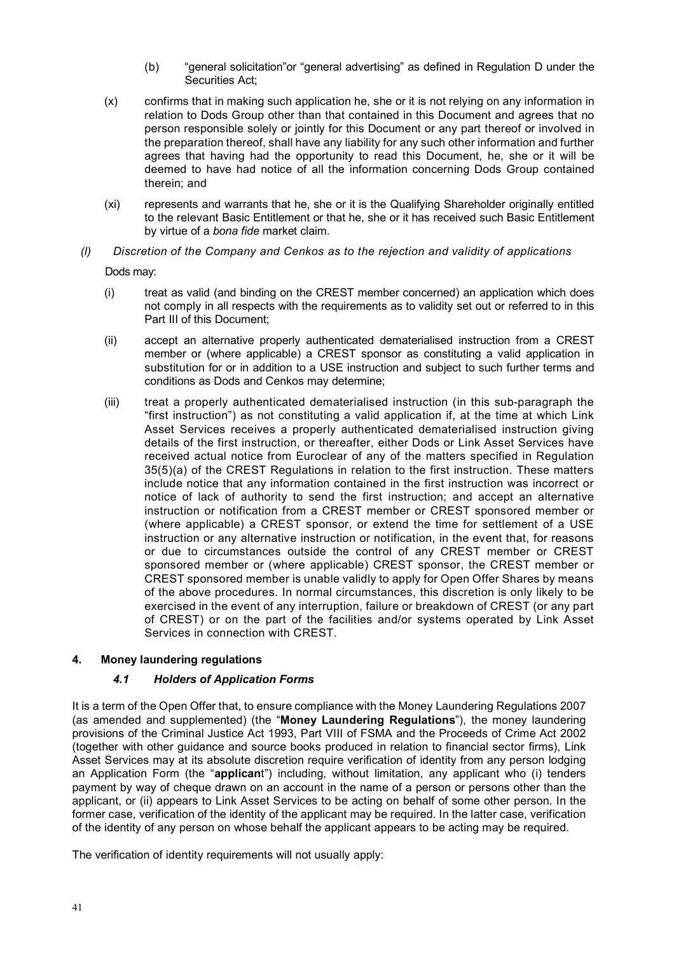- (b) "general solicitation"or "general advertising" as defined in Regulation D under the Securities Act;
- (x) confirms that in making such application he, she or it is not relying on any information in relation to Dods Group other than that contained in this Document and agrees that no person responsible solely or jointly for this Document or any part thereof or involved in the preparation thereof, shall have any liability for any such other information and further agrees that having had the opportunity to read this Document, he, she or it will be deemed to have had notice of all the information concerning Dods Group contained therein; and
- (xi) represents and warrants that he, she or it is the Qualifying Shareholder originally entitled to the relevant Basic Entitlement or that he, she or it has received such Basic Entitlement by virtue of a *bona fide* market claim.
- *(l) Discretion of the Company and Cenkos as to the rejection and validity of applications*  Dods may:
	- (i) treat as valid (and binding on the CREST member concerned) an application which does not comply in all respects with the requirements as to validity set out or referred to in this Part III of this Document;
	- (ii) accept an alternative properly authenticated dematerialised instruction from a CREST member or (where applicable) a CREST sponsor as constituting a valid application in substitution for or in addition to a USE instruction and subject to such further terms and conditions as Dods and Cenkos may determine;
	- (iii) treat a properly authenticated dematerialised instruction (in this sub-paragraph the "first instruction") as not constituting a valid application if, at the time at which Link Asset Services receives a properly authenticated dematerialised instruction giving details of the first instruction, or thereafter, either Dods or Link Asset Services have received actual notice from Euroclear of any of the matters specified in Regulation 35(5)(a) of the CREST Regulations in relation to the first instruction. These matters include notice that any information contained in the first instruction was incorrect or notice of lack of authority to send the first instruction; and accept an alternative instruction or notification from a CREST member or CREST sponsored member or (where applicable) a CREST sponsor, or extend the time for settlement of a USE instruction or any alternative instruction or notification, in the event that, for reasons or due to circumstances outside the control of any CREST member or CREST sponsored member or (where applicable) CREST sponsor, the CREST member or CREST sponsored member is unable validly to apply for Open Offer Shares by means of the above procedures. In normal circumstances, this discretion is only likely to be exercised in the event of any interruption, failure or breakdown of CREST (or any part of CREST) or on the part of the facilities and/or systems operated by Link Asset Services in connection with CREST.

## **4. Money laundering regulations**

## *4.1 Holders of Application Forms*

It is a term of the Open Offer that, to ensure compliance with the Money Laundering Regulations 2007 (as amended and supplemented) (the "**Money Laundering Regulations**"), the money laundering provisions of the Criminal Justice Act 1993, Part VIII of FSMA and the Proceeds of Crime Act 2002 (together with other guidance and source books produced in relation to financial sector firms), Link Asset Services may at its absolute discretion require verification of identity from any person lodging an Application Form (the "**applican**t") including, without limitation, any applicant who (i) tenders payment by way of cheque drawn on an account in the name of a person or persons other than the applicant, or (ii) appears to Link Asset Services to be acting on behalf of some other person. In the former case, verification of the identity of the applicant may be required. In the latter case, verification of the identity of any person on whose behalf the applicant appears to be acting may be required.

The verification of identity requirements will not usually apply: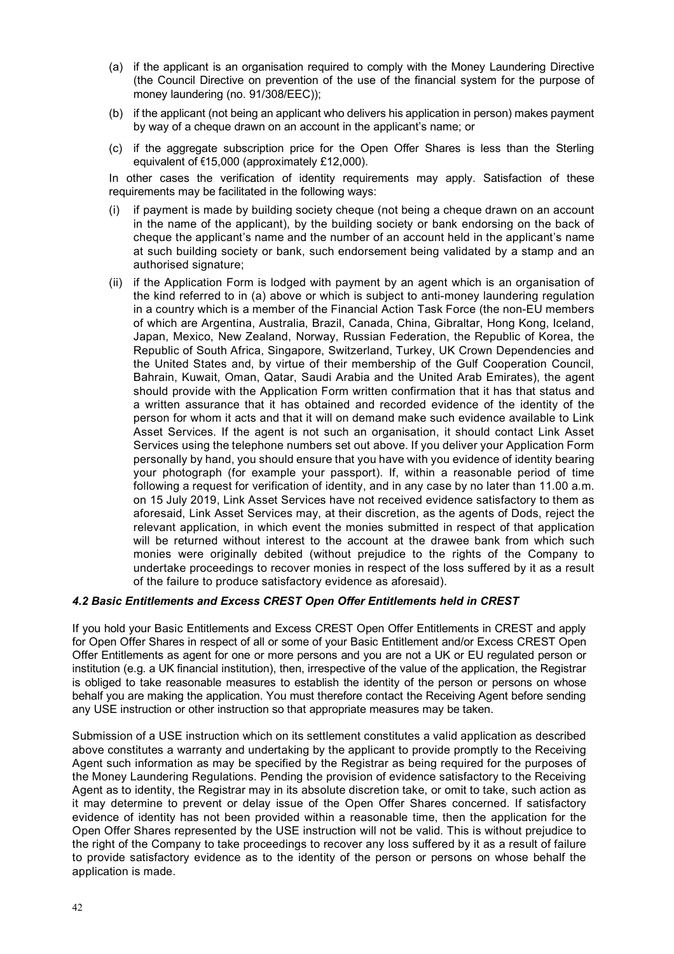- (a) if the applicant is an organisation required to comply with the Money Laundering Directive (the Council Directive on prevention of the use of the financial system for the purpose of money laundering (no. 91/308/EEC));
- (b) if the applicant (not being an applicant who delivers his application in person) makes payment by way of a cheque drawn on an account in the applicant's name; or
- (c) if the aggregate subscription price for the Open Offer Shares is less than the Sterling equivalent of €15,000 (approximately £12,000).

In other cases the verification of identity requirements may apply. Satisfaction of these requirements may be facilitated in the following ways:

- (i) if payment is made by building society cheque (not being a cheque drawn on an account in the name of the applicant), by the building society or bank endorsing on the back of cheque the applicant's name and the number of an account held in the applicant's name at such building society or bank, such endorsement being validated by a stamp and an authorised signature;
- (ii) if the Application Form is lodged with payment by an agent which is an organisation of the kind referred to in (a) above or which is subject to anti-money laundering regulation in a country which is a member of the Financial Action Task Force (the non-EU members of which are Argentina, Australia, Brazil, Canada, China, Gibraltar, Hong Kong, Iceland, Japan, Mexico, New Zealand, Norway, Russian Federation, the Republic of Korea, the Republic of South Africa, Singapore, Switzerland, Turkey, UK Crown Dependencies and the United States and, by virtue of their membership of the Gulf Cooperation Council, Bahrain, Kuwait, Oman, Qatar, Saudi Arabia and the United Arab Emirates), the agent should provide with the Application Form written confirmation that it has that status and a written assurance that it has obtained and recorded evidence of the identity of the person for whom it acts and that it will on demand make such evidence available to Link Asset Services. If the agent is not such an organisation, it should contact Link Asset Services using the telephone numbers set out above. If you deliver your Application Form personally by hand, you should ensure that you have with you evidence of identity bearing your photograph (for example your passport). If, within a reasonable period of time following a request for verification of identity, and in any case by no later than 11.00 a.m. on 15 July 2019, Link Asset Services have not received evidence satisfactory to them as aforesaid, Link Asset Services may, at their discretion, as the agents of Dods, reject the relevant application, in which event the monies submitted in respect of that application will be returned without interest to the account at the drawee bank from which such monies were originally debited (without prejudice to the rights of the Company to undertake proceedings to recover monies in respect of the loss suffered by it as a result of the failure to produce satisfactory evidence as aforesaid).

#### *4.2 Basic Entitlements and Excess CREST Open Offer Entitlements held in CREST*

If you hold your Basic Entitlements and Excess CREST Open Offer Entitlements in CREST and apply for Open Offer Shares in respect of all or some of your Basic Entitlement and/or Excess CREST Open Offer Entitlements as agent for one or more persons and you are not a UK or EU regulated person or institution (e.g. a UK financial institution), then, irrespective of the value of the application, the Registrar is obliged to take reasonable measures to establish the identity of the person or persons on whose behalf you are making the application. You must therefore contact the Receiving Agent before sending any USE instruction or other instruction so that appropriate measures may be taken.

Submission of a USE instruction which on its settlement constitutes a valid application as described above constitutes a warranty and undertaking by the applicant to provide promptly to the Receiving Agent such information as may be specified by the Registrar as being required for the purposes of the Money Laundering Regulations. Pending the provision of evidence satisfactory to the Receiving Agent as to identity, the Registrar may in its absolute discretion take, or omit to take, such action as it may determine to prevent or delay issue of the Open Offer Shares concerned. If satisfactory evidence of identity has not been provided within a reasonable time, then the application for the Open Offer Shares represented by the USE instruction will not be valid. This is without prejudice to the right of the Company to take proceedings to recover any loss suffered by it as a result of failure to provide satisfactory evidence as to the identity of the person or persons on whose behalf the application is made.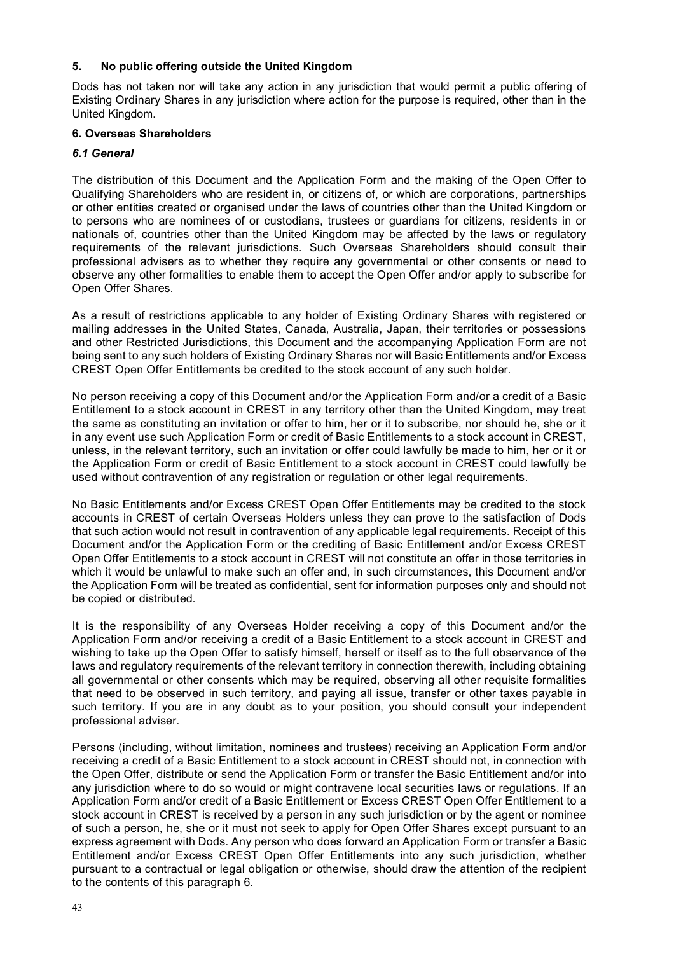### **5. No public offering outside the United Kingdom**

Dods has not taken nor will take any action in any jurisdiction that would permit a public offering of Existing Ordinary Shares in any jurisdiction where action for the purpose is required, other than in the United Kingdom.

## **6. Overseas Shareholders**

## *6.1 General*

The distribution of this Document and the Application Form and the making of the Open Offer to Qualifying Shareholders who are resident in, or citizens of, or which are corporations, partnerships or other entities created or organised under the laws of countries other than the United Kingdom or to persons who are nominees of or custodians, trustees or guardians for citizens, residents in or nationals of, countries other than the United Kingdom may be affected by the laws or regulatory requirements of the relevant jurisdictions. Such Overseas Shareholders should consult their professional advisers as to whether they require any governmental or other consents or need to observe any other formalities to enable them to accept the Open Offer and/or apply to subscribe for Open Offer Shares.

As a result of restrictions applicable to any holder of Existing Ordinary Shares with registered or mailing addresses in the United States, Canada, Australia, Japan, their territories or possessions and other Restricted Jurisdictions, this Document and the accompanying Application Form are not being sent to any such holders of Existing Ordinary Shares nor will Basic Entitlements and/or Excess CREST Open Offer Entitlements be credited to the stock account of any such holder.

No person receiving a copy of this Document and/or the Application Form and/or a credit of a Basic Entitlement to a stock account in CREST in any territory other than the United Kingdom, may treat the same as constituting an invitation or offer to him, her or it to subscribe, nor should he, she or it in any event use such Application Form or credit of Basic Entitlements to a stock account in CREST, unless, in the relevant territory, such an invitation or offer could lawfully be made to him, her or it or the Application Form or credit of Basic Entitlement to a stock account in CREST could lawfully be used without contravention of any registration or regulation or other legal requirements.

No Basic Entitlements and/or Excess CREST Open Offer Entitlements may be credited to the stock accounts in CREST of certain Overseas Holders unless they can prove to the satisfaction of Dods that such action would not result in contravention of any applicable legal requirements. Receipt of this Document and/or the Application Form or the crediting of Basic Entitlement and/or Excess CREST Open Offer Entitlements to a stock account in CREST will not constitute an offer in those territories in which it would be unlawful to make such an offer and, in such circumstances, this Document and/or the Application Form will be treated as confidential, sent for information purposes only and should not be copied or distributed.

It is the responsibility of any Overseas Holder receiving a copy of this Document and/or the Application Form and/or receiving a credit of a Basic Entitlement to a stock account in CREST and wishing to take up the Open Offer to satisfy himself, herself or itself as to the full observance of the laws and regulatory requirements of the relevant territory in connection therewith, including obtaining all governmental or other consents which may be required, observing all other requisite formalities that need to be observed in such territory, and paying all issue, transfer or other taxes payable in such territory. If you are in any doubt as to your position, you should consult your independent professional adviser.

Persons (including, without limitation, nominees and trustees) receiving an Application Form and/or receiving a credit of a Basic Entitlement to a stock account in CREST should not, in connection with the Open Offer, distribute or send the Application Form or transfer the Basic Entitlement and/or into any jurisdiction where to do so would or might contravene local securities laws or regulations. If an Application Form and/or credit of a Basic Entitlement or Excess CREST Open Offer Entitlement to a stock account in CREST is received by a person in any such jurisdiction or by the agent or nominee of such a person, he, she or it must not seek to apply for Open Offer Shares except pursuant to an express agreement with Dods. Any person who does forward an Application Form or transfer a Basic Entitlement and/or Excess CREST Open Offer Entitlements into any such jurisdiction, whether pursuant to a contractual or legal obligation or otherwise, should draw the attention of the recipient to the contents of this paragraph 6.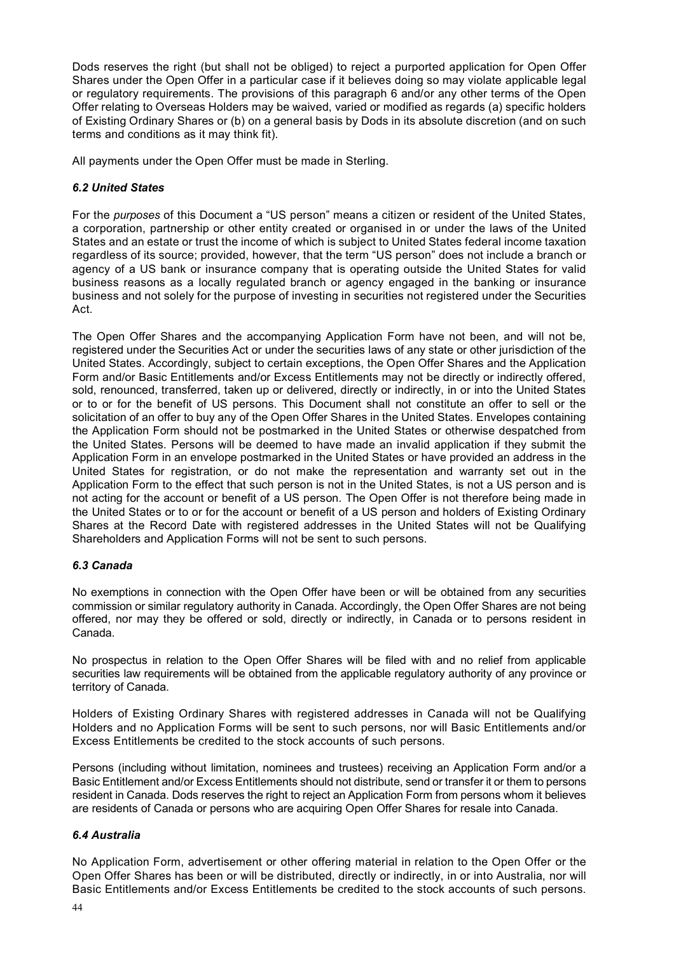Dods reserves the right (but shall not be obliged) to reject a purported application for Open Offer Shares under the Open Offer in a particular case if it believes doing so may violate applicable legal or regulatory requirements. The provisions of this paragraph 6 and/or any other terms of the Open Offer relating to Overseas Holders may be waived, varied or modified as regards (a) specific holders of Existing Ordinary Shares or (b) on a general basis by Dods in its absolute discretion (and on such terms and conditions as it may think fit).

All payments under the Open Offer must be made in Sterling.

### *6.2 United States*

For the *purposes* of this Document a "US person" means a citizen or resident of the United States, a corporation, partnership or other entity created or organised in or under the laws of the United States and an estate or trust the income of which is subject to United States federal income taxation regardless of its source; provided, however, that the term "US person" does not include a branch or agency of a US bank or insurance company that is operating outside the United States for valid business reasons as a locally regulated branch or agency engaged in the banking or insurance business and not solely for the purpose of investing in securities not registered under the Securities Act.

The Open Offer Shares and the accompanying Application Form have not been, and will not be, registered under the Securities Act or under the securities laws of any state or other jurisdiction of the United States. Accordingly, subject to certain exceptions, the Open Offer Shares and the Application Form and/or Basic Entitlements and/or Excess Entitlements may not be directly or indirectly offered, sold, renounced, transferred, taken up or delivered, directly or indirectly, in or into the United States or to or for the benefit of US persons. This Document shall not constitute an offer to sell or the solicitation of an offer to buy any of the Open Offer Shares in the United States. Envelopes containing the Application Form should not be postmarked in the United States or otherwise despatched from the United States. Persons will be deemed to have made an invalid application if they submit the Application Form in an envelope postmarked in the United States or have provided an address in the United States for registration, or do not make the representation and warranty set out in the Application Form to the effect that such person is not in the United States, is not a US person and is not acting for the account or benefit of a US person. The Open Offer is not therefore being made in the United States or to or for the account or benefit of a US person and holders of Existing Ordinary Shares at the Record Date with registered addresses in the United States will not be Qualifying Shareholders and Application Forms will not be sent to such persons.

### *6.3 Canada*

No exemptions in connection with the Open Offer have been or will be obtained from any securities commission or similar regulatory authority in Canada. Accordingly, the Open Offer Shares are not being offered, nor may they be offered or sold, directly or indirectly, in Canada or to persons resident in Canada.

No prospectus in relation to the Open Offer Shares will be filed with and no relief from applicable securities law requirements will be obtained from the applicable regulatory authority of any province or territory of Canada.

Holders of Existing Ordinary Shares with registered addresses in Canada will not be Qualifying Holders and no Application Forms will be sent to such persons, nor will Basic Entitlements and/or Excess Entitlements be credited to the stock accounts of such persons.

Persons (including without limitation, nominees and trustees) receiving an Application Form and/or a Basic Entitlement and/or Excess Entitlements should not distribute, send or transfer it or them to persons resident in Canada. Dods reserves the right to reject an Application Form from persons whom it believes are residents of Canada or persons who are acquiring Open Offer Shares for resale into Canada.

### *6.4 Australia*

No Application Form, advertisement or other offering material in relation to the Open Offer or the Open Offer Shares has been or will be distributed, directly or indirectly, in or into Australia, nor will Basic Entitlements and/or Excess Entitlements be credited to the stock accounts of such persons.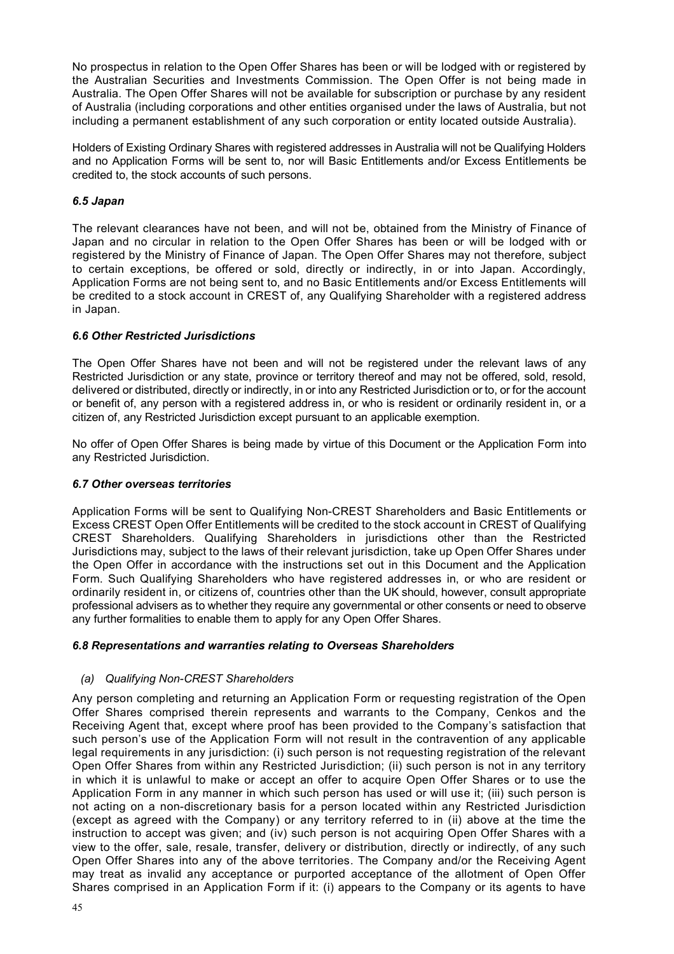No prospectus in relation to the Open Offer Shares has been or will be lodged with or registered by the Australian Securities and Investments Commission. The Open Offer is not being made in Australia. The Open Offer Shares will not be available for subscription or purchase by any resident of Australia (including corporations and other entities organised under the laws of Australia, but not including a permanent establishment of any such corporation or entity located outside Australia).

Holders of Existing Ordinary Shares with registered addresses in Australia will not be Qualifying Holders and no Application Forms will be sent to, nor will Basic Entitlements and/or Excess Entitlements be credited to, the stock accounts of such persons.

### *6.5 Japan*

The relevant clearances have not been, and will not be, obtained from the Ministry of Finance of Japan and no circular in relation to the Open Offer Shares has been or will be lodged with or registered by the Ministry of Finance of Japan. The Open Offer Shares may not therefore, subject to certain exceptions, be offered or sold, directly or indirectly, in or into Japan. Accordingly, Application Forms are not being sent to, and no Basic Entitlements and/or Excess Entitlements will be credited to a stock account in CREST of, any Qualifying Shareholder with a registered address in Japan.

## *6.6 Other Restricted Jurisdictions*

The Open Offer Shares have not been and will not be registered under the relevant laws of any Restricted Jurisdiction or any state, province or territory thereof and may not be offered, sold, resold, delivered or distributed, directly or indirectly, in or into any Restricted Jurisdiction or to, or for the account or benefit of, any person with a registered address in, or who is resident or ordinarily resident in, or a citizen of, any Restricted Jurisdiction except pursuant to an applicable exemption.

No offer of Open Offer Shares is being made by virtue of this Document or the Application Form into any Restricted Jurisdiction.

### *6.7 Other overseas territories*

Application Forms will be sent to Qualifying Non-CREST Shareholders and Basic Entitlements or Excess CREST Open Offer Entitlements will be credited to the stock account in CREST of Qualifying CREST Shareholders. Qualifying Shareholders in jurisdictions other than the Restricted Jurisdictions may, subject to the laws of their relevant jurisdiction, take up Open Offer Shares under the Open Offer in accordance with the instructions set out in this Document and the Application Form. Such Qualifying Shareholders who have registered addresses in, or who are resident or ordinarily resident in, or citizens of, countries other than the UK should, however, consult appropriate professional advisers as to whether they require any governmental or other consents or need to observe any further formalities to enable them to apply for any Open Offer Shares.

### *6.8 Representations and warranties relating to Overseas Shareholders*

### *(a) Qualifying Non-CREST Shareholders*

Any person completing and returning an Application Form or requesting registration of the Open Offer Shares comprised therein represents and warrants to the Company, Cenkos and the Receiving Agent that, except where proof has been provided to the Company's satisfaction that such person's use of the Application Form will not result in the contravention of any applicable legal requirements in any jurisdiction: (i) such person is not requesting registration of the relevant Open Offer Shares from within any Restricted Jurisdiction; (ii) such person is not in any territory in which it is unlawful to make or accept an offer to acquire Open Offer Shares or to use the Application Form in any manner in which such person has used or will use it; (iii) such person is not acting on a non-discretionary basis for a person located within any Restricted Jurisdiction (except as agreed with the Company) or any territory referred to in (ii) above at the time the instruction to accept was given; and (iv) such person is not acquiring Open Offer Shares with a view to the offer, sale, resale, transfer, delivery or distribution, directly or indirectly, of any such Open Offer Shares into any of the above territories. The Company and/or the Receiving Agent may treat as invalid any acceptance or purported acceptance of the allotment of Open Offer Shares comprised in an Application Form if it: (i) appears to the Company or its agents to have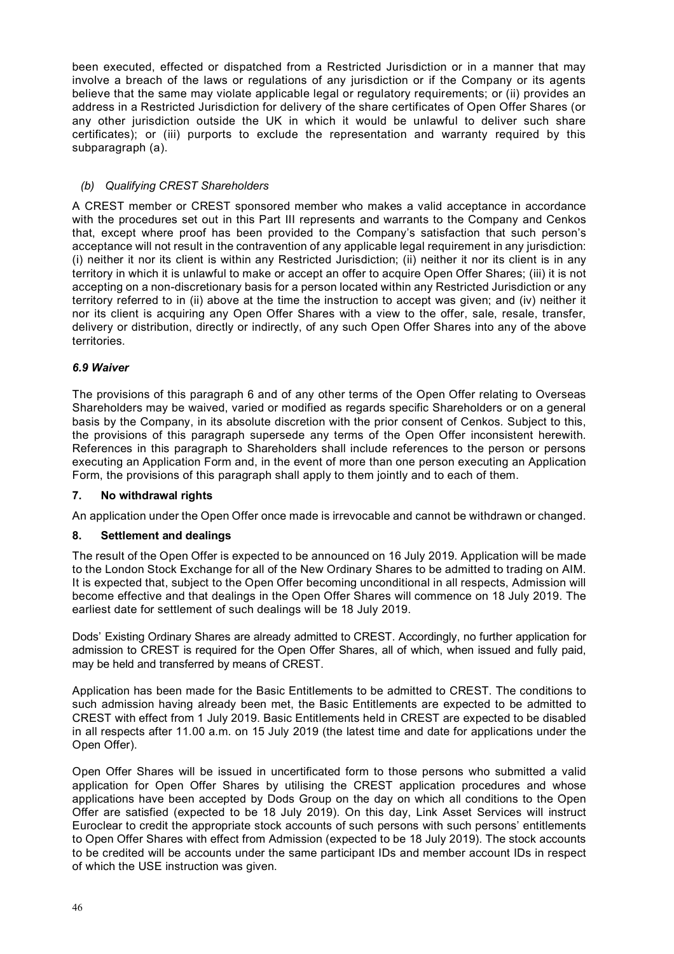been executed, effected or dispatched from a Restricted Jurisdiction or in a manner that may involve a breach of the laws or regulations of any jurisdiction or if the Company or its agents believe that the same may violate applicable legal or regulatory requirements; or (ii) provides an address in a Restricted Jurisdiction for delivery of the share certificates of Open Offer Shares (or any other jurisdiction outside the UK in which it would be unlawful to deliver such share certificates); or (iii) purports to exclude the representation and warranty required by this subparagraph (a).

## *(b) Qualifying CREST Shareholders*

A CREST member or CREST sponsored member who makes a valid acceptance in accordance with the procedures set out in this Part III represents and warrants to the Company and Cenkos that, except where proof has been provided to the Company's satisfaction that such person's acceptance will not result in the contravention of any applicable legal requirement in any jurisdiction: (i) neither it nor its client is within any Restricted Jurisdiction; (ii) neither it nor its client is in any territory in which it is unlawful to make or accept an offer to acquire Open Offer Shares; (iii) it is not accepting on a non-discretionary basis for a person located within any Restricted Jurisdiction or any territory referred to in (ii) above at the time the instruction to accept was given; and (iv) neither it nor its client is acquiring any Open Offer Shares with a view to the offer, sale, resale, transfer, delivery or distribution, directly or indirectly, of any such Open Offer Shares into any of the above territories.

### *6.9 Waiver*

The provisions of this paragraph 6 and of any other terms of the Open Offer relating to Overseas Shareholders may be waived, varied or modified as regards specific Shareholders or on a general basis by the Company, in its absolute discretion with the prior consent of Cenkos. Subject to this, the provisions of this paragraph supersede any terms of the Open Offer inconsistent herewith. References in this paragraph to Shareholders shall include references to the person or persons executing an Application Form and, in the event of more than one person executing an Application Form, the provisions of this paragraph shall apply to them jointly and to each of them.

### **7. No withdrawal rights**

An application under the Open Offer once made is irrevocable and cannot be withdrawn or changed.

### **8. Settlement and dealings**

The result of the Open Offer is expected to be announced on 16 July 2019. Application will be made to the London Stock Exchange for all of the New Ordinary Shares to be admitted to trading on AIM. It is expected that, subject to the Open Offer becoming unconditional in all respects, Admission will become effective and that dealings in the Open Offer Shares will commence on 18 July 2019. The earliest date for settlement of such dealings will be 18 July 2019.

Dods' Existing Ordinary Shares are already admitted to CREST. Accordingly, no further application for admission to CREST is required for the Open Offer Shares, all of which, when issued and fully paid, may be held and transferred by means of CREST.

Application has been made for the Basic Entitlements to be admitted to CREST. The conditions to such admission having already been met, the Basic Entitlements are expected to be admitted to CREST with effect from 1 July 2019. Basic Entitlements held in CREST are expected to be disabled in all respects after 11.00 a.m. on 15 July 2019 (the latest time and date for applications under the Open Offer).

Open Offer Shares will be issued in uncertificated form to those persons who submitted a valid application for Open Offer Shares by utilising the CREST application procedures and whose applications have been accepted by Dods Group on the day on which all conditions to the Open Offer are satisfied (expected to be 18 July 2019). On this day, Link Asset Services will instruct Euroclear to credit the appropriate stock accounts of such persons with such persons' entitlements to Open Offer Shares with effect from Admission (expected to be 18 July 2019). The stock accounts to be credited will be accounts under the same participant IDs and member account IDs in respect of which the USE instruction was given.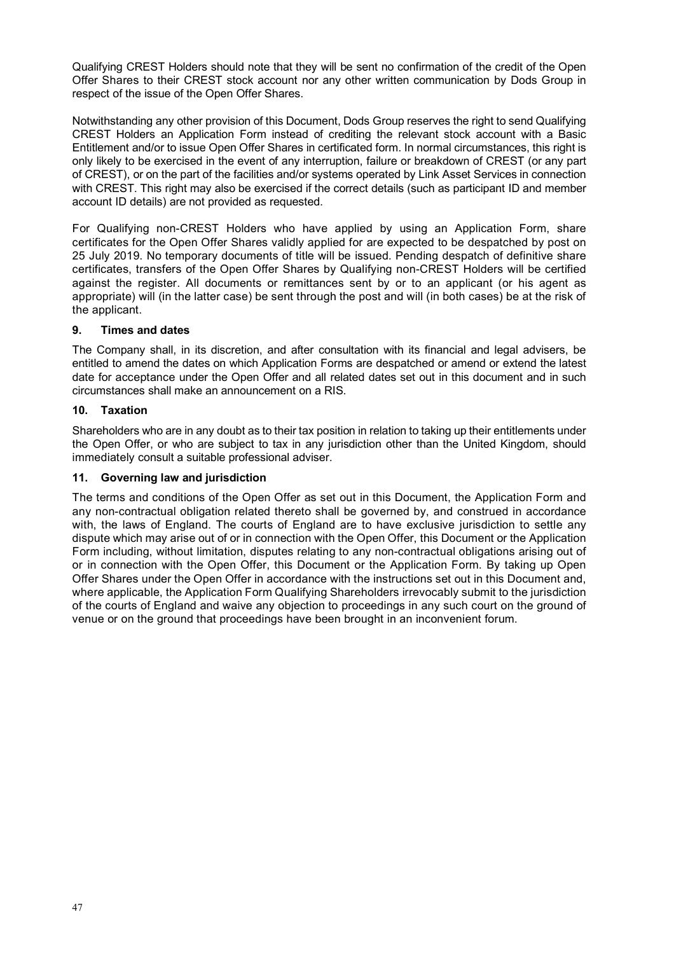Qualifying CREST Holders should note that they will be sent no confirmation of the credit of the Open Offer Shares to their CREST stock account nor any other written communication by Dods Group in respect of the issue of the Open Offer Shares.

Notwithstanding any other provision of this Document, Dods Group reserves the right to send Qualifying CREST Holders an Application Form instead of crediting the relevant stock account with a Basic Entitlement and/or to issue Open Offer Shares in certificated form. In normal circumstances, this right is only likely to be exercised in the event of any interruption, failure or breakdown of CREST (or any part of CREST), or on the part of the facilities and/or systems operated by Link Asset Services in connection with CREST. This right may also be exercised if the correct details (such as participant ID and member account ID details) are not provided as requested.

For Qualifying non-CREST Holders who have applied by using an Application Form, share certificates for the Open Offer Shares validly applied for are expected to be despatched by post on 25 July 2019. No temporary documents of title will be issued. Pending despatch of definitive share certificates, transfers of the Open Offer Shares by Qualifying non-CREST Holders will be certified against the register. All documents or remittances sent by or to an applicant (or his agent as appropriate) will (in the latter case) be sent through the post and will (in both cases) be at the risk of the applicant.

## **9. Times and dates**

The Company shall, in its discretion, and after consultation with its financial and legal advisers, be entitled to amend the dates on which Application Forms are despatched or amend or extend the latest date for acceptance under the Open Offer and all related dates set out in this document and in such circumstances shall make an announcement on a RIS.

## **10. Taxation**

Shareholders who are in any doubt as to their tax position in relation to taking up their entitlements under the Open Offer, or who are subject to tax in any jurisdiction other than the United Kingdom, should immediately consult a suitable professional adviser.

### **11. Governing law and jurisdiction**

The terms and conditions of the Open Offer as set out in this Document, the Application Form and any non-contractual obligation related thereto shall be governed by, and construed in accordance with, the laws of England. The courts of England are to have exclusive jurisdiction to settle any dispute which may arise out of or in connection with the Open Offer, this Document or the Application Form including, without limitation, disputes relating to any non-contractual obligations arising out of or in connection with the Open Offer, this Document or the Application Form. By taking up Open Offer Shares under the Open Offer in accordance with the instructions set out in this Document and, where applicable, the Application Form Qualifying Shareholders irrevocably submit to the jurisdiction of the courts of England and waive any objection to proceedings in any such court on the ground of venue or on the ground that proceedings have been brought in an inconvenient forum.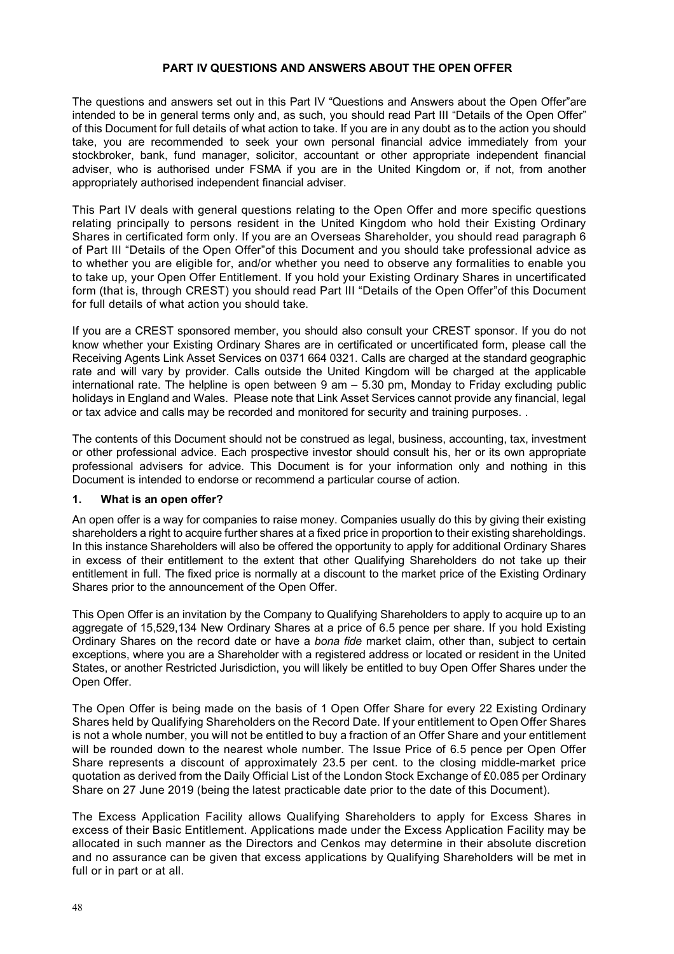#### **PART IV QUESTIONS AND ANSWERS ABOUT THE OPEN OFFER**

The questions and answers set out in this Part IV "Questions and Answers about the Open Offer"are intended to be in general terms only and, as such, you should read Part III "Details of the Open Offer" of this Document for full details of what action to take. If you are in any doubt as to the action you should take, you are recommended to seek your own personal financial advice immediately from your stockbroker, bank, fund manager, solicitor, accountant or other appropriate independent financial adviser, who is authorised under FSMA if you are in the United Kingdom or, if not, from another appropriately authorised independent financial adviser.

This Part IV deals with general questions relating to the Open Offer and more specific questions relating principally to persons resident in the United Kingdom who hold their Existing Ordinary Shares in certificated form only. If you are an Overseas Shareholder, you should read paragraph 6 of Part III "Details of the Open Offer"of this Document and you should take professional advice as to whether you are eligible for, and/or whether you need to observe any formalities to enable you to take up, your Open Offer Entitlement. If you hold your Existing Ordinary Shares in uncertificated form (that is, through CREST) you should read Part III "Details of the Open Offer"of this Document for full details of what action you should take.

If you are a CREST sponsored member, you should also consult your CREST sponsor. If you do not know whether your Existing Ordinary Shares are in certificated or uncertificated form, please call the Receiving Agents Link Asset Services on 0371 664 0321. Calls are charged at the standard geographic rate and will vary by provider. Calls outside the United Kingdom will be charged at the applicable international rate. The helpline is open between 9 am – 5.30 pm, Monday to Friday excluding public holidays in England and Wales. Please note that Link Asset Services cannot provide any financial, legal or tax advice and calls may be recorded and monitored for security and training purposes. .

The contents of this Document should not be construed as legal, business, accounting, tax, investment or other professional advice. Each prospective investor should consult his, her or its own appropriate professional advisers for advice. This Document is for your information only and nothing in this Document is intended to endorse or recommend a particular course of action.

#### **1. What is an open offer?**

An open offer is a way for companies to raise money. Companies usually do this by giving their existing shareholders a right to acquire further shares at a fixed price in proportion to their existing shareholdings. In this instance Shareholders will also be offered the opportunity to apply for additional Ordinary Shares in excess of their entitlement to the extent that other Qualifying Shareholders do not take up their entitlement in full. The fixed price is normally at a discount to the market price of the Existing Ordinary Shares prior to the announcement of the Open Offer.

This Open Offer is an invitation by the Company to Qualifying Shareholders to apply to acquire up to an aggregate of 15,529,134 New Ordinary Shares at a price of 6.5 pence per share. If you hold Existing Ordinary Shares on the record date or have a *bona fide* market claim, other than, subject to certain exceptions, where you are a Shareholder with a registered address or located or resident in the United States, or another Restricted Jurisdiction, you will likely be entitled to buy Open Offer Shares under the Open Offer.

The Open Offer is being made on the basis of 1 Open Offer Share for every 22 Existing Ordinary Shares held by Qualifying Shareholders on the Record Date. If your entitlement to Open Offer Shares is not a whole number, you will not be entitled to buy a fraction of an Offer Share and your entitlement will be rounded down to the nearest whole number. The Issue Price of 6.5 pence per Open Offer Share represents a discount of approximately 23.5 per cent. to the closing middle-market price quotation as derived from the Daily Official List of the London Stock Exchange of £0.085 per Ordinary Share on 27 June 2019 (being the latest practicable date prior to the date of this Document).

The Excess Application Facility allows Qualifying Shareholders to apply for Excess Shares in excess of their Basic Entitlement. Applications made under the Excess Application Facility may be allocated in such manner as the Directors and Cenkos may determine in their absolute discretion and no assurance can be given that excess applications by Qualifying Shareholders will be met in full or in part or at all.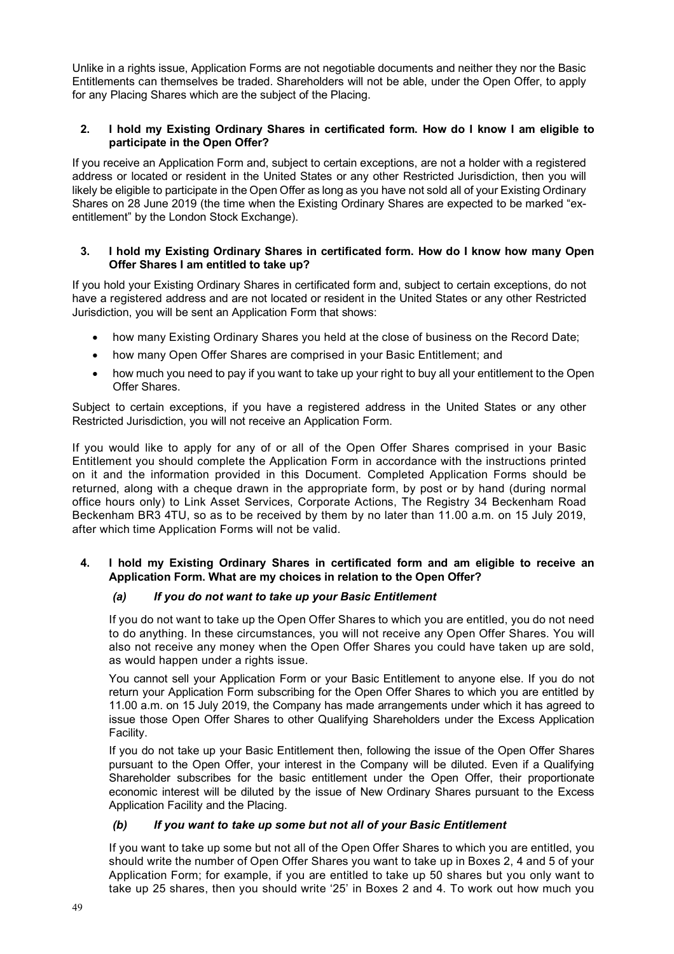Unlike in a rights issue, Application Forms are not negotiable documents and neither they nor the Basic Entitlements can themselves be traded. Shareholders will not be able, under the Open Offer, to apply for any Placing Shares which are the subject of the Placing.

### **2. I hold my Existing Ordinary Shares in certificated form. How do I know I am eligible to participate in the Open Offer?**

If you receive an Application Form and, subject to certain exceptions, are not a holder with a registered address or located or resident in the United States or any other Restricted Jurisdiction, then you will likely be eligible to participate in the Open Offer as long as you have not sold all of your Existing Ordinary Shares on 28 June 2019 (the time when the Existing Ordinary Shares are expected to be marked "exentitlement" by the London Stock Exchange).

### **3. I hold my Existing Ordinary Shares in certificated form. How do I know how many Open Offer Shares I am entitled to take up?**

If you hold your Existing Ordinary Shares in certificated form and, subject to certain exceptions, do not have a registered address and are not located or resident in the United States or any other Restricted Jurisdiction, you will be sent an Application Form that shows:

- how many Existing Ordinary Shares you held at the close of business on the Record Date;
- how many Open Offer Shares are comprised in your Basic Entitlement; and
- how much you need to pay if you want to take up your right to buy all your entitlement to the Open Offer Shares.

Subject to certain exceptions, if you have a registered address in the United States or any other Restricted Jurisdiction, you will not receive an Application Form.

If you would like to apply for any of or all of the Open Offer Shares comprised in your Basic Entitlement you should complete the Application Form in accordance with the instructions printed on it and the information provided in this Document. Completed Application Forms should be returned, along with a cheque drawn in the appropriate form, by post or by hand (during normal office hours only) to Link Asset Services, Corporate Actions, The Registry 34 Beckenham Road Beckenham BR3 4TU, so as to be received by them by no later than 11.00 a.m. on 15 July 2019, after which time Application Forms will not be valid.

## **4. I hold my Existing Ordinary Shares in certificated form and am eligible to receive an Application Form. What are my choices in relation to the Open Offer?**

### *(a) If you do not want to take up your Basic Entitlement*

If you do not want to take up the Open Offer Shares to which you are entitled, you do not need to do anything. In these circumstances, you will not receive any Open Offer Shares. You will also not receive any money when the Open Offer Shares you could have taken up are sold, as would happen under a rights issue.

You cannot sell your Application Form or your Basic Entitlement to anyone else. If you do not return your Application Form subscribing for the Open Offer Shares to which you are entitled by 11.00 a.m. on 15 July 2019, the Company has made arrangements under which it has agreed to issue those Open Offer Shares to other Qualifying Shareholders under the Excess Application Facility.

If you do not take up your Basic Entitlement then, following the issue of the Open Offer Shares pursuant to the Open Offer, your interest in the Company will be diluted. Even if a Qualifying Shareholder subscribes for the basic entitlement under the Open Offer, their proportionate economic interest will be diluted by the issue of New Ordinary Shares pursuant to the Excess Application Facility and the Placing.

### *(b) If you want to take up some but not all of your Basic Entitlement*

If you want to take up some but not all of the Open Offer Shares to which you are entitled, you should write the number of Open Offer Shares you want to take up in Boxes 2, 4 and 5 of your Application Form; for example, if you are entitled to take up 50 shares but you only want to take up 25 shares, then you should write '25' in Boxes 2 and 4. To work out how much you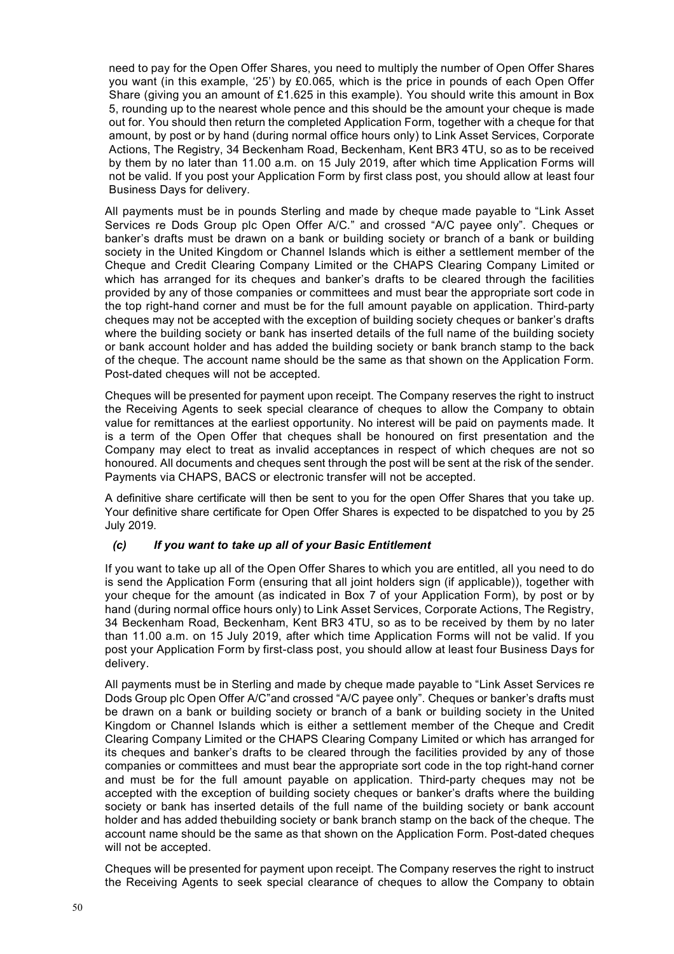need to pay for the Open Offer Shares, you need to multiply the number of Open Offer Shares you want (in this example, '25') by £0.065, which is the price in pounds of each Open Offer Share (giving you an amount of £1.625 in this example). You should write this amount in Box 5, rounding up to the nearest whole pence and this should be the amount your cheque is made out for. You should then return the completed Application Form, together with a cheque for that amount, by post or by hand (during normal office hours only) to Link Asset Services, Corporate Actions, The Registry, 34 Beckenham Road, Beckenham, Kent BR3 4TU, so as to be received by them by no later than 11.00 a.m. on 15 July 2019, after which time Application Forms will not be valid. If you post your Application Form by first class post, you should allow at least four Business Days for delivery.

All payments must be in pounds Sterling and made by cheque made payable to "Link Asset Services re Dods Group plc Open Offer A/C." and crossed "A/C payee only". Cheques or banker's drafts must be drawn on a bank or building society or branch of a bank or building society in the United Kingdom or Channel Islands which is either a settlement member of the Cheque and Credit Clearing Company Limited or the CHAPS Clearing Company Limited or which has arranged for its cheques and banker's drafts to be cleared through the facilities provided by any of those companies or committees and must bear the appropriate sort code in the top right-hand corner and must be for the full amount payable on application. Third-party cheques may not be accepted with the exception of building society cheques or banker's drafts where the building society or bank has inserted details of the full name of the building society or bank account holder and has added the building society or bank branch stamp to the back of the cheque. The account name should be the same as that shown on the Application Form. Post-dated cheques will not be accepted.

Cheques will be presented for payment upon receipt. The Company reserves the right to instruct the Receiving Agents to seek special clearance of cheques to allow the Company to obtain value for remittances at the earliest opportunity. No interest will be paid on payments made. It is a term of the Open Offer that cheques shall be honoured on first presentation and the Company may elect to treat as invalid acceptances in respect of which cheques are not so honoured. All documents and cheques sent through the post will be sent at the risk of the sender. Payments via CHAPS, BACS or electronic transfer will not be accepted.

A definitive share certificate will then be sent to you for the open Offer Shares that you take up. Your definitive share certificate for Open Offer Shares is expected to be dispatched to you by 25 July 2019.

### *(c) If you want to take up all of your Basic Entitlement*

If you want to take up all of the Open Offer Shares to which you are entitled, all you need to do is send the Application Form (ensuring that all joint holders sign (if applicable)), together with your cheque for the amount (as indicated in Box 7 of your Application Form), by post or by hand (during normal office hours only) to Link Asset Services, Corporate Actions, The Registry, 34 Beckenham Road, Beckenham, Kent BR3 4TU, so as to be received by them by no later than 11.00 a.m. on 15 July 2019, after which time Application Forms will not be valid. If you post your Application Form by first-class post, you should allow at least four Business Days for delivery.

All payments must be in Sterling and made by cheque made payable to "Link Asset Services re Dods Group plc Open Offer A/C"and crossed "A/C payee only". Cheques or banker's drafts must be drawn on a bank or building society or branch of a bank or building society in the United Kingdom or Channel Islands which is either a settlement member of the Cheque and Credit Clearing Company Limited or the CHAPS Clearing Company Limited or which has arranged for its cheques and banker's drafts to be cleared through the facilities provided by any of those companies or committees and must bear the appropriate sort code in the top right-hand corner and must be for the full amount payable on application. Third-party cheques may not be accepted with the exception of building society cheques or banker's drafts where the building society or bank has inserted details of the full name of the building society or bank account holder and has added thebuilding society or bank branch stamp on the back of the cheque. The account name should be the same as that shown on the Application Form. Post-dated cheques will not be accepted.

Cheques will be presented for payment upon receipt. The Company reserves the right to instruct the Receiving Agents to seek special clearance of cheques to allow the Company to obtain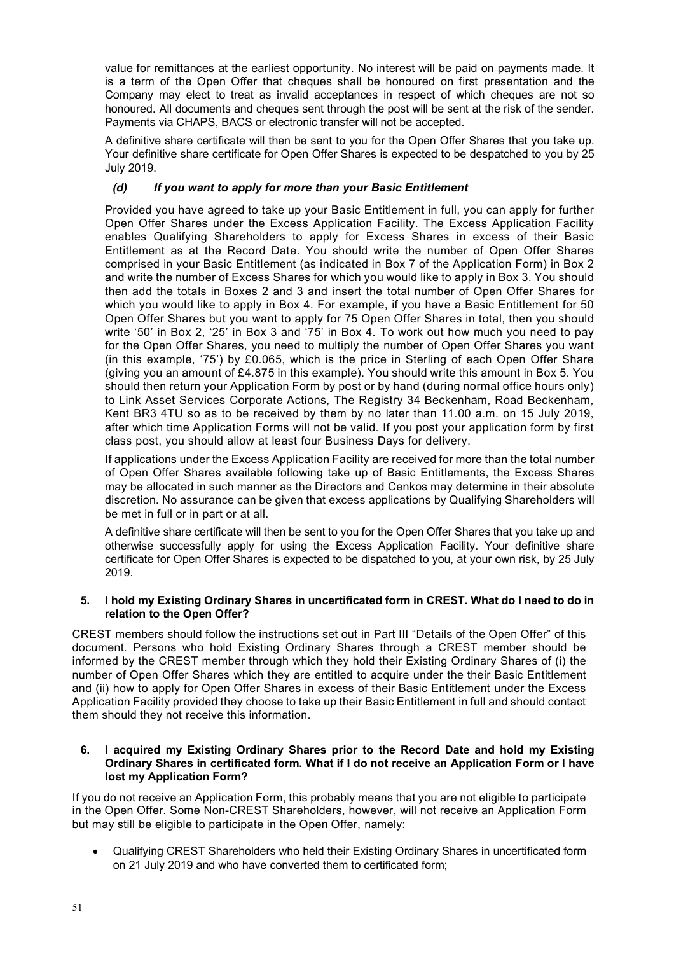value for remittances at the earliest opportunity. No interest will be paid on payments made. It is a term of the Open Offer that cheques shall be honoured on first presentation and the Company may elect to treat as invalid acceptances in respect of which cheques are not so honoured. All documents and cheques sent through the post will be sent at the risk of the sender. Payments via CHAPS, BACS or electronic transfer will not be accepted.

A definitive share certificate will then be sent to you for the Open Offer Shares that you take up. Your definitive share certificate for Open Offer Shares is expected to be despatched to you by 25 July 2019.

## *(d) If you want to apply for more than your Basic Entitlement*

Provided you have agreed to take up your Basic Entitlement in full, you can apply for further Open Offer Shares under the Excess Application Facility. The Excess Application Facility enables Qualifying Shareholders to apply for Excess Shares in excess of their Basic Entitlement as at the Record Date. You should write the number of Open Offer Shares comprised in your Basic Entitlement (as indicated in Box 7 of the Application Form) in Box 2 and write the number of Excess Shares for which you would like to apply in Box 3. You should then add the totals in Boxes 2 and 3 and insert the total number of Open Offer Shares for which you would like to apply in Box 4. For example, if you have a Basic Entitlement for 50 Open Offer Shares but you want to apply for 75 Open Offer Shares in total, then you should write '50' in Box 2, '25' in Box 3 and '75' in Box 4. To work out how much you need to pay for the Open Offer Shares, you need to multiply the number of Open Offer Shares you want (in this example, '75') by £0.065, which is the price in Sterling of each Open Offer Share (giving you an amount of £4.875 in this example). You should write this amount in Box 5. You should then return your Application Form by post or by hand (during normal office hours only) to Link Asset Services Corporate Actions, The Registry 34 Beckenham, Road Beckenham, Kent BR3 4TU so as to be received by them by no later than 11.00 a.m. on 15 July 2019, after which time Application Forms will not be valid. If you post your application form by first class post, you should allow at least four Business Days for delivery.

If applications under the Excess Application Facility are received for more than the total number of Open Offer Shares available following take up of Basic Entitlements, the Excess Shares may be allocated in such manner as the Directors and Cenkos may determine in their absolute discretion. No assurance can be given that excess applications by Qualifying Shareholders will be met in full or in part or at all.

A definitive share certificate will then be sent to you for the Open Offer Shares that you take up and otherwise successfully apply for using the Excess Application Facility. Your definitive share certificate for Open Offer Shares is expected to be dispatched to you, at your own risk, by 25 July 2019.

## **5. I hold my Existing Ordinary Shares in uncertificated form in CREST. What do I need to do in relation to the Open Offer?**

CREST members should follow the instructions set out in Part III "Details of the Open Offer" of this document. Persons who hold Existing Ordinary Shares through a CREST member should be informed by the CREST member through which they hold their Existing Ordinary Shares of (i) the number of Open Offer Shares which they are entitled to acquire under the their Basic Entitlement and (ii) how to apply for Open Offer Shares in excess of their Basic Entitlement under the Excess Application Facility provided they choose to take up their Basic Entitlement in full and should contact them should they not receive this information.

### **6. I acquired my Existing Ordinary Shares prior to the Record Date and hold my Existing Ordinary Shares in certificated form. What if I do not receive an Application Form or I have lost my Application Form?**

If you do not receive an Application Form, this probably means that you are not eligible to participate in the Open Offer. Some Non-CREST Shareholders, however, will not receive an Application Form but may still be eligible to participate in the Open Offer, namely:

• Qualifying CREST Shareholders who held their Existing Ordinary Shares in uncertificated form on 21 July 2019 and who have converted them to certificated form;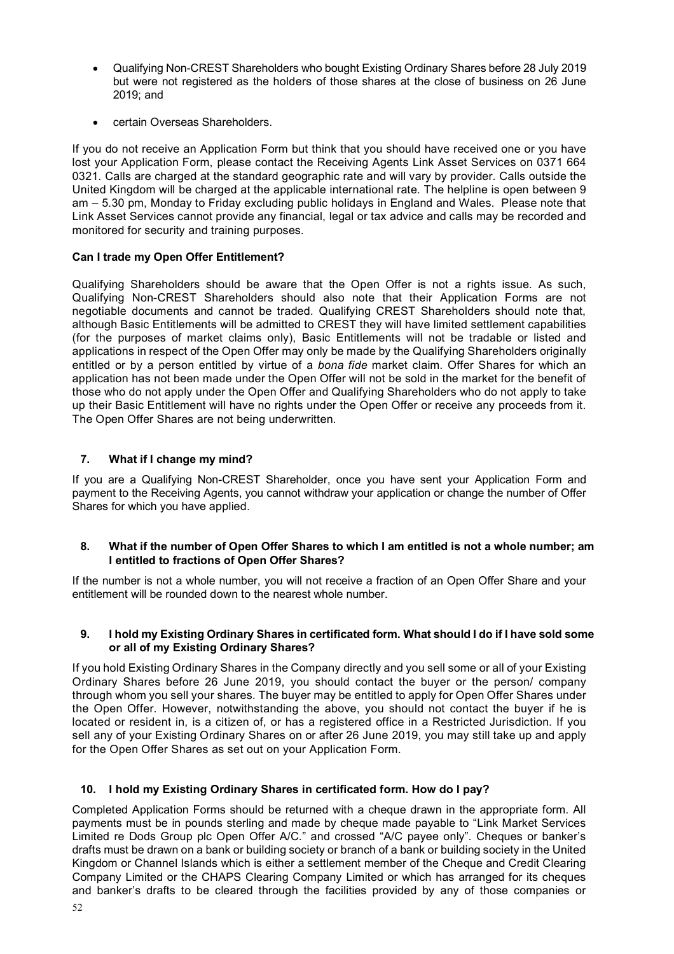- Qualifying Non-CREST Shareholders who bought Existing Ordinary Shares before 28 July 2019 but were not registered as the holders of those shares at the close of business on 26 June 2019; and
- certain Overseas Shareholders.

If you do not receive an Application Form but think that you should have received one or you have lost your Application Form, please contact the Receiving Agents Link Asset Services on 0371 664 0321. Calls are charged at the standard geographic rate and will vary by provider. Calls outside the United Kingdom will be charged at the applicable international rate. The helpline is open between 9 am – 5.30 pm, Monday to Friday excluding public holidays in England and Wales. Please note that Link Asset Services cannot provide any financial, legal or tax advice and calls may be recorded and monitored for security and training purposes.

## **Can I trade my Open Offer Entitlement?**

Qualifying Shareholders should be aware that the Open Offer is not a rights issue. As such, Qualifying Non-CREST Shareholders should also note that their Application Forms are not negotiable documents and cannot be traded. Qualifying CREST Shareholders should note that, although Basic Entitlements will be admitted to CREST they will have limited settlement capabilities (for the purposes of market claims only), Basic Entitlements will not be tradable or listed and applications in respect of the Open Offer may only be made by the Qualifying Shareholders originally entitled or by a person entitled by virtue of a *bona fide* market claim. Offer Shares for which an application has not been made under the Open Offer will not be sold in the market for the benefit of those who do not apply under the Open Offer and Qualifying Shareholders who do not apply to take up their Basic Entitlement will have no rights under the Open Offer or receive any proceeds from it. The Open Offer Shares are not being underwritten.

## **7. What if I change my mind?**

If you are a Qualifying Non-CREST Shareholder, once you have sent your Application Form and payment to the Receiving Agents, you cannot withdraw your application or change the number of Offer Shares for which you have applied.

### **8. What if the number of Open Offer Shares to which I am entitled is not a whole number; am I entitled to fractions of Open Offer Shares?**

If the number is not a whole number, you will not receive a fraction of an Open Offer Share and your entitlement will be rounded down to the nearest whole number.

### **9. I hold my Existing Ordinary Shares in certificated form. What should I do if I have sold some or all of my Existing Ordinary Shares?**

If you hold Existing Ordinary Shares in the Company directly and you sell some or all of your Existing Ordinary Shares before 26 June 2019, you should contact the buyer or the person/ company through whom you sell your shares. The buyer may be entitled to apply for Open Offer Shares under the Open Offer. However, notwithstanding the above, you should not contact the buyer if he is located or resident in, is a citizen of, or has a registered office in a Restricted Jurisdiction. If you sell any of your Existing Ordinary Shares on or after 26 June 2019, you may still take up and apply for the Open Offer Shares as set out on your Application Form.

## **10. I hold my Existing Ordinary Shares in certificated form. How do I pay?**

Completed Application Forms should be returned with a cheque drawn in the appropriate form. All payments must be in pounds sterling and made by cheque made payable to "Link Market Services Limited re Dods Group plc Open Offer A/C." and crossed "A/C payee only". Cheques or banker's drafts must be drawn on a bank or building society or branch of a bank or building society in the United Kingdom or Channel Islands which is either a settlement member of the Cheque and Credit Clearing Company Limited or the CHAPS Clearing Company Limited or which has arranged for its cheques and banker's drafts to be cleared through the facilities provided by any of those companies or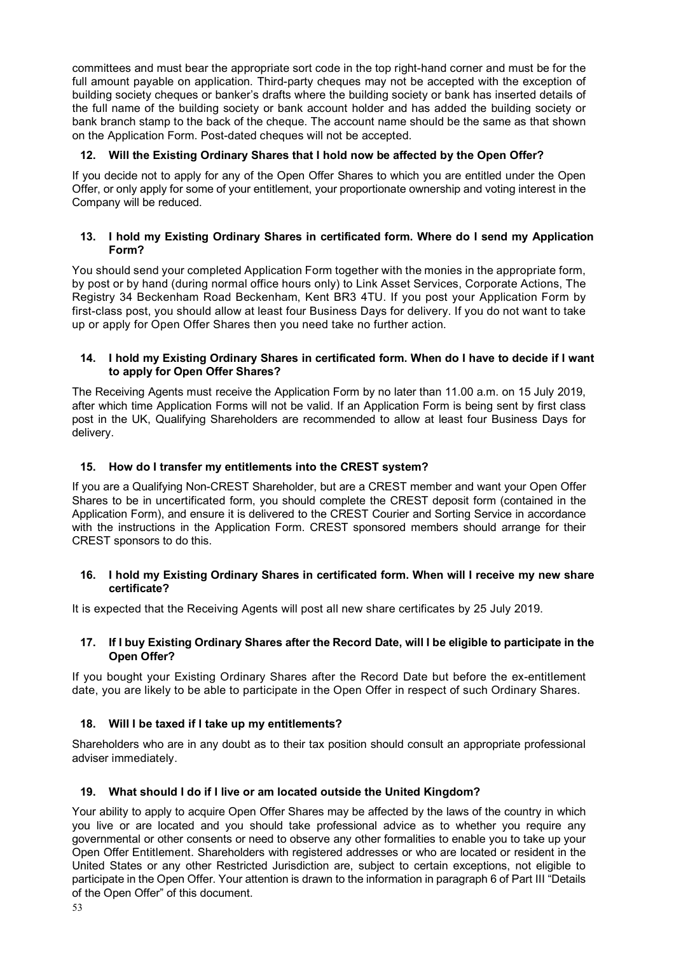committees and must bear the appropriate sort code in the top right-hand corner and must be for the full amount payable on application. Third-party cheques may not be accepted with the exception of building society cheques or banker's drafts where the building society or bank has inserted details of the full name of the building society or bank account holder and has added the building society or bank branch stamp to the back of the cheque. The account name should be the same as that shown on the Application Form. Post-dated cheques will not be accepted.

## **12. Will the Existing Ordinary Shares that I hold now be affected by the Open Offer?**

If you decide not to apply for any of the Open Offer Shares to which you are entitled under the Open Offer, or only apply for some of your entitlement, your proportionate ownership and voting interest in the Company will be reduced.

#### **13. I hold my Existing Ordinary Shares in certificated form. Where do I send my Application Form?**

You should send your completed Application Form together with the monies in the appropriate form, by post or by hand (during normal office hours only) to Link Asset Services, Corporate Actions, The Registry 34 Beckenham Road Beckenham, Kent BR3 4TU. If you post your Application Form by first-class post, you should allow at least four Business Days for delivery. If you do not want to take up or apply for Open Offer Shares then you need take no further action.

#### **14. I hold my Existing Ordinary Shares in certificated form. When do I have to decide if I want to apply for Open Offer Shares?**

The Receiving Agents must receive the Application Form by no later than 11.00 a.m. on 15 July 2019, after which time Application Forms will not be valid. If an Application Form is being sent by first class post in the UK, Qualifying Shareholders are recommended to allow at least four Business Days for delivery.

### **15. How do I transfer my entitlements into the CREST system?**

If you are a Qualifying Non-CREST Shareholder, but are a CREST member and want your Open Offer Shares to be in uncertificated form, you should complete the CREST deposit form (contained in the Application Form), and ensure it is delivered to the CREST Courier and Sorting Service in accordance with the instructions in the Application Form. CREST sponsored members should arrange for their CREST sponsors to do this.

#### **16. I hold my Existing Ordinary Shares in certificated form. When will I receive my new share certificate?**

It is expected that the Receiving Agents will post all new share certificates by 25 July 2019.

#### **17. If I buy Existing Ordinary Shares after the Record Date, will I be eligible to participate in the Open Offer?**

If you bought your Existing Ordinary Shares after the Record Date but before the ex-entitlement date, you are likely to be able to participate in the Open Offer in respect of such Ordinary Shares.

### **18. Will I be taxed if I take up my entitlements?**

Shareholders who are in any doubt as to their tax position should consult an appropriate professional adviser immediately.

### **19. What should I do if I live or am located outside the United Kingdom?**

Your ability to apply to acquire Open Offer Shares may be affected by the laws of the country in which you live or are located and you should take professional advice as to whether you require any governmental or other consents or need to observe any other formalities to enable you to take up your Open Offer Entitlement. Shareholders with registered addresses or who are located or resident in the United States or any other Restricted Jurisdiction are, subject to certain exceptions, not eligible to participate in the Open Offer. Your attention is drawn to the information in paragraph 6 of Part III "Details of the Open Offer" of this document.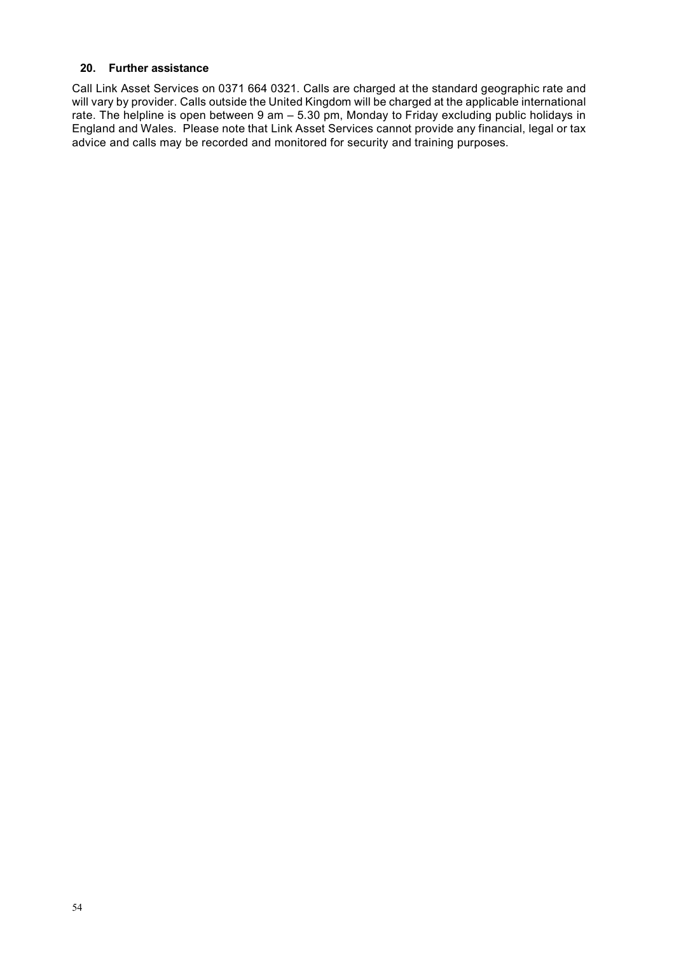## **20. Further assistance**

Call Link Asset Services on 0371 664 0321. Calls are charged at the standard geographic rate and will vary by provider. Calls outside the United Kingdom will be charged at the applicable international rate. The helpline is open between 9 am – 5.30 pm, Monday to Friday excluding public holidays in England and Wales. Please note that Link Asset Services cannot provide any financial, legal or tax advice and calls may be recorded and monitored for security and training purposes.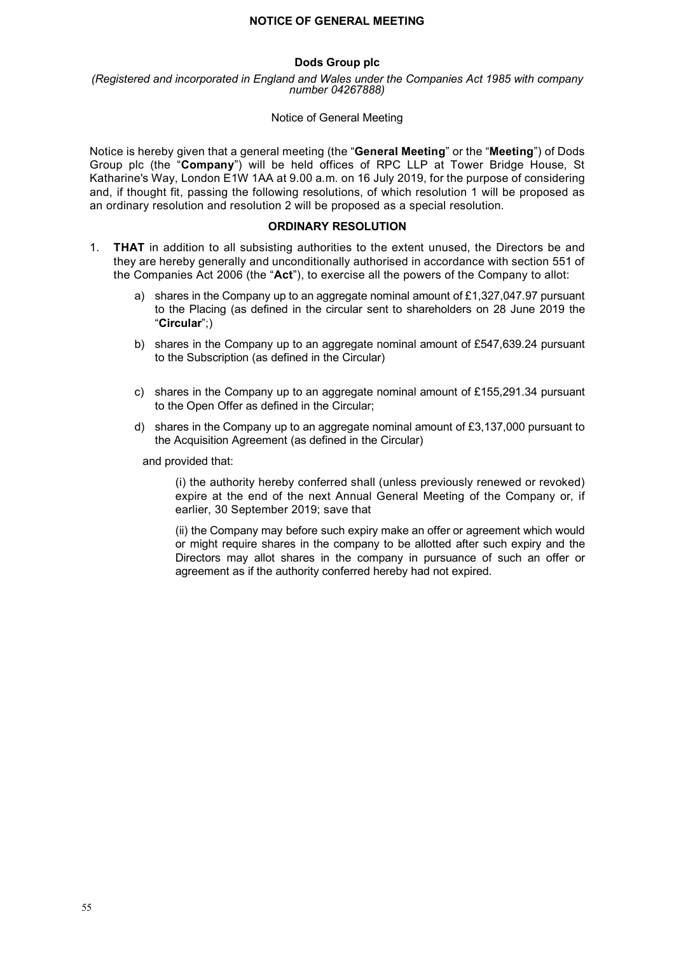### **Dods Group plc**

*(Registered and incorporated in England and Wales under the Companies Act 1985 with company number 04267888)*

#### Notice of General Meeting

Notice is hereby given that a general meeting (the "**General Meeting**" or the "**Meeting**") of Dods Group plc (the "**Company**") will be held offices of RPC LLP at Tower Bridge House, St Katharine's Way, London E1W 1AA at 9.00 a.m. on 16 July 2019, for the purpose of considering and, if thought fit, passing the following resolutions, of which resolution 1 will be proposed as an ordinary resolution and resolution 2 will be proposed as a special resolution.

#### **ORDINARY RESOLUTION**

- 1. **THAT** in addition to all subsisting authorities to the extent unused, the Directors be and they are hereby generally and unconditionally authorised in accordance with section 551 of the Companies Act 2006 (the "**Act**"), to exercise all the powers of the Company to allot:
	- a) shares in the Company up to an aggregate nominal amount of  $£1,327,047.97$  pursuant to the Placing (as defined in the circular sent to shareholders on 28 June 2019 the "**Circular**";)
	- b) shares in the Company up to an aggregate nominal amount of £547,639.24 pursuant to the Subscription (as defined in the Circular)
	- c) shares in the Company up to an aggregate nominal amount of £155,291.34 pursuant to the Open Offer as defined in the Circular;
	- d) shares in the Company up to an aggregate nominal amount of £3,137,000 pursuant to the Acquisition Agreement (as defined in the Circular)

and provided that:

(i) the authority hereby conferred shall (unless previously renewed or revoked) expire at the end of the next Annual General Meeting of the Company or, if earlier, 30 September 2019; save that

(ii) the Company may before such expiry make an offer or agreement which would or might require shares in the company to be allotted after such expiry and the Directors may allot shares in the company in pursuance of such an offer or agreement as if the authority conferred hereby had not expired.